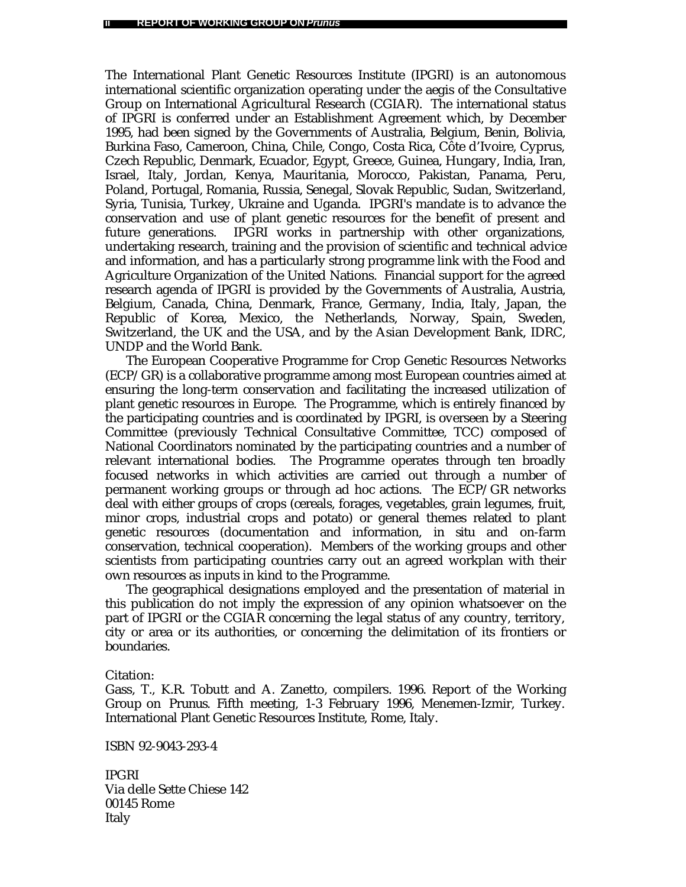The International Plant Genetic Resources Institute (IPGRI) is an autonomous international scientific organization operating under the aegis of the Consultative Group on International Agricultural Research (CGIAR). The international status of IPGRI is conferred under an Establishment Agreement which, by December 1995, had been signed by the Governments of Australia, Belgium, Benin, Bolivia, Burkina Faso, Cameroon, China, Chile, Congo, Costa Rica, Côte d'Ivoire, Cyprus, Czech Republic, Denmark, Ecuador, Egypt, Greece, Guinea, Hungary, India, Iran, Israel, Italy, Jordan, Kenya, Mauritania, Morocco, Pakistan, Panama, Peru, Poland, Portugal, Romania, Russia, Senegal, Slovak Republic, Sudan, Switzerland, Syria, Tunisia, Turkey, Ukraine and Uganda. IPGRI's mandate is to advance the conservation and use of plant genetic resources for the benefit of present and future generations. IPGRI works in partnership with other organizations, undertaking research, training and the provision of scientific and technical advice and information, and has a particularly strong programme link with the Food and Agriculture Organization of the United Nations. Financial support for the agreed research agenda of IPGRI is provided by the Governments of Australia, Austria, Belgium, Canada, China, Denmark, France, Germany, India, Italy, Japan, the Republic of Korea, Mexico, the Netherlands, Norway, Spain, Sweden, Switzerland, the UK and the USA, and by the Asian Development Bank, IDRC, UNDP and the World Bank.

The European Cooperative Programme for Crop Genetic Resources Networks (ECP/GR) is a collaborative programme among most European countries aimed at ensuring the long-term conservation and facilitating the increased utilization of plant genetic resources in Europe. The Programme, which is entirely financed by the participating countries and is coordinated by IPGRI, is overseen by a Steering Committee (previously Technical Consultative Committee, TCC) composed of National Coordinators nominated by the participating countries and a number of relevant international bodies. The Programme operates through ten broadly focused networks in which activities are carried out through a number of permanent working groups or through ad hoc actions. The ECP/GR networks deal with either groups of crops (cereals, forages, vegetables, grain legumes, fruit, minor crops, industrial crops and potato) or general themes related to plant genetic resources (documentation and information, *in situ* and on-farm conservation, technical cooperation). Members of the working groups and other scientists from participating countries carry out an agreed workplan with their own resources as inputs in kind to the Programme.

The geographical designations employed and the presentation of material in this publication do not imply the expression of any opinion whatsoever on the part of IPGRI or the CGIAR concerning the legal status of any country, territory, city or area or its authorities, or concerning the delimitation of its frontiers or boundaries.

Citation:

Gass, T., K.R. Tobutt and A. Zanetto, compilers. 1996. Report of the Working Group on *Prunus.* Fifth meeting, 1-3 February 1996, Menemen-Izmir, Turkey. International Plant Genetic Resources Institute, Rome, Italy.

ISBN 92-9043-293-4

IPGRI Via delle Sette Chiese 142 00145 Rome Italy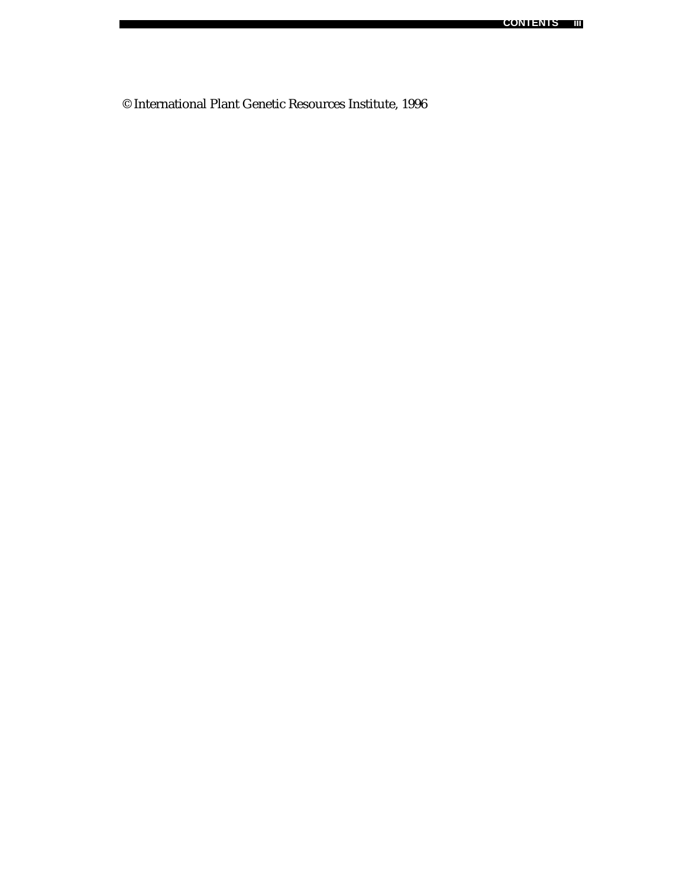© International Plant Genetic Resources Institute, 1996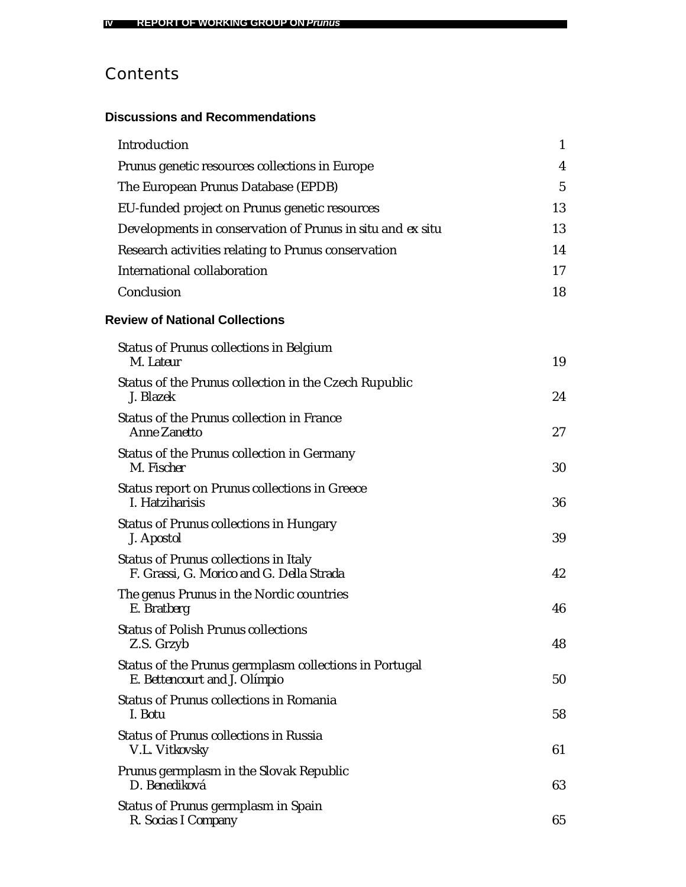# **Contents**

# **Discussions and Recommendations**

| Introduction                                                                            | 1              |
|-----------------------------------------------------------------------------------------|----------------|
| Prunus genetic resources collections in Europe                                          | 4              |
| The European Prunus Database (EPDB)                                                     | $\overline{5}$ |
| EU-funded project on <i>Prunus</i> genetic resources                                    | 13             |
| Developments in conservation of Prunus in situ and ex situ                              | 13             |
| Research activities relating to Prunus conservation                                     | 14             |
| International collaboration                                                             | 17             |
| Conclusion                                                                              | 18             |
| <b>Review of National Collections</b>                                                   |                |
| Status of <i>Prunus</i> collections in Belgium<br>M. Lateur                             | 19             |
| Status of the Prunus collection in the Czech Rupublic<br>J. Blazek                      | 24             |
| Status of the Prunus collection in France<br><b>Anne Zanetto</b>                        | 27             |
| Status of the Prunus collection in Germany<br>M. Fischer                                | 30             |
| Status report on <i>Prunus</i> collections in Greece<br>I. Hatziharisis                 | 36             |
| <b>Status of Prunus collections in Hungary</b><br>J. Apostol                            | 39             |
| Status of Prunus collections in Italy<br>F. Grassi, G. Morico and G. Della Strada       | 42             |
| The genus <i>Prunus</i> in the Nordic countries<br>E. Bratberg                          | 46             |
| <b>Status of Polish Prunus collections</b><br>Z.S. Grzyb                                | 48             |
| Status of the Prunus germplasm collections in Portugal<br>E. Bettencourt and J. Olímpio | 50             |
| Status of Prunus collections in Romania<br>I. Botu                                      | 58             |
| Status of <i>Prunus</i> collections in Russia<br>V.L. Vitkovsky                         | 61             |
| Prunus germplasm in the Slovak Republic<br>D. Benediková                                | 63             |
| Status of Prunus germplasm in Spain<br>R. Socias I Company                              | 65             |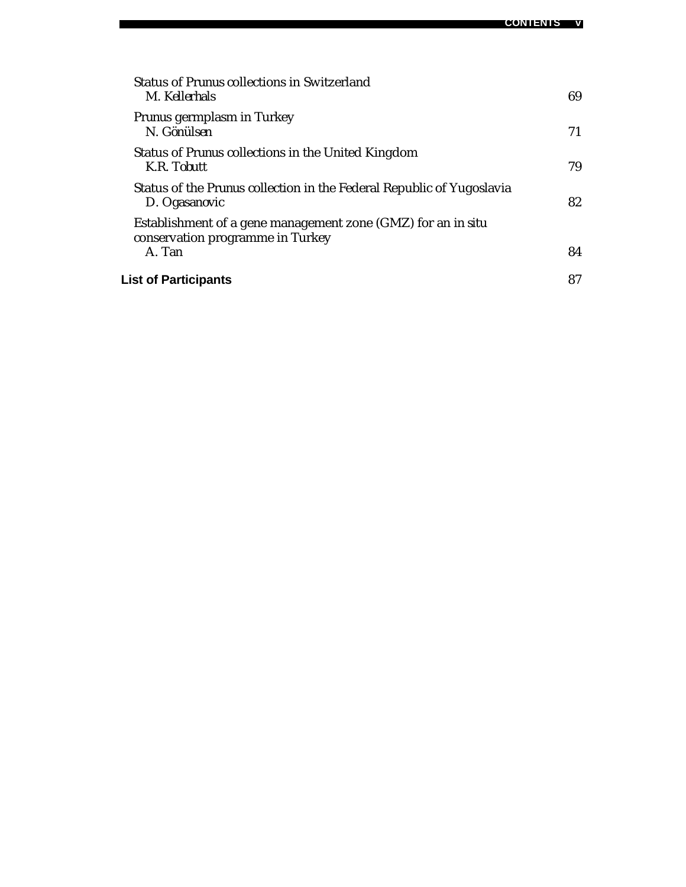| Status of <i>Prunus</i> collections in Switzerland<br>M. Kellerhals                                        | 69 |
|------------------------------------------------------------------------------------------------------------|----|
| <i>Prunus</i> germplasm in Turkey<br>N. Gönülsen                                                           | 71 |
| Status of <i>Prunus</i> collections in the United Kingdom<br>K.R. Tobutt                                   | 79 |
| Status of the <i>Prunus</i> collection in the Federal Republic of Yugoslavia<br>D. Ogasanovic              | 82 |
| Establishment of a gene management zone (GMZ) for an in situ<br>conservation programme in Turkey<br>A. Tan | 84 |
| <b>List of Participants</b>                                                                                | 87 |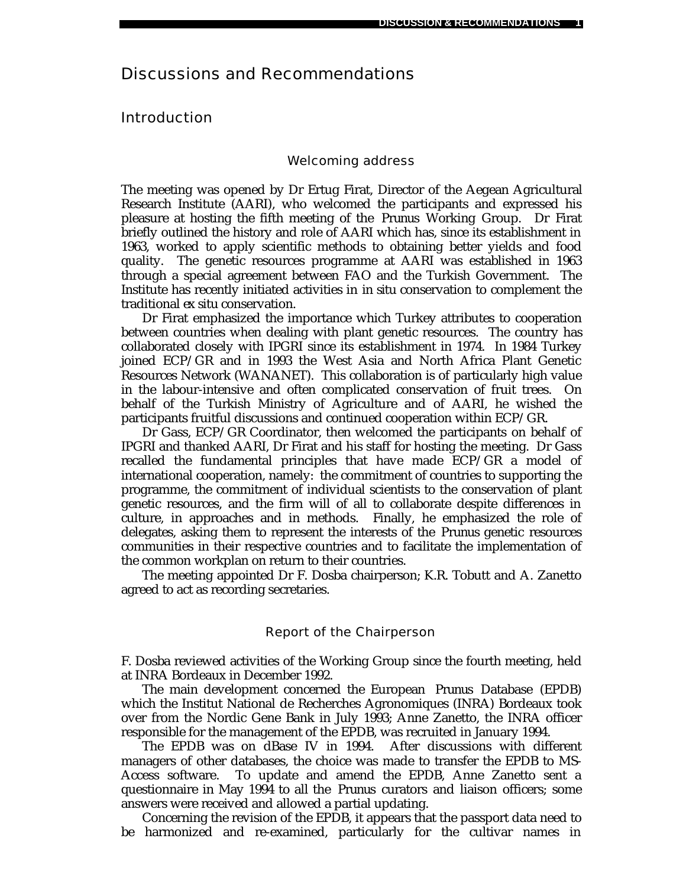# Discussions and Recommendations

# Introduction

## Welcoming address

The meeting was opened by Dr Ertug Firat, Director of the Aegean Agricultural Research Institute (AARI), who welcomed the participants and expressed his pleasure at hosting the fifth meeting of the *Prunus* Working Group. Dr Firat briefly outlined the history and role of AARI which has, since its establishment in 1963, worked to apply scientific methods to obtaining better yields and food quality. The genetic resources programme at AARI was established in 1963 through a special agreement between FAO and the Turkish Government. The Institute has recently initiated activities in *in situ* conservation to complement the traditional *ex situ* conservation.

Dr Firat emphasized the importance which Turkey attributes to cooperation between countries when dealing with plant genetic resources. The country has collaborated closely with IPGRI since its establishment in 1974. In 1984 Turkey joined ECP/GR and in 1993 the West Asia and North Africa Plant Genetic Resources Network (WANANET). This collaboration is of particularly high value in the labour-intensive and often complicated conservation of fruit trees. On behalf of the Turkish Ministry of Agriculture and of AARI, he wished the participants fruitful discussions and continued cooperation within ECP/GR.

Dr Gass, ECP/GR Coordinator, then welcomed the participants on behalf of IPGRI and thanked AARI, Dr Firat and his staff for hosting the meeting. Dr Gass recalled the fundamental principles that have made ECP/GR a model of international cooperation, namely: the commitment of countries to supporting the programme, the commitment of individual scientists to the conservation of plant genetic resources, and the firm will of all to collaborate despite differences in culture, in approaches and in methods. Finally, he emphasized the role of delegates, asking them to represent the interests of the *Prunus* genetic resources communities in their respective countries and to facilitate the implementation of the common workplan on return to their countries.

The meeting appointed Dr F. Dosba chairperson; K.R. Tobutt and A. Zanetto agreed to act as recording secretaries.

#### Report of the Chairperson

F. Dosba reviewed activities of the Working Group since the fourth meeting, held at INRA Bordeaux in December 1992.

The main development concerned the European *Prunus* Database (EPDB) which the Institut National de Recherches Agronomiques (INRA) Bordeaux took over from the Nordic Gene Bank in July 1993; Anne Zanetto, the INRA officer responsible for the management of the EPDB, was recruited in January 1994.

The EPDB was on dBase IV in 1994. After discussions with different managers of other databases, the choice was made to transfer the EPDB to MS-Access software. To update and amend the EPDB, Anne Zanetto sent a questionnaire in May 1994 to all the *Prunus* curators and liaison officers; some answers were received and allowed a partial updating.

Concerning the revision of the EPDB, it appears that the passport data need to be harmonized and re-examined, particularly for the cultivar names in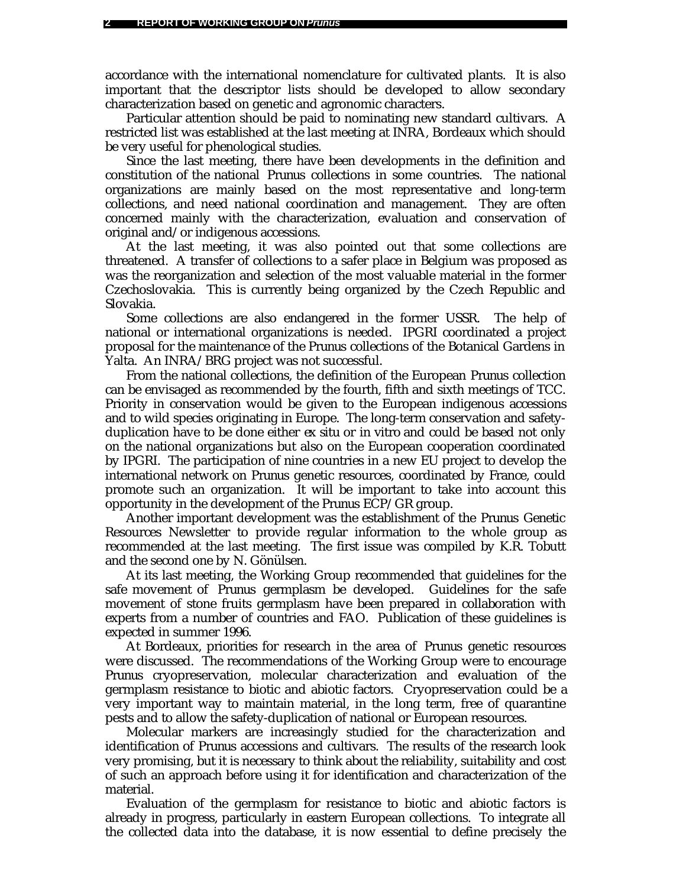accordance with the international nomenclature for cultivated plants. It is also important that the descriptor lists should be developed to allow secondary characterization based on genetic and agronomic characters.

Particular attention should be paid to nominating new standard cultivars. A restricted list was established at the last meeting at INRA, Bordeaux which should be very useful for phenological studies.

Since the last meeting, there have been developments in the definition and constitution of the national *Prunus* collections in some countries. The national organizations are mainly based on the most representative and long-term collections, and need national coordination and management. They are often concerned mainly with the characterization, evaluation and conservation of original and/or indigenous accessions.

At the last meeting, it was also pointed out that some collections are threatened. A transfer of collections to a safer place in Belgium was proposed as was the reorganization and selection of the most valuable material in the former Czechoslovakia. This is currently being organized by the Czech Republic and Slovakia.

Some collections are also endangered in the former USSR. The help of national or international organizations is needed. IPGRI coordinated a project proposal for the maintenance of the *Prunus* collections of the Botanical Gardens in Yalta. An INRA/BRG project was not successful.

From the national collections, the definition of the European *Prunus* collection can be envisaged as recommended by the fourth, fifth and sixth meetings of TCC. Priority in conservation would be given to the European indigenous accessions and to wild species originating in Europe. The long-term conservation and safetyduplication have to be done either *ex situ* or *in vitro* and could be based not only on the national organizations but also on the European cooperation coordinated by IPGRI. The participation of nine countries in a new EU project to develop the international network on *Prunus* genetic resources, coordinated by France, could promote such an organization. It will be important to take into account this opportunity in the development of the *Prunus* ECP/GR group.

Another important development was the establishment of the *Prunus* Genetic Resources Newsletter to provide regular information to the whole group as recommended at the last meeting. The first issue was compiled by K.R. Tobutt and the second one by N. Gönülsen.

At its last meeting, the Working Group recommended that guidelines for the safe movement of *Prunus* germplasm be developed. Guidelines for the safe movement of stone fruits germplasm have been prepared in collaboration with experts from a number of countries and FAO. Publication of these guidelines is expected in summer 1996.

At Bordeaux, priorities for research in the area of *Prunus* genetic resources were discussed. The recommendations of the Working Group were to encourage *Prunus* cryopreservation, molecular characterization and evaluation of the germplasm resistance to biotic and abiotic factors. Cryopreservation could be a very important way to maintain material, in the long term, free of quarantine pests and to allow the safety-duplication of national or European resources.

Molecular markers are increasingly studied for the characterization and identification of *Prunus* accessions and cultivars. The results of the research look very promising, but it is necessary to think about the reliability, suitability and cost of such an approach before using it for identification and characterization of the material.

Evaluation of the germplasm for resistance to biotic and abiotic factors is already in progress, particularly in eastern European collections. To integrate all the collected data into the database, it is now essential to define precisely the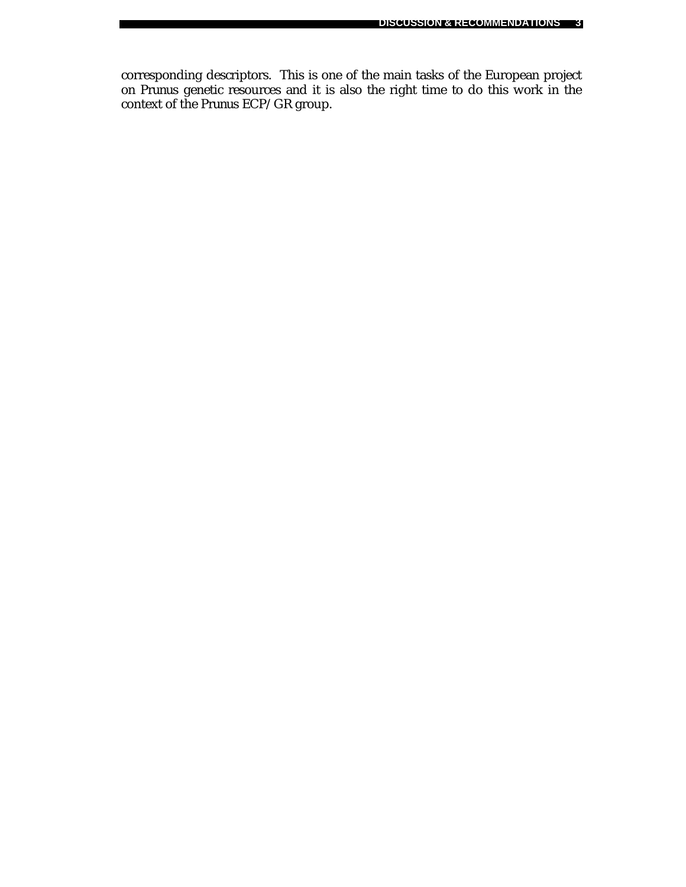corresponding descriptors. This is one of the main tasks of the European project on *Prunus* genetic resources and it is also the right time to do this work in the context of the *Prunus* ECP/GR group.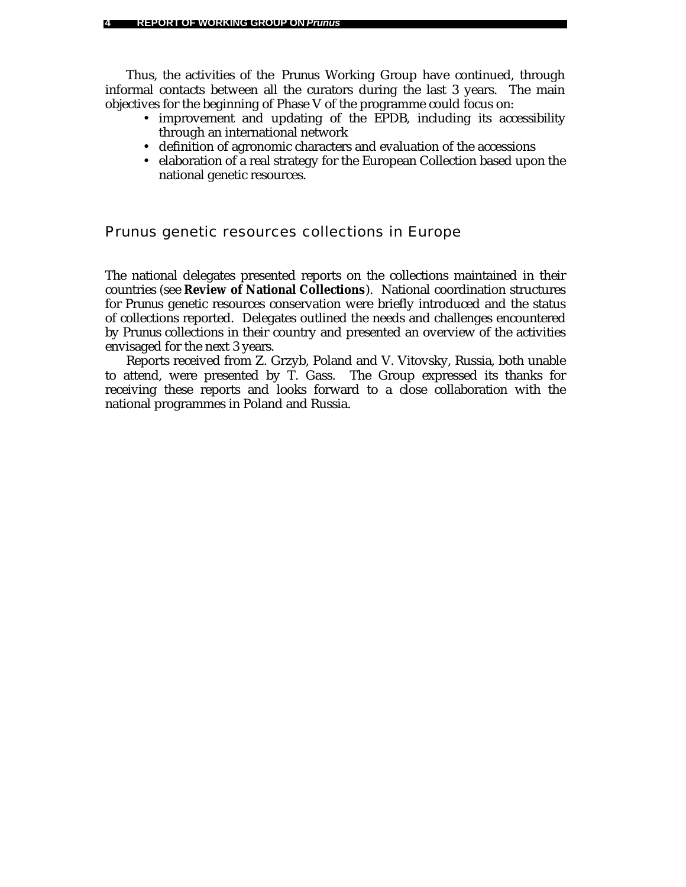Thus, the activities of the *Prunus* Working Group have continued, through informal contacts between all the curators during the last 3 years. The main objectives for the beginning of Phase V of the programme could focus on:

- improvement and updating of the EPDB, including its accessibility through an international network
- definition of agronomic characters and evaluation of the accessions
- elaboration of a real strategy for the European Collection based upon the national genetic resources.

# *Prunus* genetic resources collections in Europe

The national delegates presented reports on the collections maintained in their countries (see **Review of National Collections**). National coordination structures for *Prunus* genetic resources conservation were briefly introduced and the status of collections reported. Delegates outlined the needs and challenges encountered by *Prunus* collections in their country and presented an overview of the activities envisaged for the next 3 years.

Reports received from Z. Grzyb, Poland and V. Vitovsky, Russia, both unable to attend, were presented by T. Gass. The Group expressed its thanks for receiving these reports and looks forward to a close collaboration with the national programmes in Poland and Russia.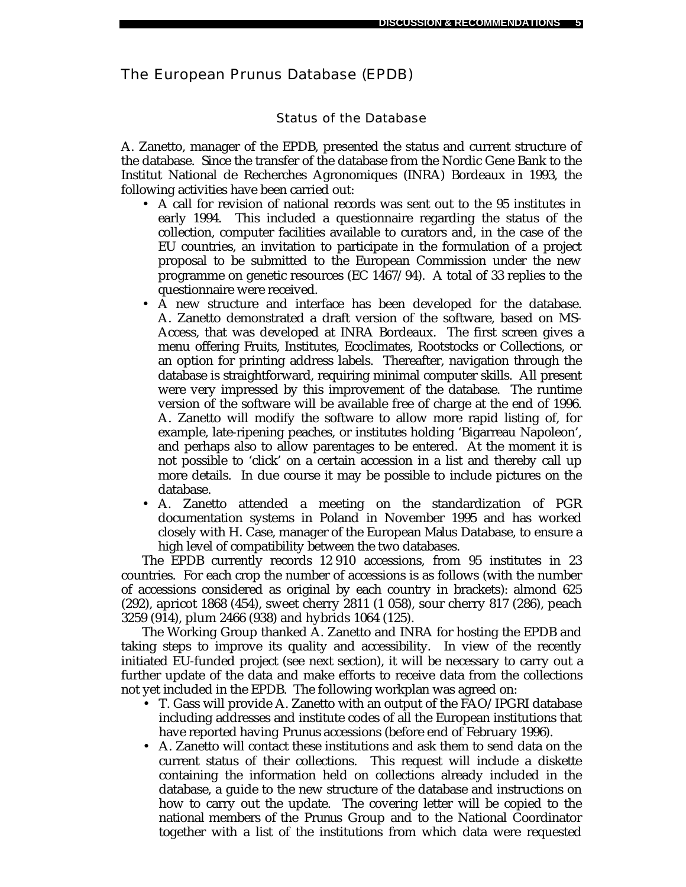# The European *Prunus* Database (EPDB)

# Status of the Database

A. Zanetto, manager of the EPDB, presented the status and current structure of the database. Since the transfer of the database from the Nordic Gene Bank to the Institut National de Recherches Agronomiques (INRA) Bordeaux in 1993, the following activities have been carried out:

- A call for revision of national records was sent out to the 95 institutes in early 1994. This included a questionnaire regarding the status of the collection, computer facilities available to curators and, in the case of the EU countries, an invitation to participate in the formulation of a project proposal to be submitted to the European Commission under the new programme on genetic resources (EC 1467/94). A total of 33 replies to the questionnaire were received.
- A new structure and interface has been developed for the database. A. Zanetto demonstrated a draft version of the software, based on MS-Access, that was developed at INRA Bordeaux. The first screen gives a menu offering Fruits, Institutes, Ecoclimates, Rootstocks or Collections, or an option for printing address labels. Thereafter, navigation through the database is straightforward, requiring minimal computer skills. All present were very impressed by this improvement of the database. The runtime version of the software will be available free of charge at the end of 1996. A. Zanetto will modify the software to allow more rapid listing of, for example, late-ripening peaches, or institutes holding 'Bigarreau Napoleon', and perhaps also to allow parentages to be entered. At the moment it is not possible to 'click' on a certain accession in a list and thereby call up more details. In due course it may be possible to include pictures on the database.
- A. Zanetto attended a meeting on the standardization of PGR documentation systems in Poland in November 1995 and has worked closely with H. Case, manager of the European *Malus* Database, to ensure a high level of compatibility between the two databases.

The EPDB currently records 12 910 accessions, from 95 institutes in 23 countries. For each crop the number of accessions is as follows (with the number of accessions considered as original by each country in brackets): almond 625 (292), apricot 1868 (454), sweet cherry 2811 (1 058), sour cherry 817 (286), peach 3259 (914), plum 2466 (938) and hybrids 1064 (125).

The Working Group thanked A. Zanetto and INRA for hosting the EPDB and taking steps to improve its quality and accessibility. In view of the recently initiated EU-funded project (see next section), it will be necessary to carry out a further update of the data and make efforts to receive data from the collections not yet included in the EPDB. The following workplan was agreed on:

- T. Gass will provide A. Zanetto with an output of the FAO/IPGRI database including addresses and institute codes of all the European institutions that have reported having *Prunus* accessions (before end of February 1996).
- A. Zanetto will contact these institutions and ask them to send data on the current status of their collections. This request will include a diskette containing the information held on collections already included in the database, a guide to the new structure of the database and instructions on how to carry out the update. The covering letter will be copied to the national members of the *Prunus* Group and to the National Coordinator together with a list of the institutions from which data were requested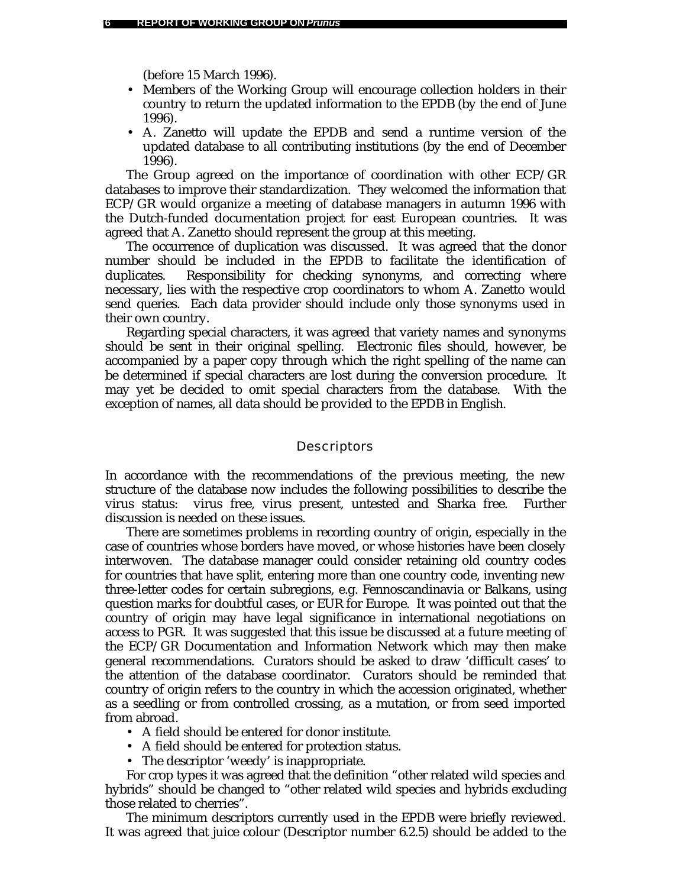(before 15 March 1996).

- Members of the Working Group will encourage collection holders in their country to return the updated information to the EPDB (by the end of June 1996).
- A. Zanetto will update the EPDB and send a runtime version of the updated database to all contributing institutions (by the end of December 1996).

The Group agreed on the importance of coordination with other ECP/GR databases to improve their standardization. They welcomed the information that ECP/GR would organize a meeting of database managers in autumn 1996 with the Dutch-funded documentation project for east European countries. It was agreed that A. Zanetto should represent the group at this meeting.

The occurrence of duplication was discussed. It was agreed that the donor number should be included in the EPDB to facilitate the identification of duplicates. Responsibility for checking synonyms, and correcting where necessary, lies with the respective crop coordinators to whom A. Zanetto would send queries. Each data provider should include only those synonyms used in their own country.

Regarding special characters, it was agreed that variety names and synonyms should be sent in their original spelling. Electronic files should, however, be accompanied by a paper copy through which the right spelling of the name can be determined if special characters are lost during the conversion procedure. It may yet be decided to omit special characters from the database. With the exception of names, all data should be provided to the EPDB in English.

#### **Descriptors**

In accordance with the recommendations of the previous meeting, the new structure of the database now includes the following possibilities to describe the virus status: virus free, virus present, untested and Sharka free. Further discussion is needed on these issues.

There are sometimes problems in recording country of origin, especially in the case of countries whose borders have moved, or whose histories have been closely interwoven. The database manager could consider retaining old country codes for countries that have split, entering more than one country code, inventing new three-letter codes for certain subregions, e.g. Fennoscandinavia or Balkans, using question marks for doubtful cases, or EUR for Europe. It was pointed out that the country of origin may have legal significance in international negotiations on access to PGR. It was suggested that this issue be discussed at a future meeting of the ECP/GR Documentation and Information Network which may then make general recommendations. Curators should be asked to draw 'difficult cases' to the attention of the database coordinator. Curators should be reminded that country of origin refers to the country in which the accession originated, whether as a seedling or from controlled crossing, as a mutation, or from seed imported from abroad.

- A field should be entered for donor institute.
- A field should be entered for protection status.
- The descriptor 'weedy' is inappropriate.

For crop types it was agreed that the definition "other related wild species and hybrids" should be changed to "other related wild species and hybrids excluding those related to cherries".

The minimum descriptors currently used in the EPDB were briefly reviewed. It was agreed that juice colour (Descriptor number 6.2.5) should be added to the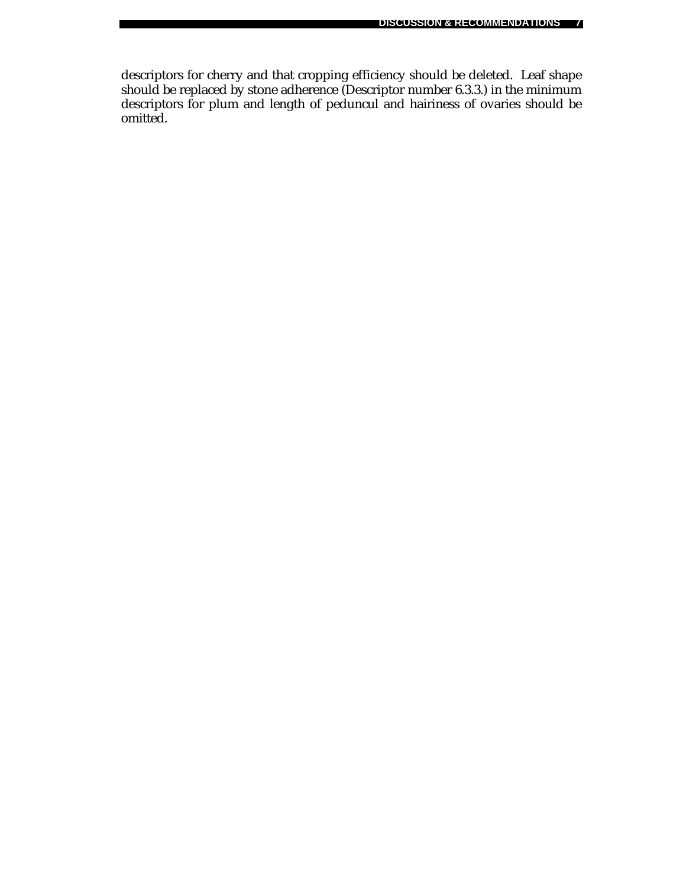descriptors for cherry and that cropping efficiency should be deleted. Leaf shape should be replaced by stone adherence (Descriptor number 6.3.3.) in the minimum descriptors for plum and length of peduncul and hairiness of ovaries should be omitted.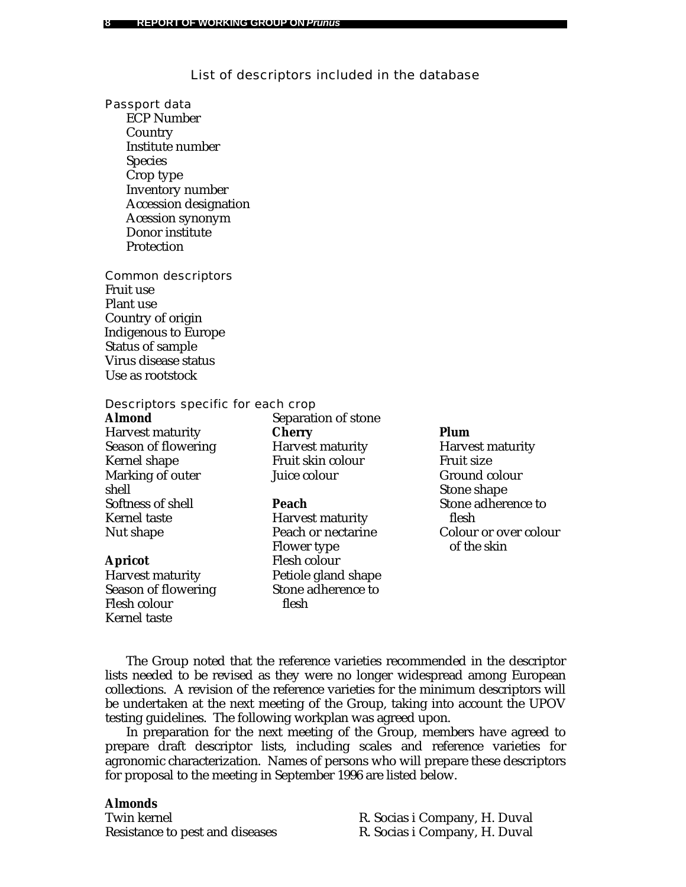### List of descriptors included in the database

Passport data

ECP Number Country Institute number Species Crop type Inventory number Accession designation Acession synonym Donor institute Protection

Common descriptors Fruit use Plant use Country of origin Indigenous to Europe Status of sample Virus disease status Use as rootstock

Descriptors specific for each crop

#### **Almond**

Harvest maturity Season of flowering Kernel shape Marking of outer shell Softness of shell Kernel taste Nut shape

#### **Apricot**

Harvest maturity Season of flowering Flesh colour Kernel taste

Separation of stone **Cherry** Harvest maturity Fruit skin colour Juice colour

#### **Peach**

Harvest maturity Peach or nectarine Flower type Flesh colour Petiole gland shape Stone adherence to flesh

#### **Plum**

Harvest maturity Fruit size Ground colour Stone shape Stone adherence to flesh Colour or over colour of the skin

The Group noted that the reference varieties recommended in the descriptor lists needed to be revised as they were no longer widespread among European collections. A revision of the reference varieties for the minimum descriptors will be undertaken at the next meeting of the Group, taking into account the UPOV testing guidelines. The following workplan was agreed upon.

In preparation for the next meeting of the Group, members have agreed to prepare draft descriptor lists, including scales and reference varieties for agronomic characterization. Names of persons who will prepare these descriptors for proposal to the meeting in September 1996 are listed below.

### **Almonds**

Twin kernel **R. Socias i Company**, H. Duval Resistance to pest and diseases R. Socias i Company, H. Duval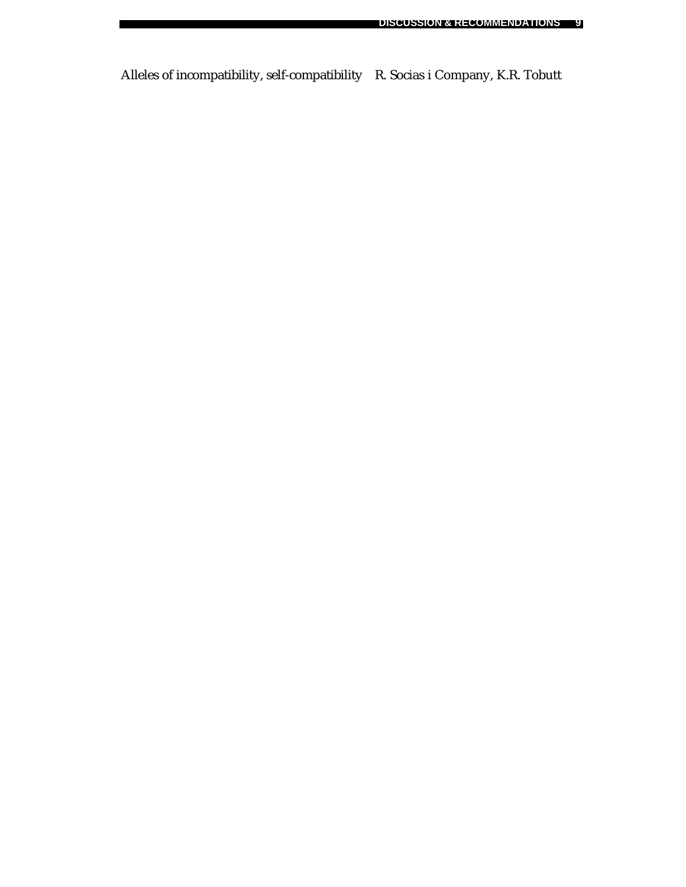Alleles of incompatibility, self-compatibility R. Socias i Company, K.R. Tobutt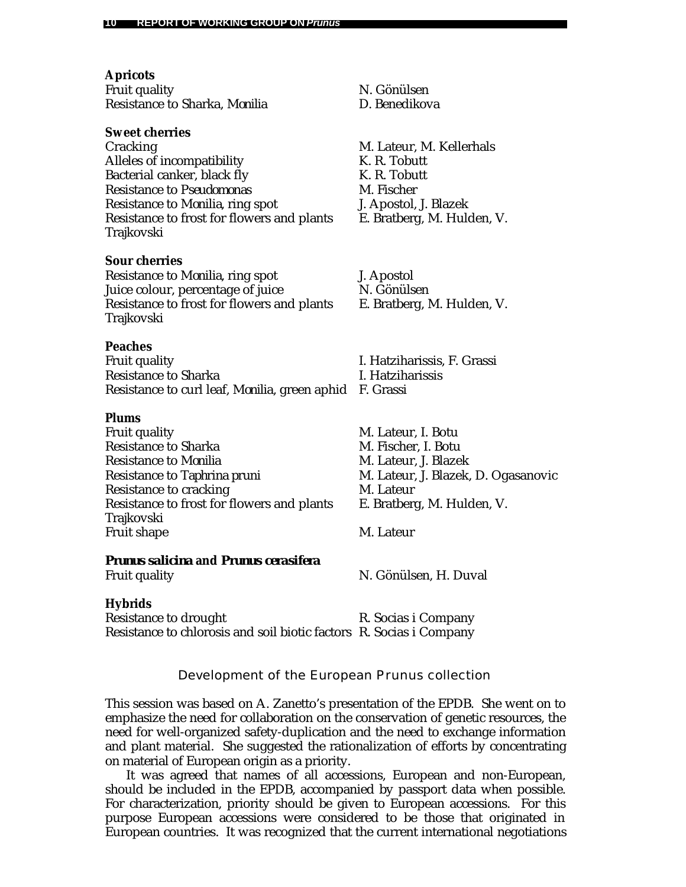**Apricots** Fruit quality N. Gönülsen Resistance to Sharka, *Monilia* D. Benedikova **Sweet cherries** Cracking M. Lateur, M. Kellerhals Alleles of incompatibility K. R. Tobutt Bacterial canker, black fly K. R. Tobutt Resistance to *Pseudomonas* M. Fischer Resistance to *Monilia,* ring spot J. Apostol, J. Blazek Resistance to frost for flowers and plants E. Bratberg, M. Hulden, V. Trajkovski **Sour cherries** Resistance to M*onilia,* ring spot J. Apostol Juice colour, percentage of juice N. Gönülsen Resistance to frost for flowers and plants E. Bratberg, M. Hulden, V. Trajkovski **Peaches** Fruit quality I. Hatziharissis, F. Grassi Resistance to Sharka I. Hatziharissis Resistance to curl leaf, *Monilia*, green aphid F. Grassi **Plums** Fruit quality M. Lateur, I. Botu Resistance to Sharka M. Fischer, I. Botu Resistance to *Monilia* M. Lateur, J. Blazek Resistance to *Taphrina pruni* M. Lateur, J. Blazek, D. Ogasanovic Resistance to cracking M. Lateur Resistance to frost for flowers and plants E. Bratberg, M. Hulden, V. Trajkovski Fruit shape M. Lateur *Prunus salicina* **and** *Prunus cerasifera* Fruit quality **N. Gönülsen, H. Duval Hybrids** Resistance to drought R. Socias i Company Resistance to chlorosis and soil biotic factors R. Socias i Company

Development of the European *Prunus* collection

This session was based on A. Zanetto's presentation of the EPDB. She went on to emphasize the need for collaboration on the conservation of genetic resources, the need for well-organized safety-duplication and the need to exchange information and plant material. She suggested the rationalization of efforts by concentrating on material of European origin as a priority.

It was agreed that names of all accessions, European and non-European, should be included in the EPDB, accompanied by passport data when possible. For characterization, priority should be given to European accessions. For this purpose European accessions were considered to be those that originated in European countries. It was recognized that the current international negotiations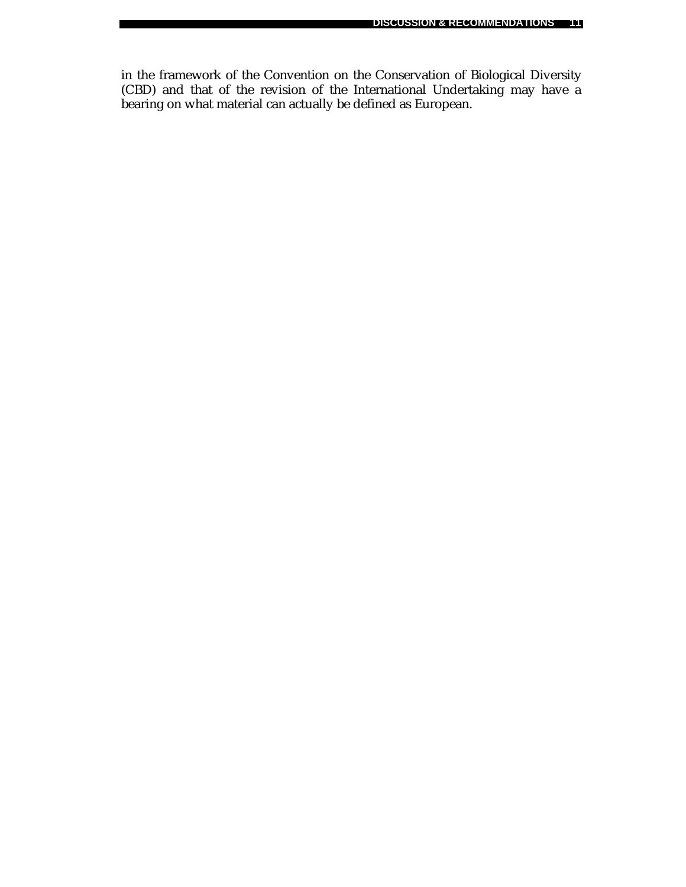in the framework of the Convention on the Conservation of Biological Diversity (CBD) and that of the revision of the International Undertaking may have a bearing on what material can actually be defined as European.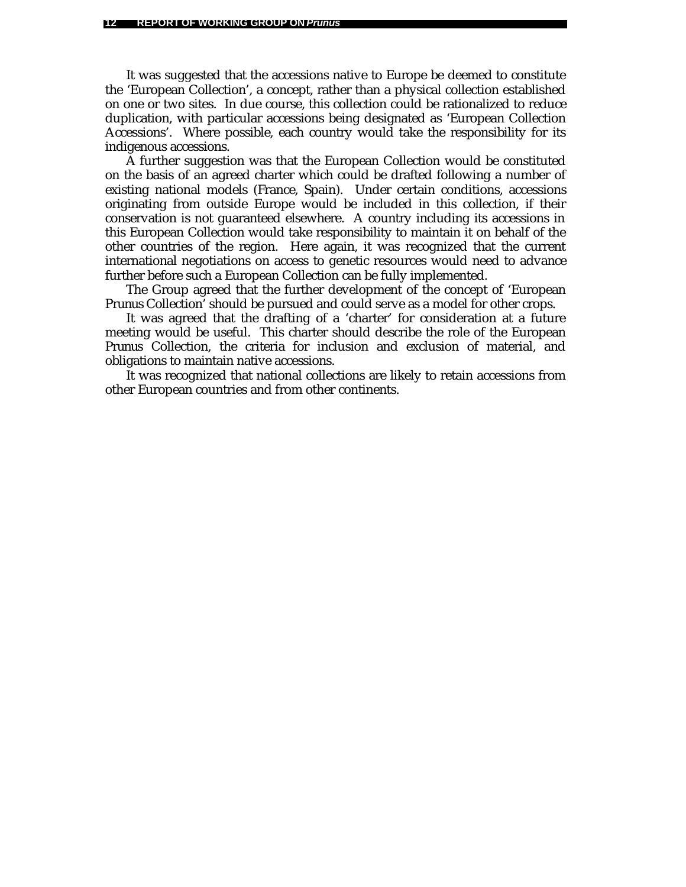It was suggested that the accessions native to Europe be deemed to constitute the 'European Collection', a concept, rather than a physical collection established on one or two sites. In due course, this collection could be rationalized to reduce duplication, with particular accessions being designated as 'European Collection Accessions'. Where possible, each country would take the responsibility for its indigenous accessions.

A further suggestion was that the European Collection would be constituted on the basis of an agreed charter which could be drafted following a number of existing national models (France, Spain). Under certain conditions, accessions originating from outside Europe would be included in this collection, if their conservation is not guaranteed elsewhere. A country including its accessions in this European Collection would take responsibility to maintain it on behalf of the other countries of the region. Here again, it was recognized that the current international negotiations on access to genetic resources would need to advance further before such a European Collection can be fully implemented.

The Group agreed that the further development of the concept of 'European *Prunus* Collection' should be pursued and could serve as a model for other crops.

It was agreed that the drafting of a 'charter' for consideration at a future meeting would be useful. This charter should describe the role of the European *Prunus* Collection, the criteria for inclusion and exclusion of material, and obligations to maintain native accessions.

It was recognized that national collections are likely to retain accessions from other European countries and from other continents.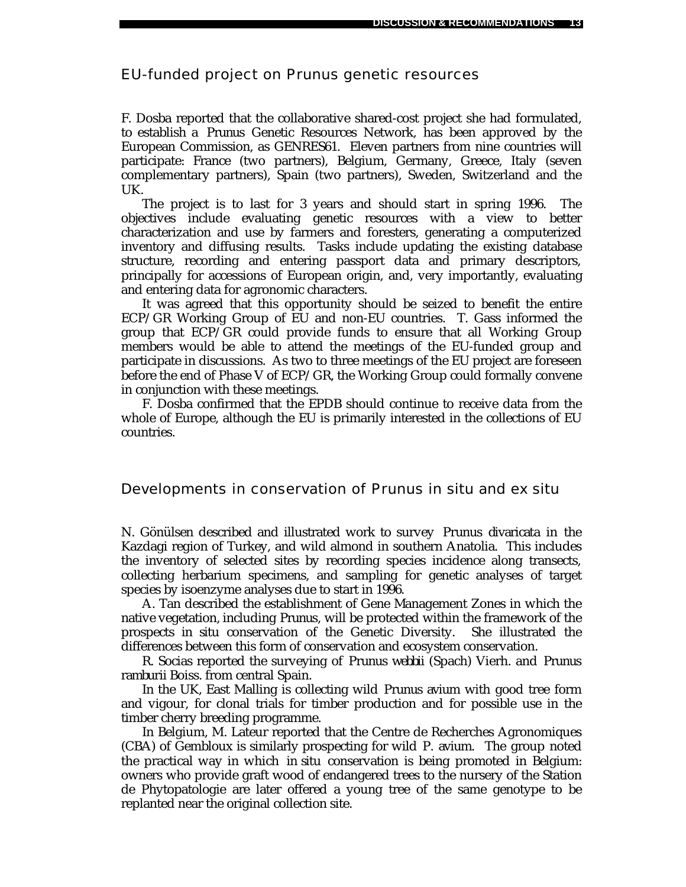# EU-funded project on *Prunus* genetic resources

F. Dosba reported that the collaborative shared-cost project she had formulated, to establish a *Prunus* Genetic Resources Network, has been approved by the European Commission, as GENRES61. Eleven partners from nine countries will participate: France (two partners), Belgium, Germany, Greece, Italy (seven complementary partners), Spain (two partners), Sweden, Switzerland and the UK.

The project is to last for 3 years and should start in spring 1996. The objectives include evaluating genetic resources with a view to better characterization and use by farmers and foresters, generating a computerized inventory and diffusing results. Tasks include updating the existing database structure, recording and entering passport data and primary descriptors, principally for accessions of European origin, and, very importantly, evaluating and entering data for agronomic characters.

It was agreed that this opportunity should be seized to benefit the entire ECP/GR Working Group of EU and non-EU countries. T. Gass informed the group that ECP/GR could provide funds to ensure that all Working Group members would be able to attend the meetings of the EU-funded group and participate in discussions. As two to three meetings of the EU project are foreseen before the end of Phase V of ECP/GR, the Working Group could formally convene in conjunction with these meetings.

F. Dosba confirmed that the EPDB should continue to receive data from the whole of Europe, although the EU is primarily interested in the collections of EU countries.

### Developments in conservation of *Prunus in situ* and *ex situ*

N. Gönülsen described and illustrated work to survey *Prunus divaricata* in the Kazdagi region of Turkey, and wild almond in southern Anatolia. This includes the inventory of selected sites by recording species incidence along transects, collecting herbarium specimens, and sampling for genetic analyses of target species by isoenzyme analyses due to start in 1996.

A. Tan described the establishment of Gene Management Zones in which the native vegetation, including *Prunus*, will be protected within the framework of the prospects *in situ* conservation of the Genetic Diversity. She illustrated the differences between this form of conservation and ecosystem conservation.

R. Socias reported the surveying of *Prunus webbii* (Spach) Vierh. and *Prunus ramburii* Boiss. from central Spain.

In the UK, East Malling is collecting wild *Prunus avium* with good tree form and vigour, for clonal trials for timber production and for possible use in the timber cherry breeding programme.

In Belgium, M. Lateur reported that the Centre de Recherches Agronomiques (CBA) of Gembloux is similarly prospecting for wild *P. avium*. The group noted the practical way in which *in situ* conservation is being promoted in Belgium: owners who provide graft wood of endangered trees to the nursery of the Station de Phytopatologie are later offered a young tree of the same genotype to be replanted near the original collection site.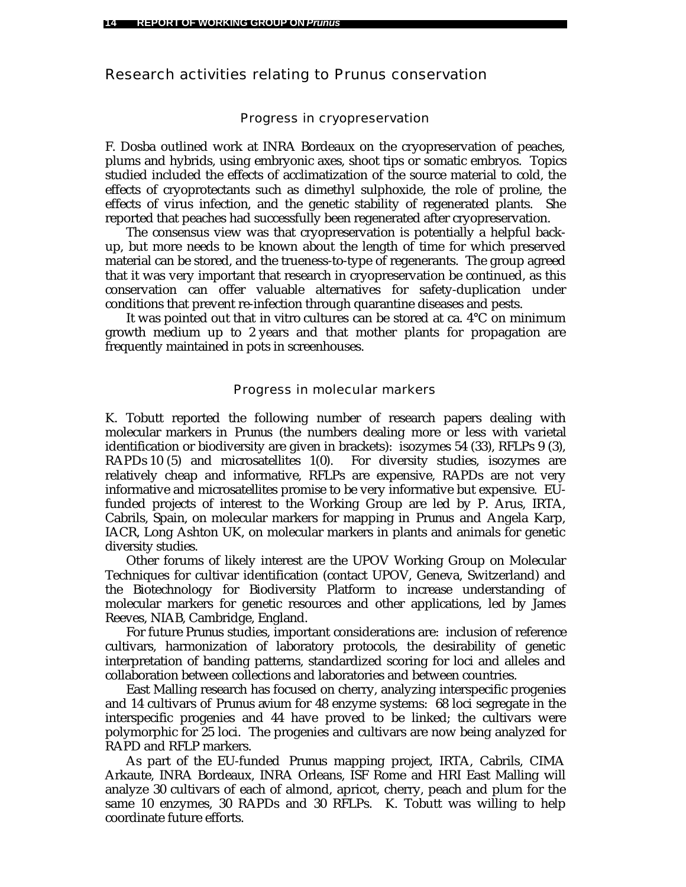# Research activities relating to *Prunus* conservation

#### Progress in cryopreservation

F. Dosba outlined work at INRA Bordeaux on the cryopreservation of peaches, plums and hybrids, using embryonic axes, shoot tips or somatic embryos. Topics studied included the effects of acclimatization of the source material to cold, the effects of cryoprotectants such as dimethyl sulphoxide, the role of proline, the effects of virus infection, and the genetic stability of regenerated plants. She reported that peaches had successfully been regenerated after cryopreservation.

The consensus view was that cryopreservation is potentially a helpful backup, but more needs to be known about the length of time for which preserved material can be stored, and the trueness-to-type of regenerants. The group agreed that it was very important that research in cryopreservation be continued, as this conservation can offer valuable alternatives for safety-duplication under conditions that prevent re-infection through quarantine diseases and pests.

It was pointed out that *in vitro* cultures can be stored at ca. 4°C on minimum growth medium up to 2 years and that mother plants for propagation are frequently maintained in pots in screenhouses.

#### Progress in molecular markers

K. Tobutt reported the following number of research papers dealing with molecular markers in *Prunus* (the numbers dealing more or less with varietal identification or biodiversity are given in brackets): isozymes 54 (33), RFLPs 9 (3), RAPDs 10 (5) and microsatellites 1(0). For diversity studies, isozymes are relatively cheap and informative, RFLPs are expensive, RAPDs are not very informative and microsatellites promise to be very informative but expensive. EUfunded projects of interest to the Working Group are led by P. Arus, IRTA, Cabrils, Spain, on molecular markers for mapping in *Prunus* and Angela Karp, IACR, Long Ashton UK, on molecular markers in plants and animals for genetic diversity studies.

Other forums of likely interest are the UPOV Working Group on Molecular Techniques for cultivar identification (contact UPOV, Geneva, Switzerland) and the Biotechnology for Biodiversity Platform to increase understanding of molecular markers for genetic resources and other applications, led by James Reeves, NIAB, Cambridge, England.

For future *Prunus* studies, important considerations are: inclusion of reference cultivars, harmonization of laboratory protocols, the desirability of genetic interpretation of banding patterns, standardized scoring for loci and alleles and collaboration between collections and laboratories and between countries.

East Malling research has focused on cherry, analyzing interspecific progenies and 14 cultivars of *Prunus avium* for 48 enzyme systems: 68 loci segregate in the interspecific progenies and 44 have proved to be linked; the cultivars were polymorphic for 25 loci. The progenies and cultivars are now being analyzed for RAPD and RFLP markers.

As part of the EU-funded *Prunus* mapping project, IRTA, Cabrils, CIMA Arkaute, INRA Bordeaux, INRA Orleans, ISF Rome and HRI East Malling will analyze 30 cultivars of each of almond, apricot, cherry, peach and plum for the same 10 enzymes, 30 RAPDs and 30 RFLPs. K. Tobutt was willing to help coordinate future efforts.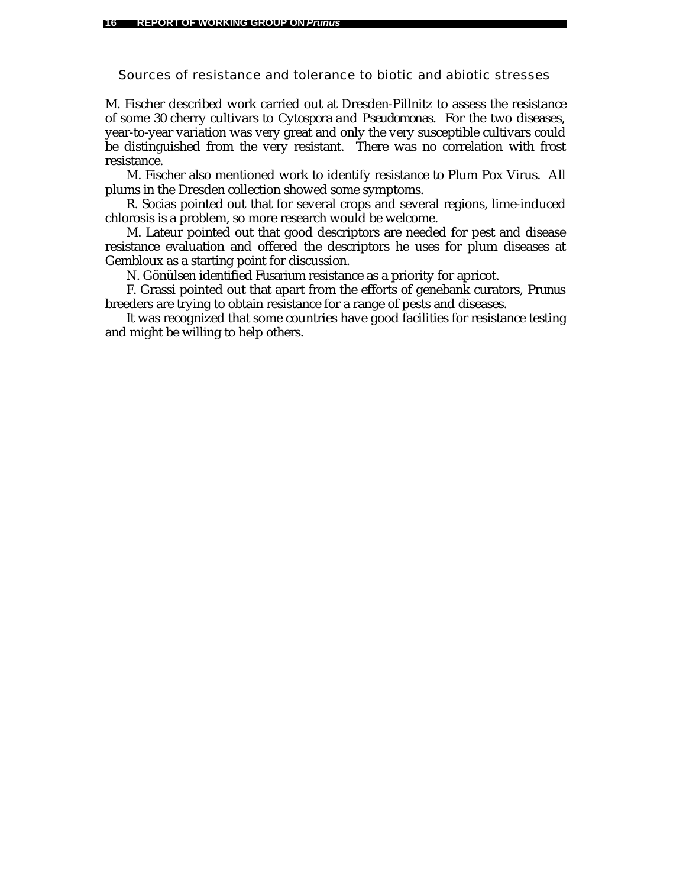Sources of resistance and tolerance to biotic and abiotic stresses

M. Fischer described work carried out at Dresden-Pillnitz to assess the resistance of some 30 cherry cultivars to *Cytospora* and *Pseudomonas*. For the two diseases, year-to-year variation was very great and only the very susceptible cultivars could be distinguished from the very resistant. There was no correlation with frost resistance.

M. Fischer also mentioned work to identify resistance to Plum Pox Virus. All plums in the Dresden collection showed some symptoms.

R. Socias pointed out that for several crops and several regions, lime-induced chlorosis is a problem, so more research would be welcome.

M. Lateur pointed out that good descriptors are needed for pest and disease resistance evaluation and offered the descriptors he uses for plum diseases at Gembloux as a starting point for discussion.

N. Gönülsen identified *Fusarium* resistance as a priority for apricot.

F. Grassi pointed out that apart from the efforts of genebank curators, *Prunus* breeders are trying to obtain resistance for a range of pests and diseases.

It was recognized that some countries have good facilities for resistance testing and might be willing to help others.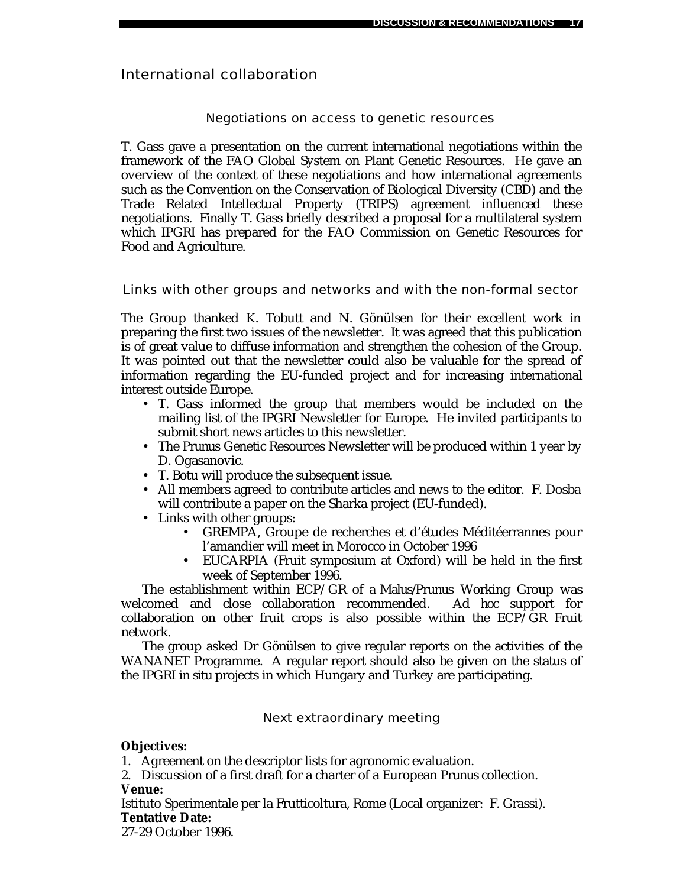# International collaboration

# Negotiations on access to genetic resources

T. Gass gave a presentation on the current international negotiations within the framework of the FAO Global System on Plant Genetic Resources. He gave an overview of the context of these negotiations and how international agreements such as the Convention on the Conservation of Biological Diversity (CBD) and the Trade Related Intellectual Property (TRIPS) agreement influenced these negotiations. Finally T. Gass briefly described a proposal for a multilateral system which IPGRI has prepared for the FAO Commission on Genetic Resources for Food and Agriculture.

Links with other groups and networks and with the non-formal sector

The Group thanked K. Tobutt and N. Gönülsen for their excellent work in preparing the first two issues of the newsletter. It was agreed that this publication is of great value to diffuse information and strengthen the cohesion of the Group. It was pointed out that the newsletter could also be valuable for the spread of information regarding the EU-funded project and for increasing international interest outside Europe.

- T. Gass informed the group that members would be included on the mailing list of the IPGRI Newsletter for Europe. He invited participants to submit short news articles to this newsletter.
- The *Prunus* Genetic Resources Newsletter will be produced within 1 year by D. Ogasanovic.
- T. Botu will produce the subsequent issue.
- All members agreed to contribute articles and news to the editor. F. Dosba will contribute a paper on the Sharka project (EU-funded).
- Links with other groups:
	- GREMPA, Groupe de recherches et d'études Méditéerrannes pour l'amandier will meet in Morocco in October 1996
	- EUCARPIA (Fruit symposium at Oxford) will be held in the first week of September 1996.

The establishment within ECP/GR of a *Malus/Prunus* Working Group was welcomed and close collaboration recommended. *Ad hoc* support for collaboration on other fruit crops is also possible within the ECP/GR Fruit network.

The group asked Dr Gönülsen to give regular reports on the activities of the WANANET Programme. A regular report should also be given on the status of the IPGRI *in situ* projects in which Hungary and Turkey are participating.

Next extraordinary meeting

# **Objectives:**

1. Agreement on the descriptor lists for agronomic evaluation.

2. Discussion of a first draft for a charter of a European *Prunus* collection. **Venue:**

Istituto Sperimentale per la Frutticoltura, Rome (Local organizer: F. Grassi). **Tentative Date:**

27-29 October 1996.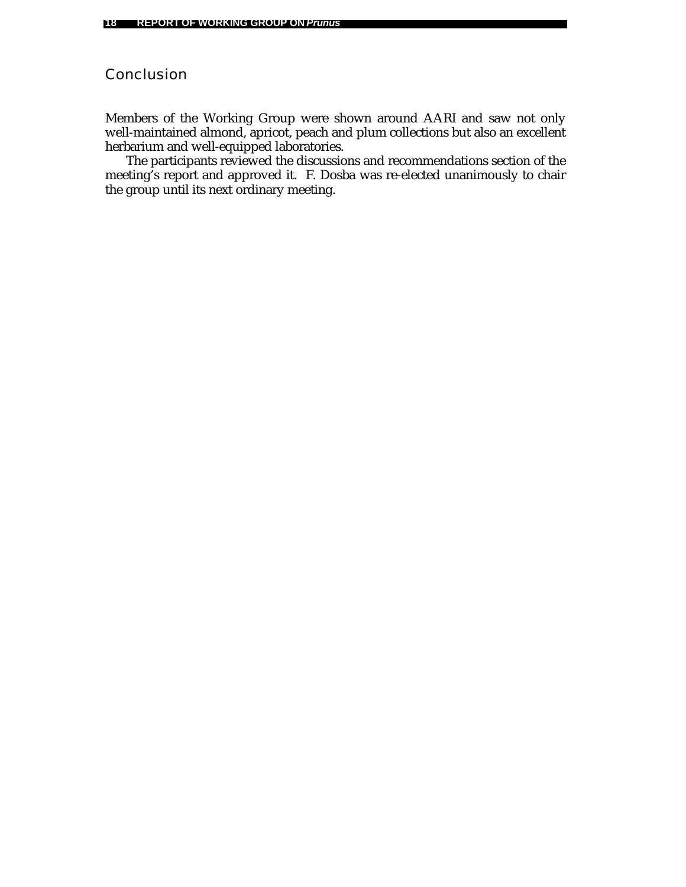# Conclusion

Members of the Working Group were shown around AARI and saw not only well-maintained almond, apricot, peach and plum collections but also an excellent herbarium and well-equipped laboratories.

The participants reviewed the discussions and recommendations section of the meeting's report and approved it. F. Dosba was re-elected unanimously to chair the group until its next ordinary meeting.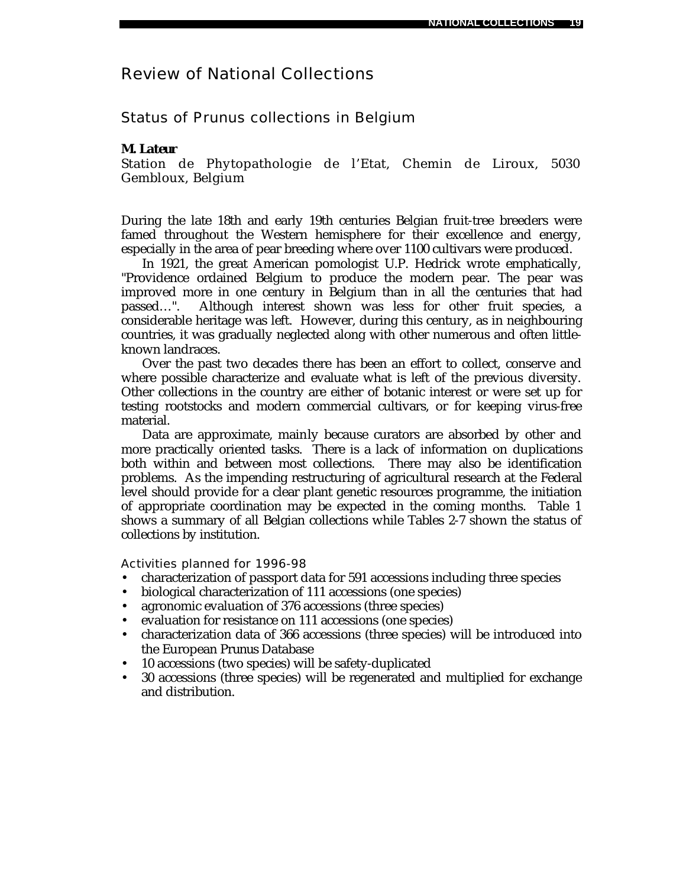# Review of National Collections

Status of *Prunus* collections in Belgium

# *M. Lateur*

Station de Phytopathologie de l'Etat, Chemin de Liroux, 5030 Gembloux, Belgium

During the late 18th and early 19th centuries Belgian fruit-tree breeders were famed throughout the Western hemisphere for their excellence and energy, especially in the area of pear breeding where over 1100 cultivars were produced.

In 1921, the great American pomologist U.P. Hedrick wrote emphatically, "Providence ordained Belgium to produce the modern pear. The pear was improved more in one century in Belgium than in all the centuries that had passed…". Although interest shown was less for other fruit species, a considerable heritage was left. However, during this century, as in neighbouring countries, it was gradually neglected along with other numerous and often littleknown landraces.

Over the past two decades there has been an effort to collect, conserve and where possible characterize and evaluate what is left of the previous diversity. Other collections in the country are either of botanic interest or were set up for testing rootstocks and modern commercial cultivars, or for keeping virus-free material.

Data are approximate, mainly because curators are absorbed by other and more practically oriented tasks. There is a lack of information on duplications both within and between most collections. There may also be identification problems. As the impending restructuring of agricultural research at the Federal level should provide for a clear plant genetic resources programme, the initiation of appropriate coordination may be expected in the coming months. Table 1 shows a summary of all Belgian collections while Tables 2-7 shown the status of collections by institution.

Activities planned for 1996-98

- characterization of passport data for 591 accessions including three species
- biological characterization of 111 accessions (one species)
- agronomic evaluation of 376 accessions (three species)
- evaluation for resistance on 111 accessions (one species)
- characterization data of 366 accessions (three species) will be introduced into the European *Prunus* Database
- 10 accessions (two species) will be safety-duplicated
- 30 accessions (three species) will be regenerated and multiplied for exchange and distribution.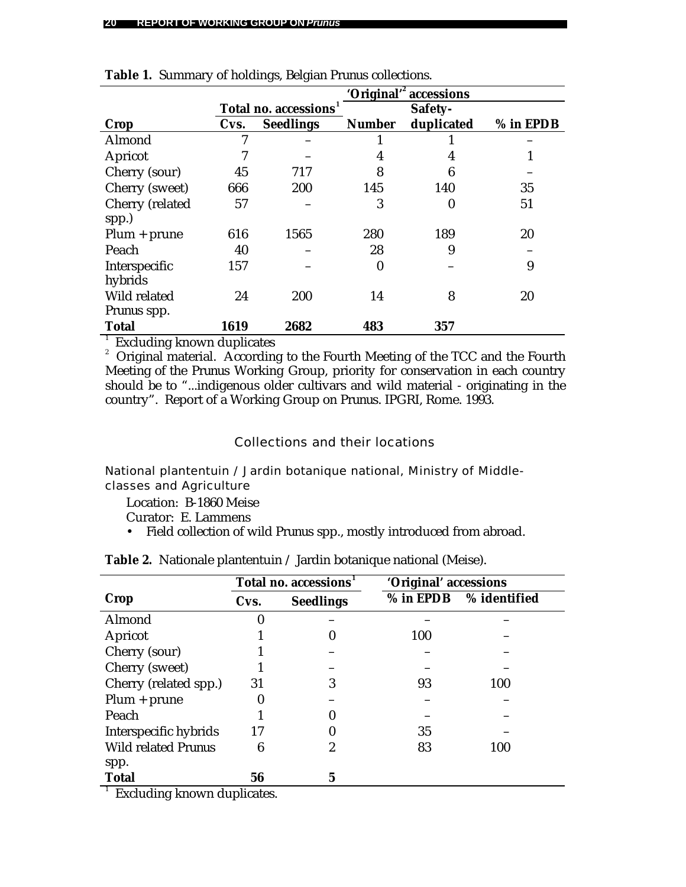|                    |      |                             |                  | 'Original' <sup>2</sup> accessions |           |
|--------------------|------|-----------------------------|------------------|------------------------------------|-----------|
|                    |      | <b>Total no. accessions</b> |                  | Safety-                            |           |
| Crop               | Cvs. | <b>Seedlings</b>            | <b>Number</b>    | duplicated                         | % in EPDB |
| Almond             | 7    |                             |                  |                                    |           |
| Apricot            |      |                             | 4                | 4                                  |           |
| Cherry (sour)      | 45   | 717                         | 8                | 6                                  |           |
| Cherry (sweet)     | 666  | 200                         | 145              | 140                                | 35        |
| Cherry (related    | 57   |                             | 3                | $\boldsymbol{0}$                   | 51        |
| spp.)              |      |                             |                  |                                    |           |
| $Plum + prune$     | 616  | 1565                        | 280              | 189                                | 20        |
| Peach              | 40   |                             | 28               | 9                                  |           |
| Interspecific      | 157  |                             | $\boldsymbol{0}$ |                                    | 9         |
| hybrids            |      |                             |                  |                                    |           |
| Wild related       | 24   | 200                         | 14               | 8                                  | 20        |
| <i>Prunus</i> spp. |      |                             |                  |                                    |           |
| <b>Total</b>       | 1619 | 2682                        | 483              | 357                                |           |

|  |  | Table 1. Summary of holdings, Belgian Prunus collections. |
|--|--|-----------------------------------------------------------|
|  |  |                                                           |

<sup>1</sup> Excluding known duplicates

<sup>2</sup> Original material. According to the Fourth Meeting of the TCC and the Fourth Meeting of the *Prunus* Working Group, priority for conservation in each country should be to "...indigenous older cultivars and wild material - originating in the country". Report of a Working Group on *Prunus*. IPGRI, Rome. 1993.

# Collections and their locations

National plantentuin / Jardin botanique national, Ministry of Middleclasses and Agriculture

Location: B-1860 Meise

Curator: E. Lammens

• Field collection of wild *Prunus* spp., mostly introduced from abroad.

|                            | Total no. accessions |                  | 'Original' accessions |              |
|----------------------------|----------------------|------------------|-----------------------|--------------|
| Crop                       | Cvs.                 | <b>Seedlings</b> | $%$ in EPDB           | % identified |
| Almond                     | O                    |                  |                       |              |
| Apricot                    |                      |                  | 100                   |              |
| Cherry (sour)              |                      |                  |                       |              |
| Cherry (sweet)             |                      |                  |                       |              |
| Cherry (related spp.)      | 31                   | 3                | 93                    | 100          |
| $Plum + prune$             |                      |                  |                       |              |
| Peach                      |                      |                  |                       |              |
| Interspecific hybrids      | 17                   |                  | 35                    |              |
| <b>Wild related Prunus</b> | 6                    | 2                | 83                    | 100          |
| spp.                       |                      |                  |                       |              |
| <b>Total</b>               | 56                   | 5                |                       |              |
| Evoluding known duplicates |                      |                  |                       |              |

| <b>Table 2.</b> Nationale plantentuin / Jardin botanique national (Meise). |  |
|----------------------------------------------------------------------------|--|
|----------------------------------------------------------------------------|--|

Excluding known duplicates.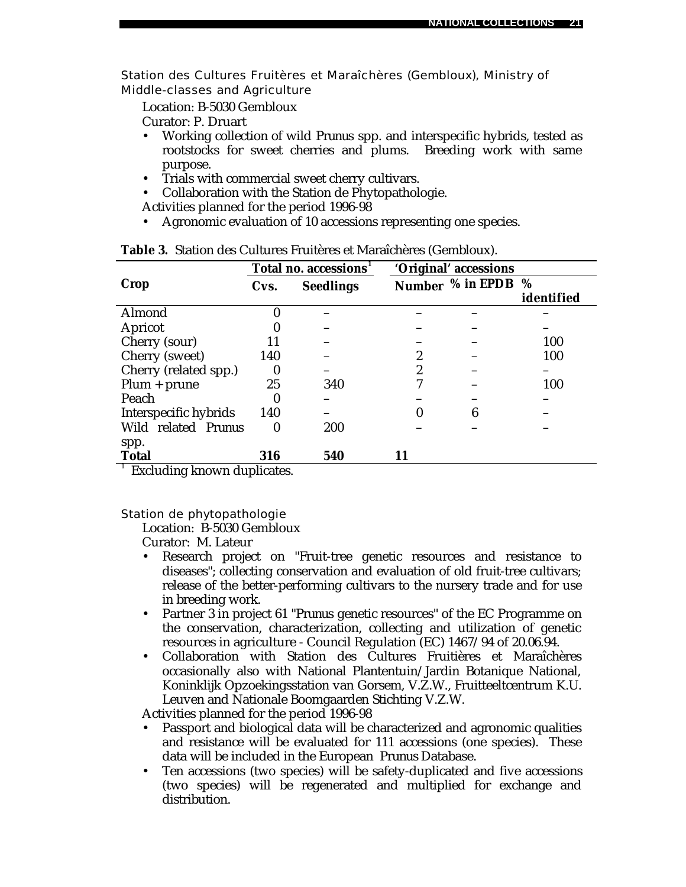Station des Cultures Fruitères et Maraîchères (Gembloux), Ministry of Middle-classes and Agriculture

Location: B-5030 Gembloux

Curator: P. Druart

- Working collection of wild *Prunus* spp. and interspecific hybrids, tested as rootstocks for sweet cherries and plums. Breeding work with same purpose.
- Trials with commercial sweet cherry cultivars.
- Collaboration with the Station de Phytopathologie.

Activities planned for the period 1996-98

• Agronomic evaluation of 10 accessions representing one species.

|                                                               |                  | Total no. accessions |    | 'Original' accessions |                 |
|---------------------------------------------------------------|------------------|----------------------|----|-----------------------|-----------------|
| Crop                                                          | Cvs.             | <b>Seedlings</b>     |    | Number % in EPDB      | %<br>identified |
| Almond                                                        | 0                |                      |    |                       |                 |
| Apricot                                                       | 0                |                      |    |                       |                 |
| Cherry (sour)                                                 | 11               |                      |    |                       | 100             |
| Cherry (sweet)                                                | 140              |                      | 2  |                       | 100             |
| Cherry (related spp.)                                         | $\boldsymbol{0}$ |                      | 2  |                       |                 |
| $Plum + prune$                                                | 25               | 340                  |    |                       | 100             |
| Peach                                                         | 0                |                      |    |                       |                 |
| Interspecific hybrids                                         | 140              |                      | 0  | 6                     |                 |
| Wild related Prunus                                           | $\boldsymbol{0}$ | 200                  |    |                       |                 |
| spp.                                                          |                  |                      |    |                       |                 |
| <b>Total</b><br>$\frac{1}{2}$ Euclidean linearns alon linears | 316              | 540                  | 11 |                       |                 |

|  |  |  |  | Table 3. Station des Cultures Fruitères et Maraîchères (Gembloux). |  |
|--|--|--|--|--------------------------------------------------------------------|--|
|--|--|--|--|--------------------------------------------------------------------|--|

Excluding known duplicates.

Station de phytopathologie

Location: B-5030 Gembloux

Curator: M. Lateur

- Research project on "Fruit-tree genetic resources and resistance to diseases"; collecting conservation and evaluation of old fruit-tree cultivars; release of the better-performing cultivars to the nursery trade and for use in breeding work.
- Partner 3 in project 61 "*Prunus* genetic resources" of the EC Programme on the conservation, characterization, collecting and utilization of genetic resources in agriculture - Council Regulation (EC) 1467/94 of 20.06.94.
- Collaboration with Station des Cultures Fruitières et Maraîchères occasionally also with National Plantentuin/Jardin Botanique National, Koninklijk Opzoekingsstation van Gorsem, V.Z.W., Fruitteeltcentrum K.U. Leuven and Nationale Boomgaarden Stichting V.Z.W.

Activities planned for the period 1996-98

- Passport and biological data will be characterized and agronomic qualities and resistance will be evaluated for 111 accessions (one species). These data will be included in the European *Prunus* Database.
- Ten accessions (two species) will be safety-duplicated and five accessions (two species) will be regenerated and multiplied for exchange and distribution.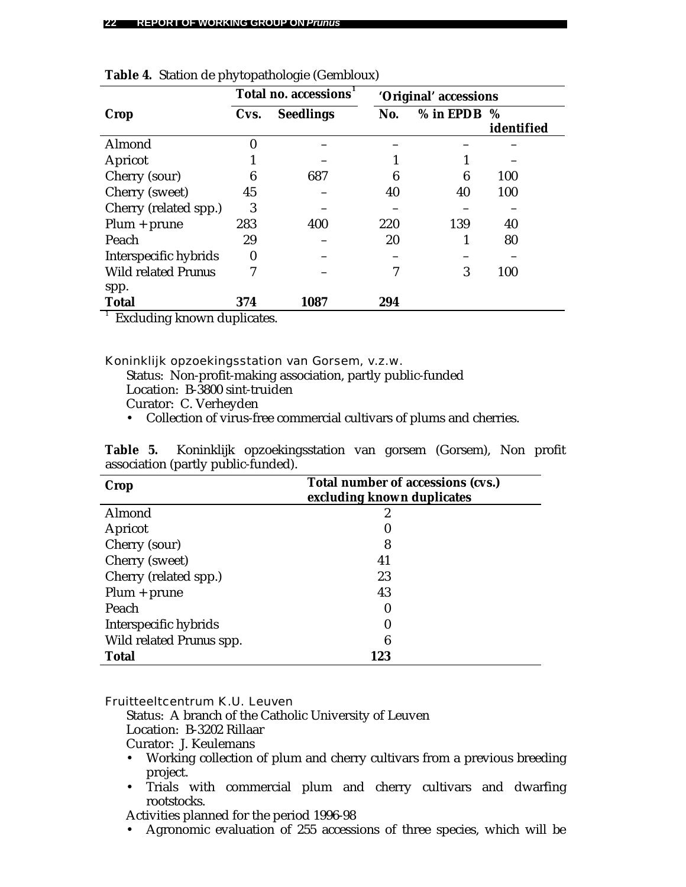|                            | Total no. accessions |                  | 'Original' accessions |             |                    |
|----------------------------|----------------------|------------------|-----------------------|-------------|--------------------|
| Crop                       | Cvs.                 | <b>Seedlings</b> | No.                   | $%$ in EPDB | $\%$<br>identified |
| Almond                     | 0                    |                  |                       |             |                    |
| Apricot                    |                      |                  |                       |             |                    |
| Cherry (sour)              | 6                    | 687              | 6                     | 6           | 100                |
| Cherry (sweet)             | 45                   |                  | 40                    | 40          | 100                |
| Cherry (related spp.)      | 3                    |                  |                       |             |                    |
| $Plum + prune$             | 283                  | 400              | 220                   | 139         | 40                 |
| Peach                      | 29                   |                  | 20                    |             | 80                 |
| Interspecific hybrids      | $\boldsymbol{0}$     |                  |                       |             |                    |
| <b>Wild related Prunus</b> | 7                    |                  | 7                     | 3           | 100                |
| spp.                       |                      |                  |                       |             |                    |
| <b>Total</b>               | 374                  | 1087             | 294                   |             |                    |

| Table 4. Station de phytopathologie (Gembloux) |  |  |  |  |  |  |  |
|------------------------------------------------|--|--|--|--|--|--|--|
|------------------------------------------------|--|--|--|--|--|--|--|

<sup>1</sup> Excluding known duplicates.

Koninklijk opzoekingsstation van Gorsem, v.z.w.

Status: Non-profit-making association, partly public-funded

Location: B-3800 sint-truiden

Curator: C. Verheyden

• Collection of virus-free commercial cultivars of plums and cherries.

|  |                                     | Table 5. Koninklijk opzoekingsstation van gorsem (Gorsem), Non profit |  |  |  |
|--|-------------------------------------|-----------------------------------------------------------------------|--|--|--|
|  | association (partly public-funded). |                                                                       |  |  |  |

| <b>Crop</b>              | Total number of accessions (cvs.)<br>excluding known duplicates |
|--------------------------|-----------------------------------------------------------------|
| Almond                   |                                                                 |
| Apricot                  |                                                                 |
| Cherry (sour)            | 8                                                               |
| Cherry (sweet)           | 41                                                              |
| Cherry (related spp.)    | 23                                                              |
| $Plum + prune$           | 43                                                              |
| Peach                    | O                                                               |
| Interspecific hybrids    |                                                                 |
| Wild related Prunus spp. | 6                                                               |
| <b>Total</b>             | 123                                                             |

Fruitteeltcentrum K.U. Leuven

Status: A branch of the Catholic University of Leuven Location: B-3202 Rillaar

Curator: J. Keulemans

- Working collection of plum and cherry cultivars from a previous breeding project.
- Trials with commercial plum and cherry cultivars and dwarfing rootstocks.

Activities planned for the period 1996-98

• Agronomic evaluation of 255 accessions of three species, which will be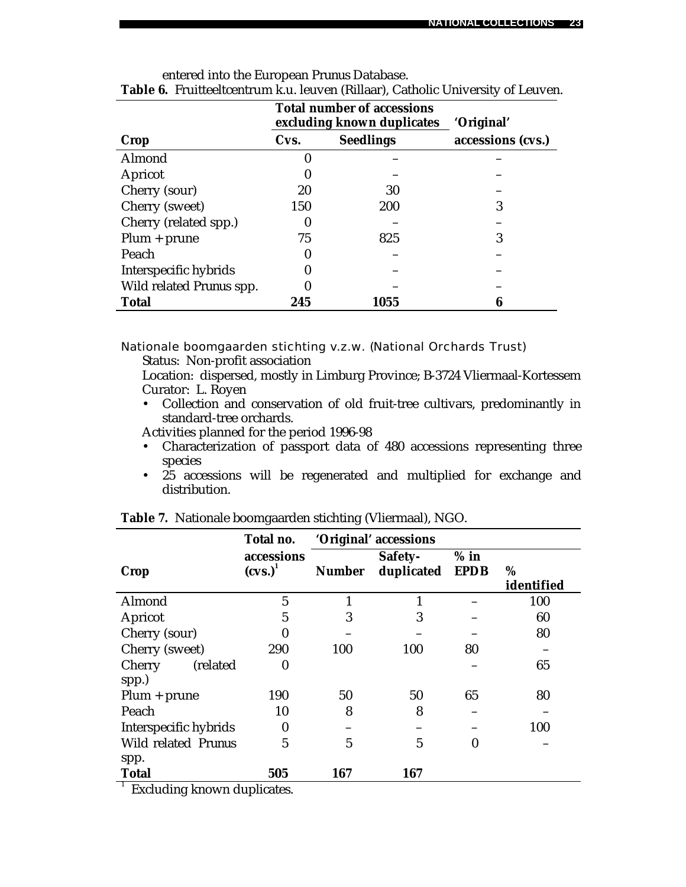|                                 |      | <b>Total number of accessions</b><br>excluding known duplicates | 'Original'        |  |
|---------------------------------|------|-----------------------------------------------------------------|-------------------|--|
| Crop                            | Cvs. | <b>Seedlings</b>                                                | accessions (cvs.) |  |
| Almond                          | 0    |                                                                 |                   |  |
| Apricot                         |      |                                                                 |                   |  |
| Cherry (sour)                   | 20   | 30                                                              |                   |  |
| Cherry (sweet)                  | 150  | 200                                                             | 3                 |  |
| Cherry (related spp.)           | 0    |                                                                 |                   |  |
| $Plum + prune$                  | 75   | 825                                                             | 3                 |  |
| Peach                           | 0    |                                                                 |                   |  |
| Interspecific hybrids           | 0    |                                                                 |                   |  |
| Wild related <i>Prunus</i> spp. | 0    |                                                                 |                   |  |
| <b>Total</b>                    | 245  | 1055                                                            |                   |  |

| entered into the European Prunus Database.                                              |  |  |  |
|-----------------------------------------------------------------------------------------|--|--|--|
| <b>Table 6.</b> Fruitteeltcentrum k.u. leuven (Rillaar), Catholic University of Leuven. |  |  |  |

Nationale boomgaarden stichting v.z.w. (National Orchards Trust)

Status: Non-profit association

Location: dispersed, mostly in Limburg Province; B-3724 Vliermaal-Kortessem Curator: L. Royen

• Collection and conservation of old fruit-tree cultivars, predominantly in standard-tree orchards.

Activities planned for the period 1996-98

- Characterization of passport data of 480 accessions representing three species
- 25 accessions will be regenerated and multiplied for exchange and distribution.

|                                                             | Total no.                |               | 'Original' accessions |                       |                 |
|-------------------------------------------------------------|--------------------------|---------------|-----------------------|-----------------------|-----------------|
| Crop                                                        | accessions<br>$(cvs.)^1$ | <b>Number</b> | Safety-<br>duplicated | $%$ in<br><b>EPDB</b> | %<br>identified |
| Almond                                                      | $\mathbf{5}$             |               |                       |                       | 100             |
| Apricot                                                     | 5                        | 3             | 3                     |                       | 60              |
| Cherry (sour)                                               | 0                        |               |                       |                       | 80              |
| Cherry (sweet)                                              | 290                      | 100           | 100                   | 80                    |                 |
| Cherry (related                                             | $\bf{0}$                 |               |                       |                       | 65              |
| spp.)<br>$Plum + prune$                                     | 190                      | 50            | 50                    | 65                    | 80              |
| Peach                                                       | 10                       | 8             | 8                     |                       |                 |
| Interspecific hybrids                                       | $\bf{0}$                 |               |                       |                       | 100             |
| Wild related Prunus                                         | 5                        | 5             | $\overline{5}$        | 0                     |                 |
| spp.                                                        |                          |               |                       |                       |                 |
| <b>Total</b>                                                | 505                      | 167           | 167                   |                       |                 |
| $^{-1}$ . Each collinear linear composition of the state of |                          |               |                       |                       |                 |

|  |  | Table 7. Nationale boomgaarden stichting (Vliermaal), NGO. |  |  |  |
|--|--|------------------------------------------------------------|--|--|--|
|--|--|------------------------------------------------------------|--|--|--|

Excluding known duplicates.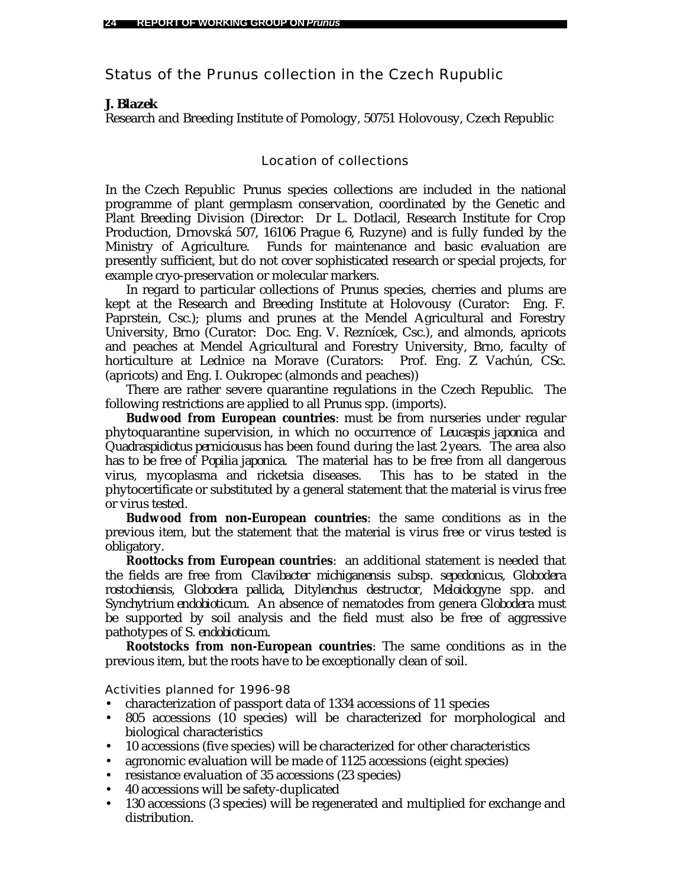Status of the *Prunus* collection in the Czech Rupublic

# *J. Blazek*

Research and Breeding Institute of Pomology, 50751 Holovousy, Czech Republic

# Location of collections

In the Czech Republic *Prunus* species collections are included in the national programme of plant germplasm conservation, coordinated by the Genetic and Plant Breeding Division (Director: Dr L. Dotlacil, Research Institute for Crop Production, Drnovská 507, 16106 Prague 6, Ruzyne) and is fully funded by the Ministry of Agriculture. Funds for maintenance and basic evaluation are presently sufficient, but do not cover sophisticated research or special projects, for example cryo-preservation or molecular markers.

In regard to particular collections of *Prunus* species, cherries and plums are kept at the Research and Breeding Institute at Holovousy (Curator: Eng. F. Paprstein, Csc.); plums and prunes at the Mendel Agricultural and Forestry University, Brno (Curator: Doc. Eng. V. Reznícek, Csc.), and almonds, apricots and peaches at Mendel Agricultural and Forestry University, Brno, faculty of horticulture at Lednice na Morave (Curators: Prof. Eng. Z Vachún, CSc. (apricots) and Eng. I. Oukropec (almonds and peaches))

There are rather severe quarantine regulations in the Czech Republic. The following restrictions are applied to all *Prunus* spp. (imports).

**Budwood from European countries**: must be from nurseries under regular phytoquarantine supervision, in which no occurrence of *Leucaspis japonica* and *Quadraspidiotus perniciousus* has been found during the last 2 years. The area also has to be free of *Popilia japonica*. The material has to be free from all dangerous virus, mycoplasma and ricketsia diseases. This has to be stated in the phytocertificate or substituted by a general statement that the material is virus free or virus tested.

**Budwood from non-European countries**: the same conditions as in the previous item, but the statement that the material is virus free or virus tested is obligatory.

**Roottocks from European countries**: an additional statement is needed that the fields are free from *Clavibacter michiganensis* subsp. *sepedonicus, Globodera rostochiensis*, *Globodera pallida*, *Ditylenchus destructor*, *Meloidogyne* spp. and *Synchytrium endobioticum*. An absence of nematodes from genera *Globodera* must be supported by soil analysis and the field must also be free of aggressive pathotypes of *S. endobioticum*.

**Rootstocks from non-European countries**: The same conditions as in the previous item, but the roots have to be exceptionally clean of soil.

Activities planned for 1996-98

- characterization of passport data of 1334 accessions of 11 species
- 805 accessions (10 species) will be characterized for morphological and biological characteristics
- 10 accessions (five species) will be characterized for other characteristics
- agronomic evaluation will be made of 1125 accessions (eight species)
- resistance evaluation of 35 accessions (23 species)
- 40 accessions will be safety-duplicated
- 130 accessions (3 species) will be regenerated and multiplied for exchange and distribution.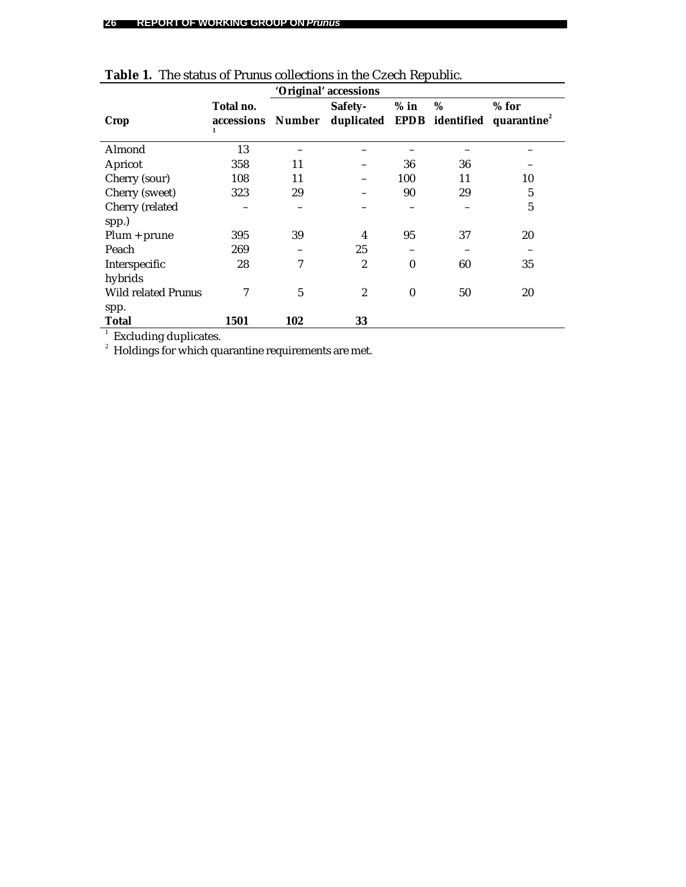|                                                                                              |                              |            | 'Original' accessions                 |          |    |                                    |
|----------------------------------------------------------------------------------------------|------------------------------|------------|---------------------------------------|----------|----|------------------------------------|
| Crop                                                                                         | Total no.<br>accessions<br>1 | Number     | Safety-<br>duplicated EPDB identified | $%$ in   | %  | $%$ for<br>quarantine <sup>2</sup> |
| Almond                                                                                       | 13                           |            |                                       |          |    |                                    |
| Apricot                                                                                      | 358                          | 11         |                                       | 36       | 36 |                                    |
| Cherry (sour)                                                                                | 108                          | 11         |                                       | 100      | 11 | 10                                 |
| Cherry (sweet)                                                                               | 323                          | 29         |                                       | 90       | 29 | 5                                  |
| Cherry (related<br>spp.)                                                                     |                              |            |                                       |          |    | 5                                  |
| $Plum + prune$                                                                               | 395                          | 39         | 4                                     | 95       | 37 | 20                                 |
| Peach                                                                                        | 269                          |            | 25                                    |          |    |                                    |
| Interspecific<br>hybrids                                                                     | 28                           | 7          | 2                                     | $\bf{0}$ | 60 | 35                                 |
| <b>Wild related Prunus</b><br>spp.                                                           | 7                            | $\sqrt{5}$ | $\overline{c}$                        | $\bf{0}$ | 50 | 20                                 |
| <b>Total</b>                                                                                 | 1501                         | 102        | 33                                    |          |    |                                    |
| $\mathbf{1}$<br>Excluding duplicates.<br>Holdings for which quarantine requirements are met. |                              |            |                                       |          |    |                                    |

| <b>Table 1.</b> The status of <i>Prunus</i> collections in the Czech Republic. |  |
|--------------------------------------------------------------------------------|--|
| $\sim$ $\sim$ $\sim$ $\sim$ $\sim$                                             |  |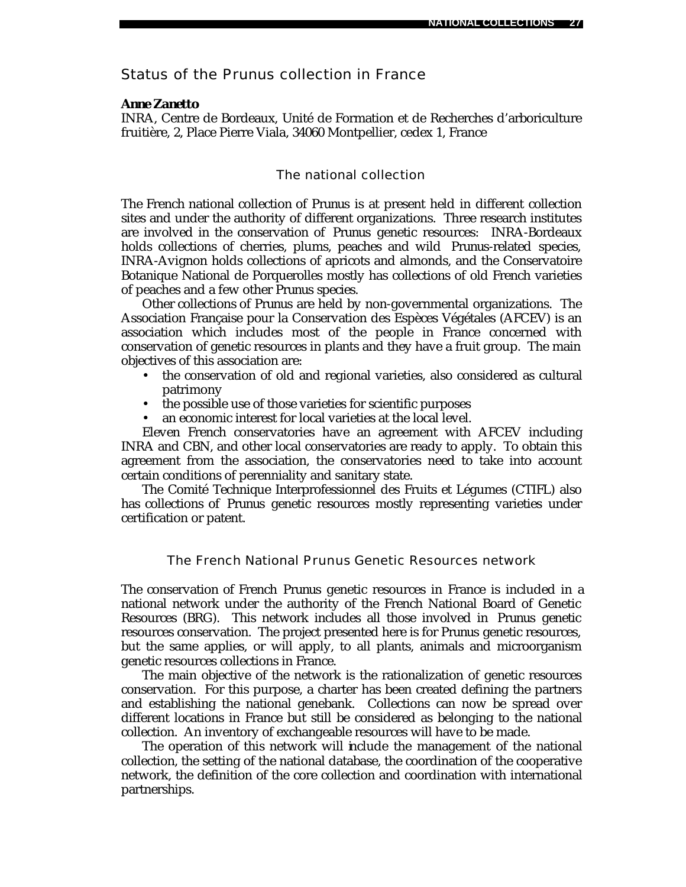# Status of the *Prunus* collection in France

#### *Anne Zanetto*

INRA, Centre de Bordeaux, Unité de Formation et de Recherches d'arboriculture fruitière, 2, Place Pierre Viala, 34060 Montpellier, cedex 1, France

### The national collection

The French national collection of *Prunus* is at present held in different collection sites and under the authority of different organizations. Three research institutes are involved in the conservation of *Prunus* genetic resources: INRA-Bordeaux holds collections of cherries, plums, peaches and wild *Prunus*-related species, INRA-Avignon holds collections of apricots and almonds, and the Conservatoire Botanique National de Porquerolles mostly has collections of old French varieties of peaches and a few other *Prunus* species.

Other collections of *Prunus* are held by non-governmental organizations. The Association Française pour la Conservation des Espèces Végétales (AFCEV) is an association which includes most of the people in France concerned with conservation of genetic resources in plants and they have a fruit group. The main objectives of this association are:

- the conservation of old and regional varieties, also considered as cultural patrimony
- the possible use of those varieties for scientific purposes
- an economic interest for local varieties at the local level.

Eleven French conservatories have an agreement with AFCEV including INRA and CBN, and other local conservatories are ready to apply. To obtain this agreement from the association, the conservatories need to take into account certain conditions of perenniality and sanitary state.

The Comité Technique Interprofessionnel des Fruits et Légumes (CTIFL) also has collections of *Prunus* genetic resources mostly representing varieties under certification or patent.

# The French National *Prunus* Genetic Resources network

The conservation of French *Prunus* genetic resources in France is included in a national network under the authority of the French National Board of Genetic Resources (BRG). This network includes all those involved in *Prunus* genetic resources conservation. The project presented here is for *Prunus* genetic resources, but the same applies, or will apply, to all plants, animals and microorganism genetic resources collections in France.

The main objective of the network is the rationalization of genetic resources conservation. For this purpose, a charter has been created defining the partners and establishing the national genebank. Collections can now be spread over different locations in France but still be considered as belonging to the national collection. An inventory of exchangeable resources will have to be made.

The operation of this network will include the management of the national collection, the setting of the national database, the coordination of the cooperative network, the definition of the core collection and coordination with international partnerships.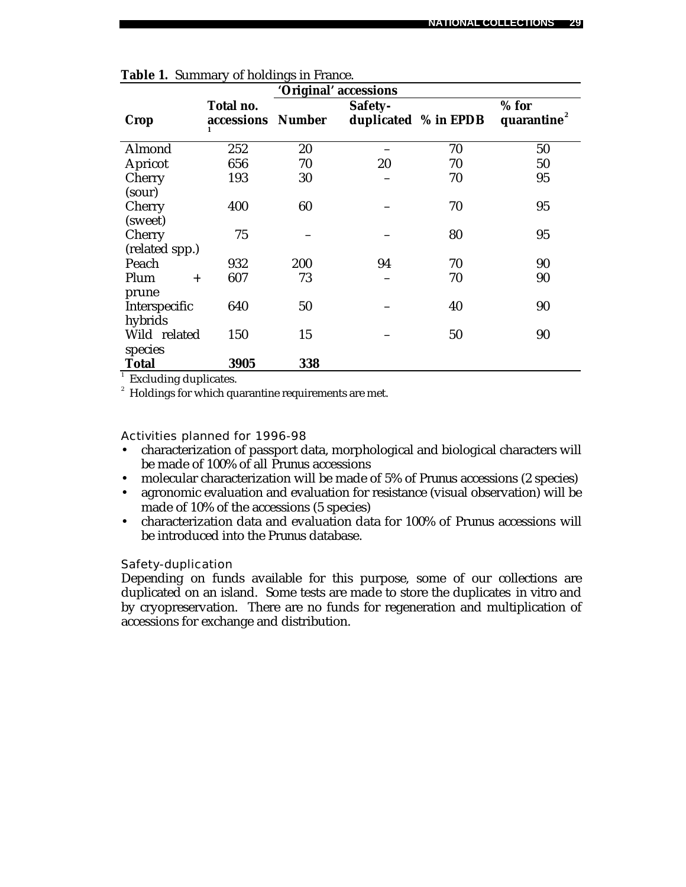|                |                         | 'Original' accessions |         |                      |                                    |
|----------------|-------------------------|-----------------------|---------|----------------------|------------------------------------|
| <b>Crop</b>    | Total no.<br>accessions | <b>Number</b>         | Safety- | duplicated % in EPDB | $%$ for<br>quarantine <sup>2</sup> |
| Almond         | 252                     | 20                    |         | 70                   | 50                                 |
| Apricot        | 656                     | 70                    | 20      | 70                   | 50                                 |
| Cherry         | 193                     | 30                    |         | 70                   | 95                                 |
| (sour)         |                         |                       |         |                      |                                    |
| Cherry         | 400                     | 60                    |         | 70                   | 95                                 |
| (sweet)        |                         |                       |         |                      |                                    |
| Cherry         | 75                      |                       |         | 80                   | 95                                 |
| (related spp.) |                         |                       |         |                      |                                    |
| Peach          | 932                     | 200                   | 94      | 70                   | 90                                 |
| Plum<br>$^{+}$ | 607                     | 73                    |         | 70                   | 90                                 |
| prune          |                         |                       |         |                      |                                    |
| Interspecific  | 640                     | 50                    |         | 40                   | 90                                 |
| hybrids        |                         |                       |         |                      |                                    |
| Wild related   | 150                     | 15                    |         | 50                   | 90                                 |
| species        |                         |                       |         |                      |                                    |
| Total          | 3905                    | 338                   |         |                      |                                    |

|  |  | Table 1. Summary of holdings in France. |  |
|--|--|-----------------------------------------|--|
|--|--|-----------------------------------------|--|

<sup>1</sup> Excluding duplicates.

 $^{\text{2}}\,$  Holdings for which quarantine requirements are met.

Activities planned for 1996-98

- characterization of passport data, morphological and biological characters will be made of 100% of all *Prunus* accessions
- molecular characterization will be made of 5% of *Prunus* accessions (2 species)
- agronomic evaluation and evaluation for resistance (visual observation) will be made of 10% of the accessions (5 species)
- characterization data and evaluation data for 100% of *Prunus* accessions will be introduced into the *Prunus* database*.*

#### Safety-duplication

Depending on funds available for this purpose, some of our collections are duplicated on an island. Some tests are made to store the duplicates *in vitro* and by cryopreservation. There are no funds for regeneration and multiplication of accessions for exchange and distribution.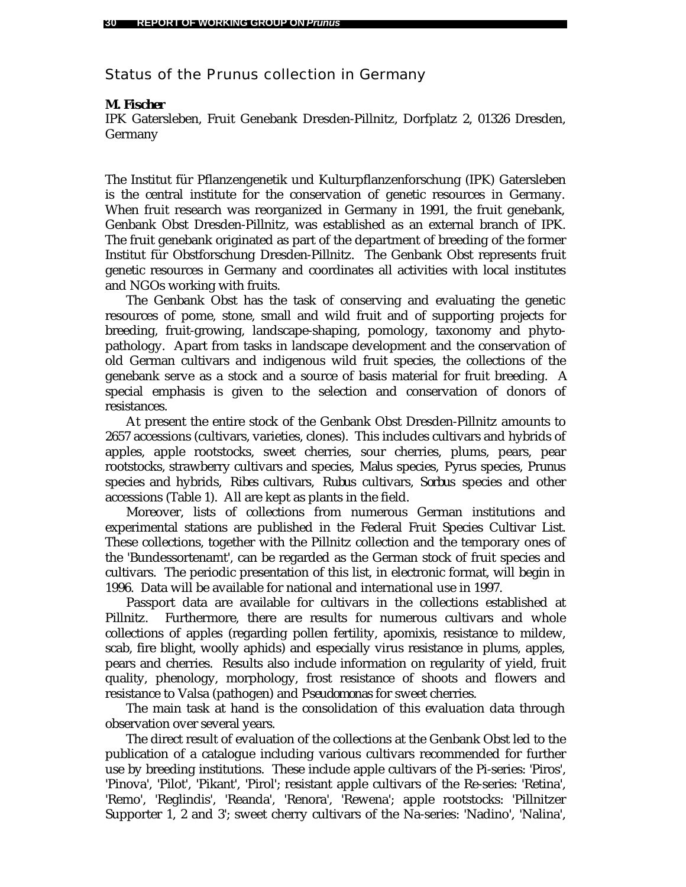Status of the *Prunus* collection in Germany

### *M. Fischer*

IPK Gatersleben, Fruit Genebank Dresden-Pillnitz, Dorfplatz 2, 01326 Dresden, Germany

The Institut für Pflanzengenetik und Kulturpflanzenforschung (IPK) Gatersleben is the central institute for the conservation of genetic resources in Germany. When fruit research was reorganized in Germany in 1991, the fruit genebank, Genbank Obst Dresden-Pillnitz, was established as an external branch of IPK. The fruit genebank originated as part of the department of breeding of the former Institut für Obstforschung Dresden-Pillnitz. The Genbank Obst represents fruit genetic resources in Germany and coordinates all activities with local institutes and NGOs working with fruits.

The Genbank Obst has the task of conserving and evaluating the genetic resources of pome, stone, small and wild fruit and of supporting projects for breeding, fruit-growing, landscape-shaping, pomology, taxonomy and phytopathology. Apart from tasks in landscape development and the conservation of old German cultivars and indigenous wild fruit species, the collections of the genebank serve as a stock and a source of basis material for fruit breeding. A special emphasis is given to the selection and conservation of donors of resistances.

At present the entire stock of the Genbank Obst Dresden-Pillnitz amounts to 2657 accessions (cultivars, varieties, clones). This includes cultivars and hybrids of apples, apple rootstocks, sweet cherries, sour cherries, plums, pears, pear rootstocks, strawberry cultivars and species, *Malus* species, *Pyrus* species, *Prunus* species and hybrids, *Ribes* cultivars, *Rubus* cultivars, *Sorbus* species and other accessions (Table 1). All are kept as plants in the field.

Moreover, lists of collections from numerous German institutions and experimental stations are published in the Federal Fruit Species Cultivar List. These collections, together with the Pillnitz collection and the temporary ones of the 'Bundessortenamt', can be regarded as the German stock of fruit species and cultivars. The periodic presentation of this list, in electronic format, will begin in 1996. Data will be available for national and international use in 1997.

Passport data are available for cultivars in the collections established at Pillnitz. Furthermore, there are results for numerous cultivars and whole collections of apples (regarding pollen fertility, apomixis, resistance to mildew, scab, fire blight, woolly aphids) and especially virus resistance in plums, apples, pears and cherries. Results also include information on regularity of yield, fruit quality, phenology, morphology, frost resistance of shoots and flowers and resistance to Valsa (pathogen) and *Pseudomonas* for sweet cherries.

The main task at hand is the consolidation of this evaluation data through observation over several years.

The direct result of evaluation of the collections at the Genbank Obst led to the publication of a catalogue including various cultivars recommended for further use by breeding institutions. These include apple cultivars of the Pi-series: 'Piros', 'Pinova', 'Pilot', 'Pikant', 'Pirol'; resistant apple cultivars of the Re-series: 'Retina', 'Remo', 'Reglindis', 'Reanda', 'Renora', 'Rewena'; apple rootstocks: 'Pillnitzer Supporter 1, 2 and 3'; sweet cherry cultivars of the Na-series: 'Nadino', 'Nalina',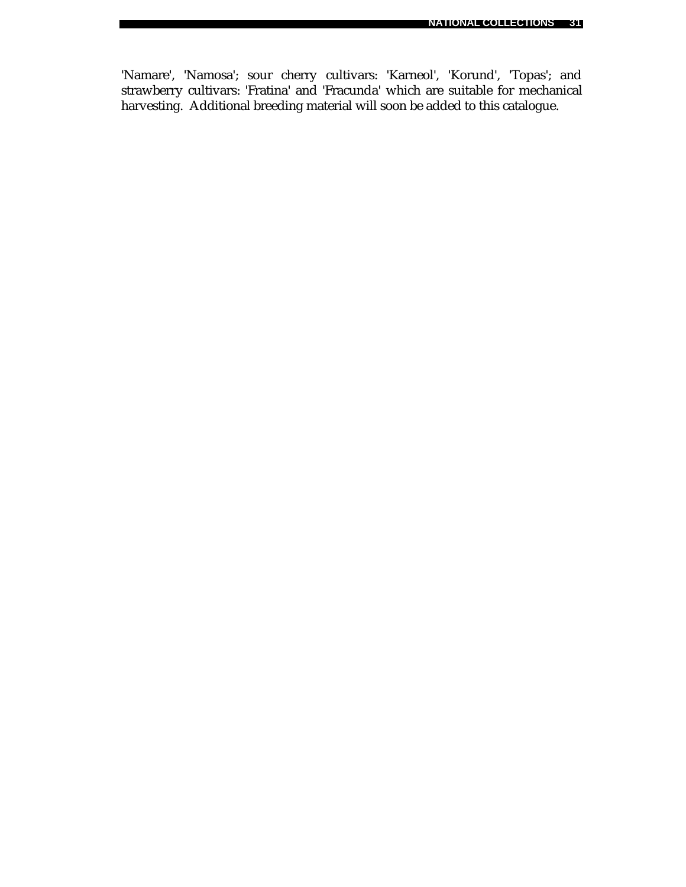'Namare', 'Namosa'; sour cherry cultivars: 'Karneol', 'Korund', 'Topas'; and strawberry cultivars: 'Fratina' and 'Fracunda' which are suitable for mechanical harvesting. Additional breeding material will soon be added to this catalogue.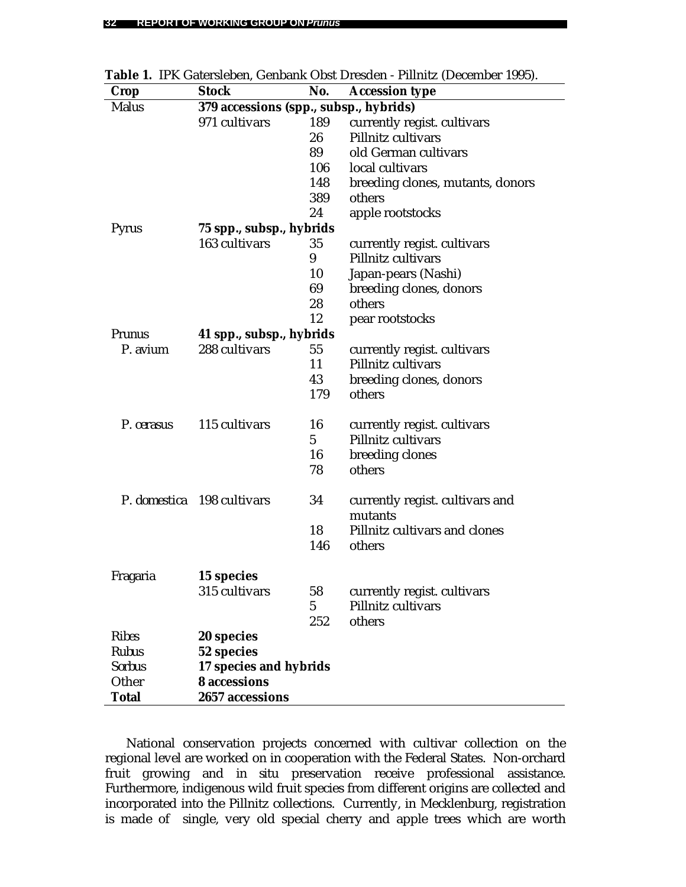| Crop          | <b>Stock</b>                           | No.             | <b>Accession type</b>            |  |  |
|---------------|----------------------------------------|-----------------|----------------------------------|--|--|
| <b>Malus</b>  | 379 accessions (spp., subsp., hybrids) |                 |                                  |  |  |
|               | 971 cultivars                          | 189             | currently regist. cultivars      |  |  |
|               |                                        | 26              | Pillnitz cultivars               |  |  |
|               |                                        | 89              | old German cultivars             |  |  |
|               |                                        | 106             | local cultivars                  |  |  |
|               |                                        | 148             | breeding clones, mutants, donors |  |  |
|               |                                        | 389             | others                           |  |  |
|               |                                        | 24              | apple rootstocks                 |  |  |
| Pyrus         | 75 spp., subsp., hybrids               |                 |                                  |  |  |
|               | 163 cultivars                          | 35              | currently regist. cultivars      |  |  |
|               |                                        | 9               | Pillnitz cultivars               |  |  |
|               |                                        | 10              | Japan-pears (Nashi)              |  |  |
|               |                                        | 69              | breeding clones, donors          |  |  |
|               |                                        | 28              | others                           |  |  |
|               |                                        | 12              | pear rootstocks                  |  |  |
| Prunus        | 41 spp., subsp., hybrids               |                 |                                  |  |  |
| P. avium      | 288 cultivars                          | 55              | currently regist. cultivars      |  |  |
|               |                                        | 11              | Pillnitz cultivars               |  |  |
|               |                                        | 43              | breeding clones, donors          |  |  |
|               |                                        | 179             | others                           |  |  |
| P. cerasus    | 115 cultivars                          | 16              | currently regist. cultivars      |  |  |
|               |                                        | 5               | Pillnitz cultivars               |  |  |
|               |                                        | 16              | breeding clones                  |  |  |
|               |                                        | 78              | others                           |  |  |
|               | P. domestica 198 cultivars             | 34              | currently regist. cultivars and  |  |  |
|               |                                        |                 | mutants                          |  |  |
|               |                                        | 18              | Pillnitz cultivars and clones    |  |  |
|               |                                        | 146             | others                           |  |  |
| Fragaria      | 15 species                             |                 |                                  |  |  |
|               | 315 cultivars                          | 58              | currently regist. cultivars      |  |  |
|               |                                        | $5\overline{)}$ | Pillnitz cultivars               |  |  |
|               |                                        | 252             | others                           |  |  |
| <b>Ribes</b>  | 20 species                             |                 |                                  |  |  |
| <b>Rubus</b>  | 52 species                             |                 |                                  |  |  |
| <b>Sorbus</b> | 17 species and hybrids                 |                 |                                  |  |  |
| Other         | <b>8</b> accessions                    |                 |                                  |  |  |
| <b>Total</b>  | 2657 accessions                        |                 |                                  |  |  |

**Table 1.** IPK Gatersleben, Genbank Obst Dresden - Pillnitz (December 1995).

National conservation projects concerned with cultivar collection on the regional level are worked on in cooperation with the Federal States. Non-orchard fruit growing and *in situ* preservation receive professional assistance. Furthermore, indigenous wild fruit species from different origins are collected and incorporated into the Pillnitz collections. Currently, in Mecklenburg, registration is made of single, very old special cherry and apple trees which are worth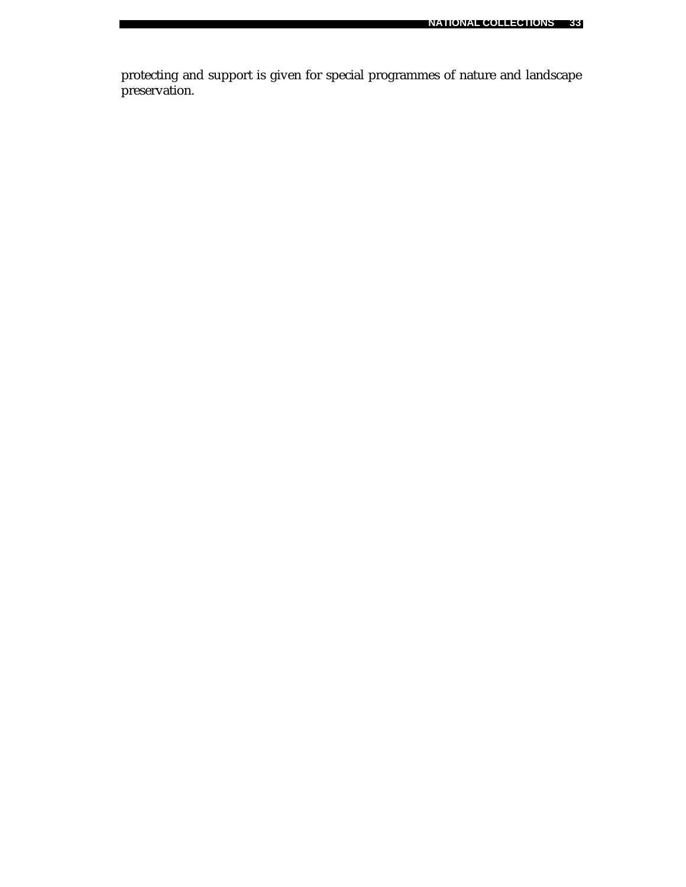protecting and support is given for special programmes of nature and landscape preservation.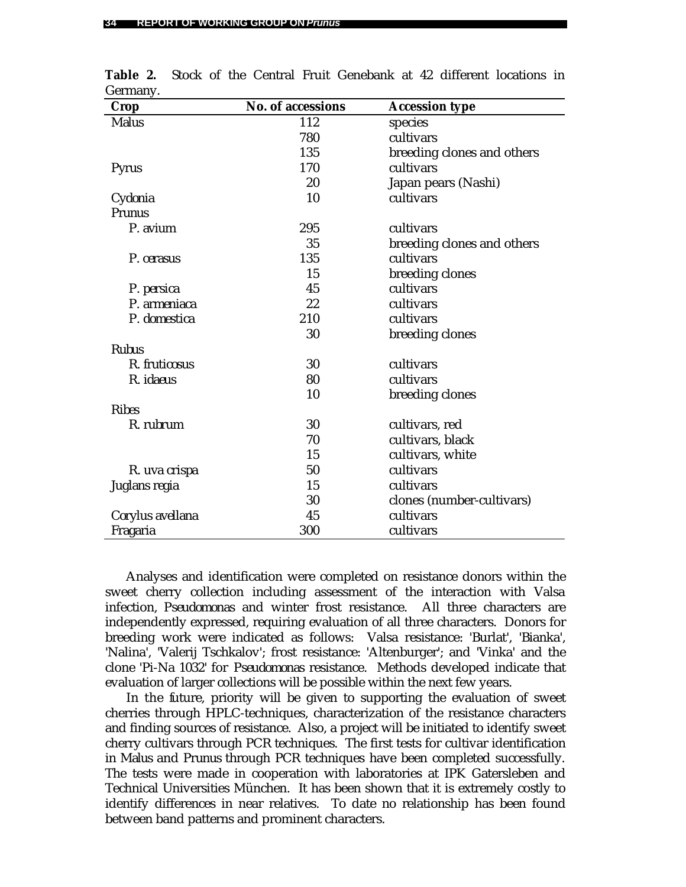| <b>Crop</b>      | No. of accessions | <b>Accession type</b>      |
|------------------|-------------------|----------------------------|
| <b>Malus</b>     | 112               | species                    |
|                  | 780               | cultivars                  |
|                  | 135               | breeding clones and others |
| Pyrus            | 170               | cultivars                  |
|                  | 20                | Japan pears (Nashi)        |
| Cydonia          | 10                | cultivars                  |
| Prunus           |                   |                            |
| P. avium         | 295               | cultivars                  |
|                  | 35                | breeding clones and others |
| P. cerasus       | 135               | cultivars                  |
|                  | 15                | breeding clones            |
| P. persica       | 45                | cultivars                  |
| P. armeniaca     | 22                | cultivars                  |
| P. domestica     | 210               | cultivars                  |
|                  | 30                | breeding clones            |
| <b>Rubus</b>     |                   |                            |
| R. fruticosus    | 30                | cultivars                  |
| R. idaeus        | 80                | cultivars                  |
|                  | 10                | breeding clones            |
| <b>Ribes</b>     |                   |                            |
| R. rubrum        | 30                | cultivars, red             |
|                  | 70                | cultivars, black           |
|                  | 15                | cultivars, white           |
| R. uva crispa    | 50                | cultivars                  |
| Juglans regia    | 15                | cultivars                  |
|                  | 30                | clones (number-cultivars)  |
| Corylus avellana | 45                | cultivars                  |
| Fragaria         | 300               | cultivars                  |

**Table 2.** Stock of the Central Fruit Genebank at 42 different locations in Germany.

Analyses and identification were completed on resistance donors within the sweet cherry collection including assessment of the interaction with Valsa infection, *Pseudomonas* and winter frost resistance. All three characters are independently expressed, requiring evaluation of all three characters. Donors for breeding work were indicated as follows: Valsa resistance: 'Burlat', 'Bianka', 'Nalina', 'Valerij Tschkalov'; frost resistance: 'Altenburger'; and 'Vinka' and the clone 'Pi-Na 1032' for *Pseudomonas* resistance. Methods developed indicate that evaluation of larger collections will be possible within the next few years.

In the future, priority will be given to supporting the evaluation of sweet cherries through HPLC-techniques, characterization of the resistance characters and finding sources of resistance. Also, a project will be initiated to identify sweet cherry cultivars through PCR techniques. The first tests for cultivar identification in *Malus* and *Prunus* through PCR techniques have been completed successfully. The tests were made in cooperation with laboratories at IPK Gatersleben and Technical Universities München. It has been shown that it is extremely costly to identify differences in near relatives. To date no relationship has been found between band patterns and prominent characters.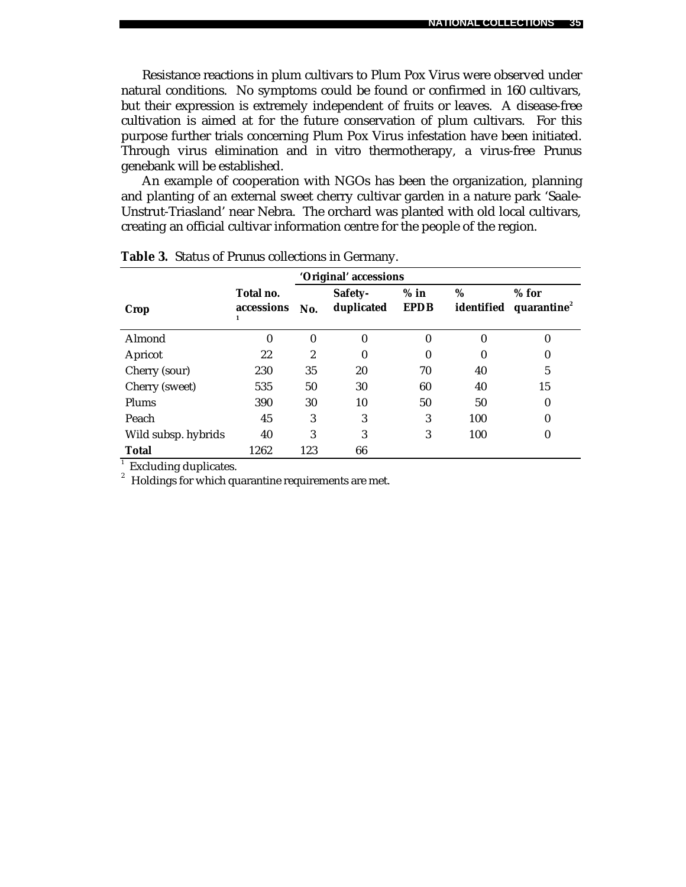Resistance reactions in plum cultivars to Plum Pox Virus were observed under natural conditions. No symptoms could be found or confirmed in 160 cultivars, but their expression is extremely independent of fruits or leaves. A disease-free cultivation is aimed at for the future conservation of plum cultivars. For this purpose further trials concerning Plum Pox Virus infestation have been initiated. Through virus elimination and *in vitro* thermotherapy, a virus-free *Prunus* genebank will be established.

An example of cooperation with NGOs has been the organization, planning and planting of an external sweet cherry cultivar garden in a nature park 'Saale-Unstrut-Triasland' near Nebra. The orchard was planted with old local cultivars, creating an official cultivar information centre for the people of the region.

| 'Original' accessions |                         |          |                       |                       |                 |                                    |  |
|-----------------------|-------------------------|----------|-----------------------|-----------------------|-----------------|------------------------------------|--|
| Crop                  | Total no.<br>accessions | No.      | Safety-<br>duplicated | $%$ in<br><b>EPDB</b> | %<br>identified | $%$ for<br>quarantine <sup>2</sup> |  |
| Almond                | 0                       | $\theta$ | 0                     | $\mathbf{0}$          | $\theta$        | $\mathbf{0}$                       |  |
| Apricot               | 22                      | 2        | 0                     | $\bf{0}$              | $\mathbf{0}$    | 0                                  |  |
| Cherry (sour)         | 230                     | 35       | 20                    | 70                    | 40              | 5                                  |  |
| Cherry (sweet)        | 535                     | 50       | 30                    | 60                    | 40              | 15                                 |  |
| Plums                 | 390                     | 30       | 10                    | 50                    | 50              | 0                                  |  |
| Peach                 | 45                      | 3        | 3                     | 3                     | 100             | $\theta$                           |  |
| Wild subsp. hybrids   | 40                      | 3        | 3                     | 3                     | 100             | 0                                  |  |
| <b>Total</b>          | 1262                    | 123      | 66                    |                       |                 |                                    |  |

**Table 3.** Status of *Prunus* collections in Germany.

<sup>1</sup> Excluding duplicates.

 $2^{2}$  Holdings for which quarantine requirements are met.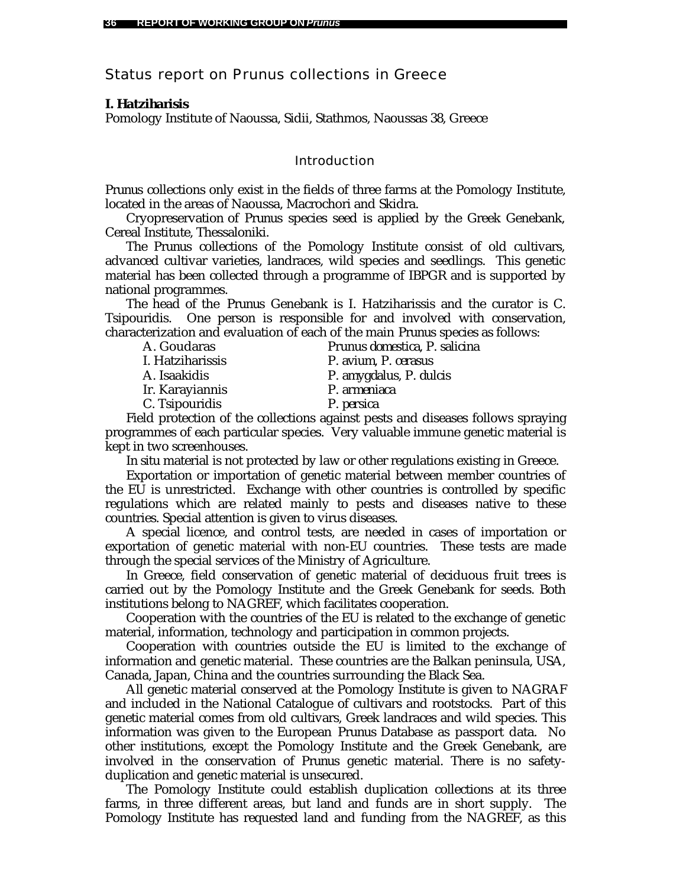# Status report on *Prunus* collections in Greece

## *I. Hatziharisis*

Pomology Institute of Naoussa, Sidii, Stathmos, Naoussas 38, Greece

## Introduction

*Prunus* collections only exist in the fields of three farms at the Pomology Institute, located in the areas of Naoussa, Macrochori and Skidra.

Cryopreservation of *Prunus* species seed is applied by the Greek Genebank, Cereal Institute, Thessaloniki.

The *Prunus* collections of the Pomology Institute consist of old cultivars, advanced cultivar varieties, landraces, wild species and seedlings. This genetic material has been collected through a programme of IBPGR and is supported by national programmes.

The head of the *Prunus* Genebank is I. Hatziharissis and the curator is C. Tsipouridis. One person is responsible for and involved with conservation, characterization and evaluation of each of the main *Prunus* species as follows:

| A. Goudaras      | Prunus domestica, P. salicina |
|------------------|-------------------------------|
| I. Hatziharissis | P. avium, P. cerasus          |
| A. Isaakidis     | P. amygdalus, P. dulcis       |
| Ir. Karayiannis  | P. armeniaca                  |
| C. Tsipouridis   | P. persica                    |
|                  |                               |

Field protection of the collections against pests and diseases follows spraying programmes of each particular species. Very valuable immune genetic material is kept in two screenhouses.

*In situ* material is not protected by law or other regulations existing in Greece.

Exportation or importation of genetic material between member countries of the EU is unrestricted. Exchange with other countries is controlled by specific regulations which are related mainly to pests and diseases native to these countries. Special attention is given to virus diseases.

A special licence, and control tests, are needed in cases of importation or exportation of genetic material with non-EU countries. These tests are made through the special services of the Ministry of Agriculture.

In Greece, field conservation of genetic material of deciduous fruit trees is carried out by the Pomology Institute and the Greek Genebank for seeds. Both institutions belong to NAGREF, which facilitates cooperation.

Cooperation with the countries of the EU is related to the exchange of genetic material, information, technology and participation in common projects.

Cooperation with countries outside the EU is limited to the exchange of information and genetic material. These countries are the Balkan peninsula, USA, Canada, Japan, China and the countries surrounding the Black Sea.

All genetic material conserved at the Pomology Institute is given to NAGRAF and included in the National Catalogue of cultivars and rootstocks. Part of this genetic material comes from old cultivars, Greek landraces and wild species. This information was given to the European *Prunus* Database as passport data. No other institutions, except the Pomology Institute and the Greek Genebank, are involved in the conservation of *Prunus* genetic material. There is no safetyduplication and genetic material is unsecured.

The Pomology Institute could establish duplication collections at its three farms, in three different areas, but land and funds are in short supply. The Pomology Institute has requested land and funding from the NAGREF, as this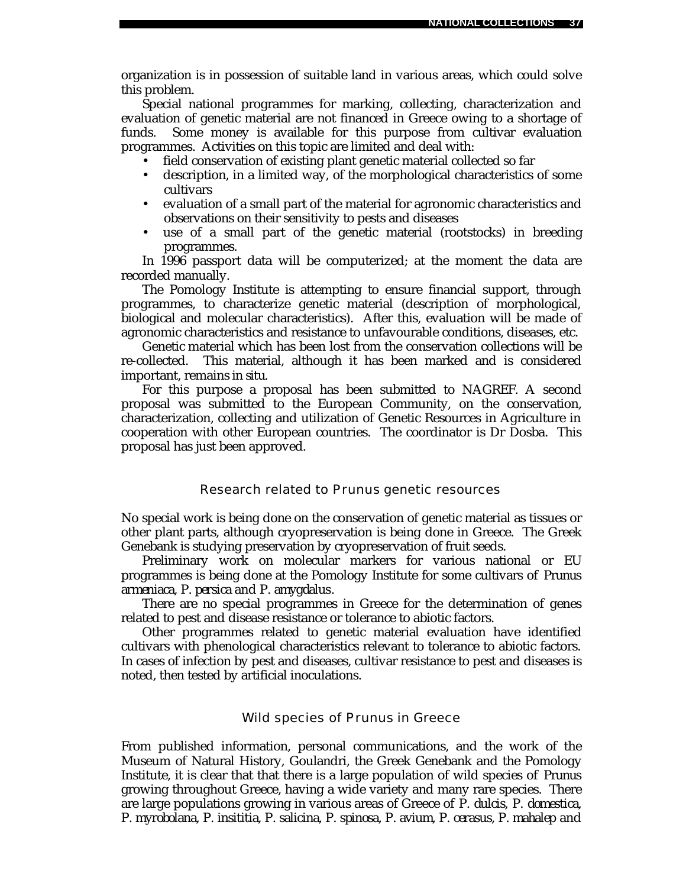organization is in possession of suitable land in various areas, which could solve this problem.

Special national programmes for marking, collecting, characterization and evaluation of genetic material are not financed in Greece owing to a shortage of funds. Some money is available for this purpose from cultivar evaluation programmes. Activities on this topic are limited and deal with:

- field conservation of existing plant genetic material collected so far
- description, in a limited way, of the morphological characteristics of some cultivars
- evaluation of a small part of the material for agronomic characteristics and observations on their sensitivity to pests and diseases
- use of a small part of the genetic material (rootstocks) in breeding programmes.

In 1996 passport data will be computerized; at the moment the data are recorded manually.

The Pomology Institute is attempting to ensure financial support, through programmes, to characterize genetic material (description of morphological, biological and molecular characteristics). After this, evaluation will be made of agronomic characteristics and resistance to unfavourable conditions, diseases, etc.

Genetic material which has been lost from the conservation collections will be re-collected. This material, although it has been marked and is considered important, remains *in situ*.

For this purpose a proposal has been submitted to NAGREF. A second proposal was submitted to the European Community, on the conservation, characterization, collecting and utilization of Genetic Resources in Agriculture in cooperation with other European countries. The coordinator is Dr Dosba. This proposal has just been approved.

#### Research related to *Prunus* genetic resources

No special work is being done on the conservation of genetic material as tissues or other plant parts, although cryopreservation is being done in Greece. The Greek Genebank is studying preservation by cryopreservation of fruit seeds.

Preliminary work on molecular markers for various national or EU programmes is being done at the Pomology Institute for some cultivars of *Prunus armeniaca*, *P. persica* and *P. amygdalus*.

There are no special programmes in Greece for the determination of genes related to pest and disease resistance or tolerance to abiotic factors.

Other programmes related to genetic material evaluation have identified cultivars with phenological characteristics relevant to tolerance to abiotic factors. In cases of infection by pest and diseases, cultivar resistance to pest and diseases is noted, then tested by artificial inoculations.

### Wild species of *Prunus* in Greece

From published information, personal communications, and the work of the Museum of Natural History, Goulandri, the Greek Genebank and the Pomology Institute, it is clear that that there is a large population of wild species of *Prunus* growing throughout Greece, having a wide variety and many rare species. There are large populations growing in various areas of Greece of *P. dulcis, P. domestica, P. myrobolana, P. insititia, P. salicina, P. spinosa, P. avium, P. cerasus, P. mahalep* and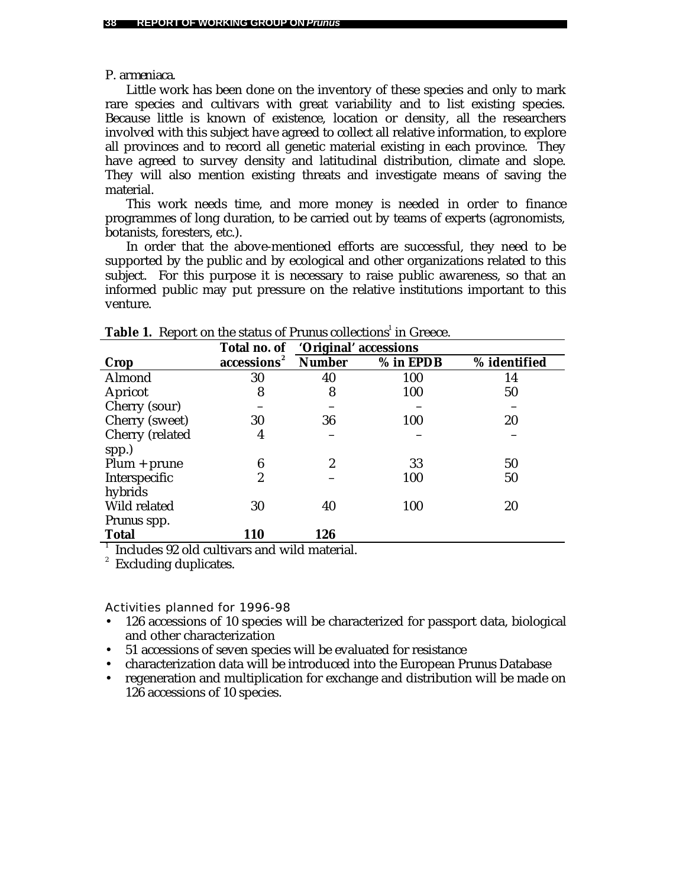### *P. armeniaca*.

Little work has been done on the inventory of these species and only to mark rare species and cultivars with great variability and to list existing species. Because little is known of existence, location or density, all the researchers involved with this subject have agreed to collect all relative information, to explore all provinces and to record all genetic material existing in each province. They have agreed to survey density and latitudinal distribution, climate and slope. They will also mention existing threats and investigate means of saving the material.

This work needs time, and more money is needed in order to finance programmes of long duration, to be carried out by teams of experts (agronomists, botanists, foresters, etc.).

In order that the above-mentioned efforts are successful, they need to be supported by the public and by ecological and other organizations related to this subject. For this purpose it is necessary to raise public awareness, so that an informed public may put pressure on the relative institutions important to this venture.

|                    |            | Total no. of 'Original' accessions |           |              |  |
|--------------------|------------|------------------------------------|-----------|--------------|--|
| Crop               | accessions | <b>Number</b>                      | % in EPDB | % identified |  |
| Almond             | 30         | 40                                 | 100       | 14           |  |
| Apricot            | 8          | 8                                  | 100       | 50           |  |
| Cherry (sour)      |            |                                    |           |              |  |
| Cherry (sweet)     | 30         | 36                                 | 100       | 20           |  |
| Cherry (related    | 4          |                                    |           |              |  |
| spp.)              |            |                                    |           |              |  |
| $Plum + prune$     | 6          | 2                                  | 33        | 50           |  |
| Interspecific      | 2          |                                    | 100       | 50           |  |
| hybrids            |            |                                    |           |              |  |
| Wild related       | 30         | 40                                 | 100       | 20           |  |
| <i>Prunus</i> spp. |            |                                    |           |              |  |
| <b>Total</b>       | 110        | 126                                |           |              |  |

|  |  |  |  | <b>Table 1.</b> Report on the status of Prunus collections <sup>1</sup> in Greece. |  |
|--|--|--|--|------------------------------------------------------------------------------------|--|
|--|--|--|--|------------------------------------------------------------------------------------|--|

1 Includes 92 old cultivars and wild material.

2 Excluding duplicates.

- 126 accessions of 10 species will be characterized for passport data, biological and other characterization
- 51 accessions of seven species will be evaluated for resistance
- characterization data will be introduced into the European *Prunus* Database
- regeneration and multiplication for exchange and distribution will be made on 126 accessions of 10 species.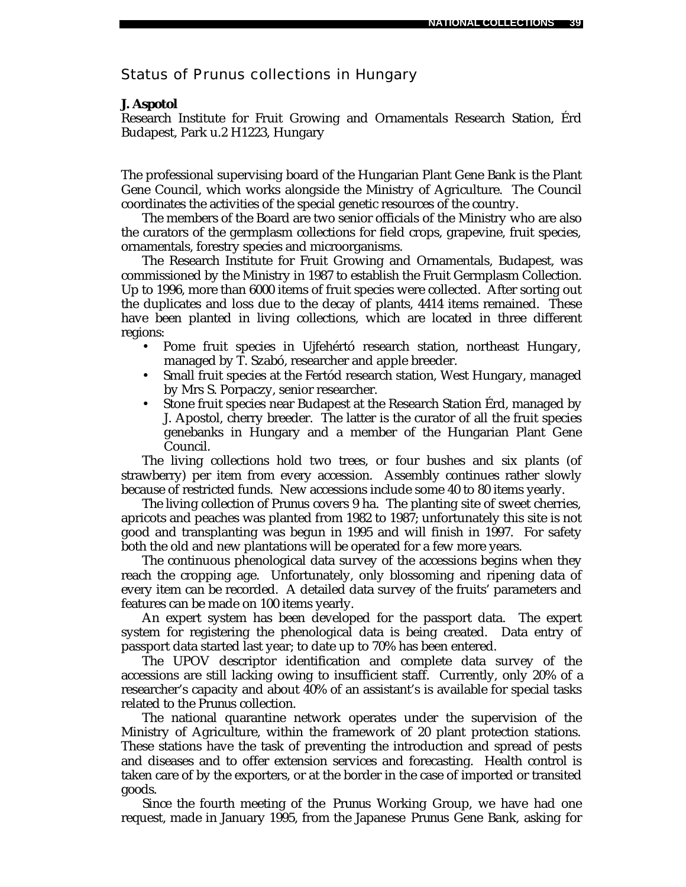# Status of *Prunus* collections in Hungary

#### *J. Aspotol*

Research Institute for Fruit Growing and Ornamentals Research Station, Érd Budapest, Park u.2 H1223, Hungary

The professional supervising board of the Hungarian Plant Gene Bank is the Plant Gene Council, which works alongside the Ministry of Agriculture. The Council coordinates the activities of the special genetic resources of the country.

The members of the Board are two senior officials of the Ministry who are also the curators of the germplasm collections for field crops, grapevine, fruit species, ornamentals, forestry species and microorganisms.

The Research Institute for Fruit Growing and Ornamentals, Budapest, was commissioned by the Ministry in 1987 to establish the Fruit Germplasm Collection. Up to 1996, more than 6000 items of fruit species were collected. After sorting out the duplicates and loss due to the decay of plants, 4414 items remained. These have been planted in living collections, which are located in three different regions:

- Pome fruit species in Ujfehértó research station, northeast Hungary, managed by T. Szabó, researcher and apple breeder.
- Small fruit species at the Fertód research station, West Hungary, managed by Mrs S. Porpaczy, senior researcher.
- Stone fruit species near Budapest at the Research Station Érd, managed by J. Apostol, cherry breeder. The latter is the curator of all the fruit species genebanks in Hungary and a member of the Hungarian Plant Gene Council.

The living collections hold two trees, or four bushes and six plants (of strawberry) per item from every accession. Assembly continues rather slowly because of restricted funds. New accessions include some 40 to 80 items yearly.

The living collection of *Prunus* covers 9 ha. The planting site of sweet cherries, apricots and peaches was planted from 1982 to 1987; unfortunately this site is not good and transplanting was begun in 1995 and will finish in 1997. For safety both the old and new plantations will be operated for a few more years.

The continuous phenological data survey of the accessions begins when they reach the cropping age. Unfortunately, only blossoming and ripening data of every item can be recorded. A detailed data survey of the fruits' parameters and features can be made on 100 items yearly.

An expert system has been developed for the passport data. The expert system for registering the phenological data is being created. Data entry of passport data started last year; to date up to 70% has been entered.

The UPOV descriptor identification and complete data survey of the accessions are still lacking owing to insufficient staff. Currently, only 20% of a researcher's capacity and about 40% of an assistant's is available for special tasks related to the *Prunus* collection.

The national quarantine network operates under the supervision of the Ministry of Agriculture, within the framework of 20 plant protection stations. These stations have the task of preventing the introduction and spread of pests and diseases and to offer extension services and forecasting. Health control is taken care of by the exporters, or at the border in the case of imported or transited goods.

Since the fourth meeting of the *Prunus* Working Group, we have had one request, made in January 1995, from the Japanese *Prunus* Gene Bank, asking for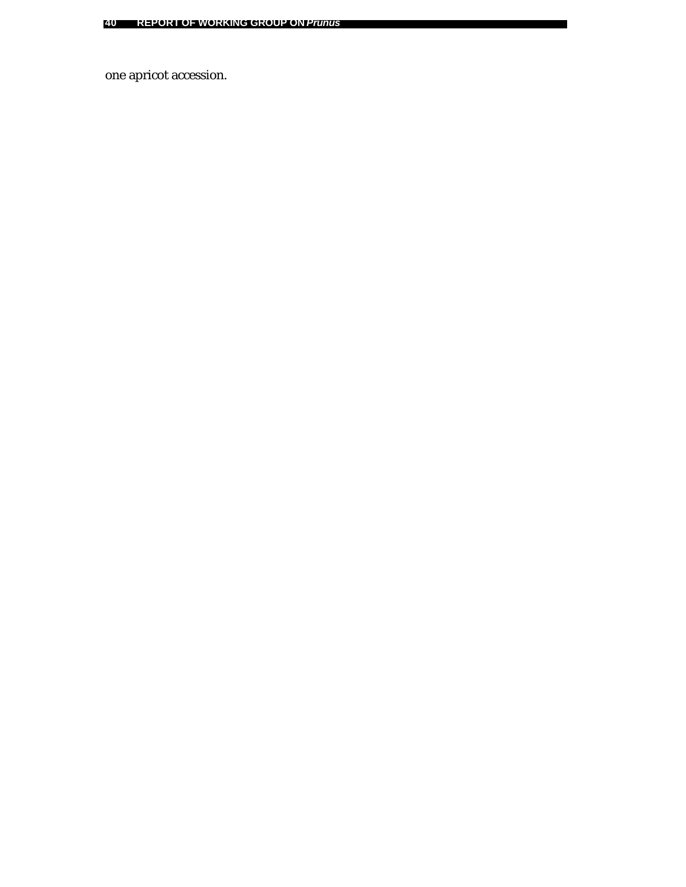one apricot accession.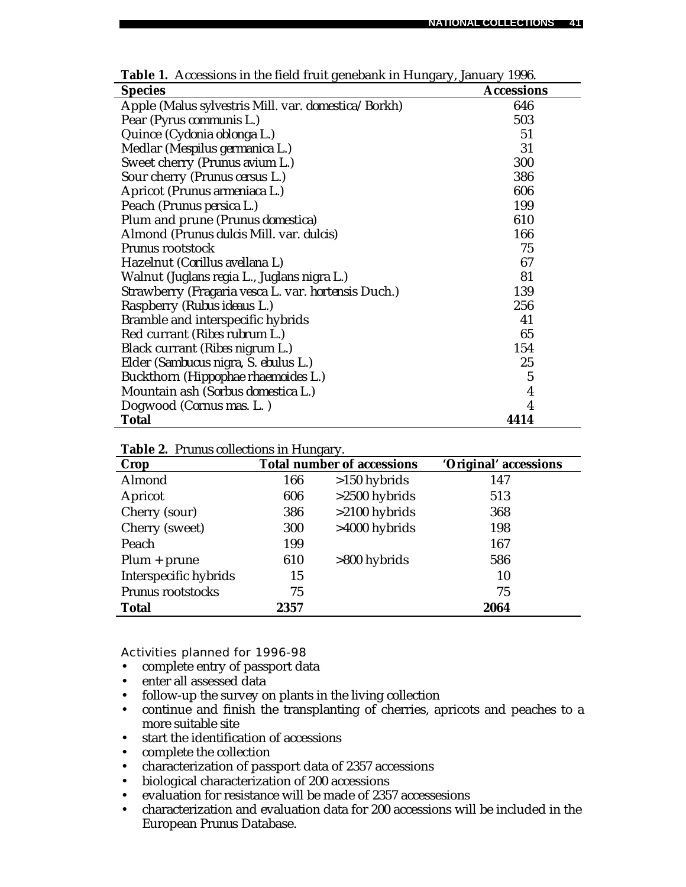| <b>Species</b>                                                     | <b>Accessions</b>       |
|--------------------------------------------------------------------|-------------------------|
| Apple (Malus sylvestris Mill. var. domestica/Borkh)                | 646                     |
| Pear ( <i>Pyrus communis</i> L.)                                   | 503                     |
| Quince (Cydonia oblonga L.)                                        | 51                      |
| Medlar (Mespilus germanica L.)                                     | 31                      |
| Sweet cherry (Prunus avium L.)                                     | 300                     |
| Sour cherry (Prunus cersus L.)                                     | 386                     |
| Apricot (Prunus armeniaca L.)                                      | 606                     |
| Peach (Prunus persica L.)                                          | 199                     |
| Plum and prune (Prunus domestica)                                  | 610                     |
| Almond (Prunus dulcis Mill. var. dulcis)                           | 166                     |
| <i>Prunus</i> rootstock                                            | 75                      |
| Hazelnut (Corillus avellana L)                                     | 67                      |
| Walnut (Juglans regia L., Juglans nigra L.)                        | 81                      |
| Strawberry ( <i>Fragaria vesca</i> L. var. <i>hortensis</i> Duch.) | 139                     |
| Raspberry (Rubus ideaus L.)                                        | 256                     |
| Bramble and interspecific hybrids                                  | 41                      |
| Red currant (Ribes rubrum L.)                                      | 65                      |
| Black currant (Ribes nigrum L.)                                    | 154                     |
| Elder (Sambucus nigra, S. ebulus L.)                               | 25                      |
| Buckthorn (Hippophae rhaemoides L.)                                | $\overline{5}$          |
| Mountain ash (Sorbus domestica L.)                                 | $\overline{\mathbf{4}}$ |
| Dogwood (Cornus mas. L.)                                           | $\overline{\mathbf{4}}$ |
| Total                                                              | 4414                    |

**Table 1.** Accessions in the field fruit genebank in Hungary, January 1996.

| Crop                  |      | <b>Total number of accessions</b> | 'Original' accessions |
|-----------------------|------|-----------------------------------|-----------------------|
| Almond                | 166  | $>150$ hybrids                    | 147                   |
| Apricot               | 606  | $>2500$ hybrids                   | 513                   |
| Cherry (sour)         | 386  | $>2100$ hybrids                   | 368                   |
| Cherry (sweet)        | 300  | $>4000$ hybrids                   | 198                   |
| Peach                 | 199  |                                   | 167                   |
| $Plum + prune$        | 610  | $>800$ hybrids                    | 586                   |
| Interspecific hybrids | 15   |                                   | 10                    |
| Prunus rootstocks     | 75   |                                   | 75                    |
| <b>Total</b>          | 2357 |                                   | 2064                  |

**Table 2.** *Prunus* collections in Hungary.

- complete entry of passport data
- enter all assessed data
- follow-up the survey on plants in the living collection
- continue and finish the transplanting of cherries, apricots and peaches to a more suitable site
- start the identification of accessions
- complete the collection
- characterization of passport data of 2357 accessions
- biological characterization of 200 accessions
- evaluation for resistance will be made of 2357 accessesions
- characterization and evaluation data for 200 accessions will be included in the European *Prunus* Database.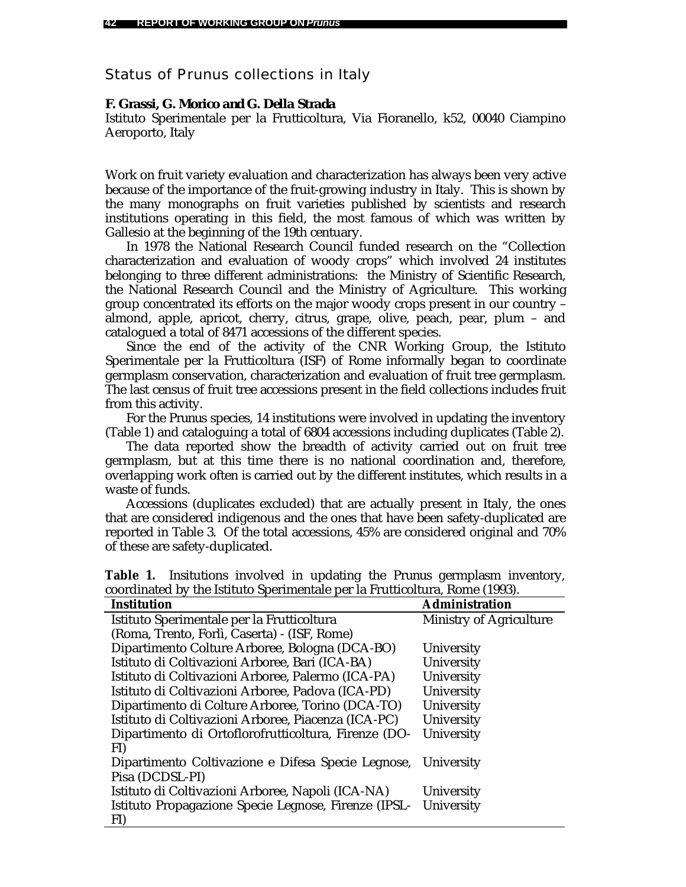# Status of *Prunus* collections in Italy

## *F. Grassi, G. Morico and G. Della Strada*

Istituto Sperimentale per la Frutticoltura, Via Fioranello, k52, 00040 Ciampino Aeroporto, Italy

Work on fruit variety evaluation and characterization has always been very active because of the importance of the fruit-growing industry in Italy. This is shown by the many monographs on fruit varieties published by scientists and research institutions operating in this field, the most famous of which was written by Gallesio at the beginning of the 19th centuary.

In 1978 the National Research Council funded research on the "Collection characterization and evaluation of woody crops" which involved 24 institutes belonging to three different administrations: the Ministry of Scientific Research, the National Research Council and the Ministry of Agriculture. This working group concentrated its efforts on the major woody crops present in our country – almond, apple, apricot, cherry, citrus, grape, olive, peach, pear, plum – and catalogued a total of 8471 accessions of the different species.

Since the end of the activity of the CNR Working Group, the Istituto Sperimentale per la Frutticoltura (ISF) of Rome informally began to coordinate germplasm conservation, characterization and evaluation of fruit tree germplasm. The last census of fruit tree accessions present in the field collections includes fruit from this activity.

For the *Prunus* species, 14 institutions were involved in updating the inventory (Table 1) and cataloguing a total of 6804 accessions including duplicates (Table 2).

The data reported show the breadth of activity carried out on fruit tree germplasm, but at this time there is no national coordination and, therefore, overlapping work often is carried out by the different institutes, which results in a waste of funds.

Accessions (duplicates excluded) that are actually present in Italy, the ones that are considered indigenous and the ones that have been safety-duplicated are reported in Table 3. Of the total accessions, 45% are considered original and 70% of these are safety-duplicated.

| <b>Institution</b>                                            | <b>Administration</b>          |
|---------------------------------------------------------------|--------------------------------|
| Istituto Sperimentale per la Frutticoltura                    | <b>Ministry of Agriculture</b> |
| (Roma, Trento, Forlì, Caserta) - (ISF, Rome)                  |                                |
| Dipartimento Colture Arboree, Bologna (DCA-BO)                | University                     |
| Istituto di Coltivazioni Arboree, Bari (ICA-BA)               | University                     |
| Istituto di Coltivazioni Arboree, Palermo (ICA-PA)            | University                     |
| Istituto di Coltivazioni Arboree, Padova (ICA-PD)             | University                     |
| Dipartimento di Colture Arboree, Torino (DCA-TO)              | University                     |
| Istituto di Coltivazioni Arboree, Piacenza (ICA-PC)           | University                     |
| Dipartimento di Ortoflorofrutticoltura, Firenze (DO-          | University                     |
| FI)                                                           |                                |
| Dipartimento Coltivazione e Difesa Specie Legnose, University |                                |
| Pisa (DCDSL-PI)                                               |                                |
| Istituto di Coltivazioni Arboree, Napoli (ICA-NA)             | University                     |
| Istituto Propagazione Specie Legnose, Firenze (IPSL-          | University                     |
| FI)                                                           |                                |

**Table 1.** Insitutions involved in updating the *Prunus* germplasm inventory, coordinated by the Istituto Sperimentale per la Frutticoltura, Rome (1993).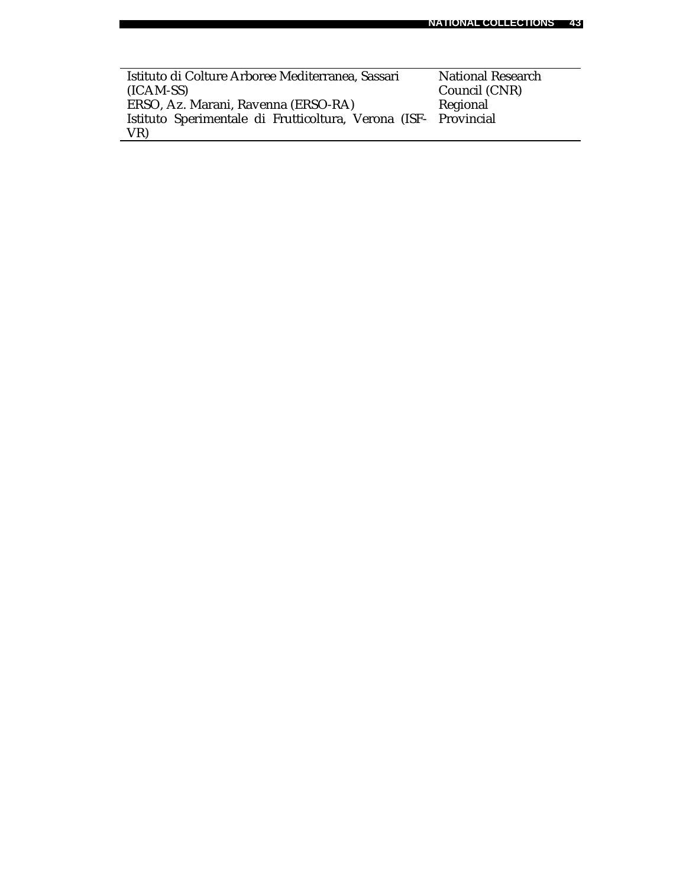$\overline{\phantom{0}}$ 

| Istituto di Colture Arboree Mediterranea, Sassari               | <b>National Research</b> |
|-----------------------------------------------------------------|--------------------------|
| $(ICAM-SS)$                                                     | Council (CNR)            |
| ERSO, Az. Marani, Ravenna (ERSO-RA)                             | Regional                 |
| Istituto Sperimentale di Frutticoltura, Verona (ISF- Provincial |                          |
| VR)                                                             |                          |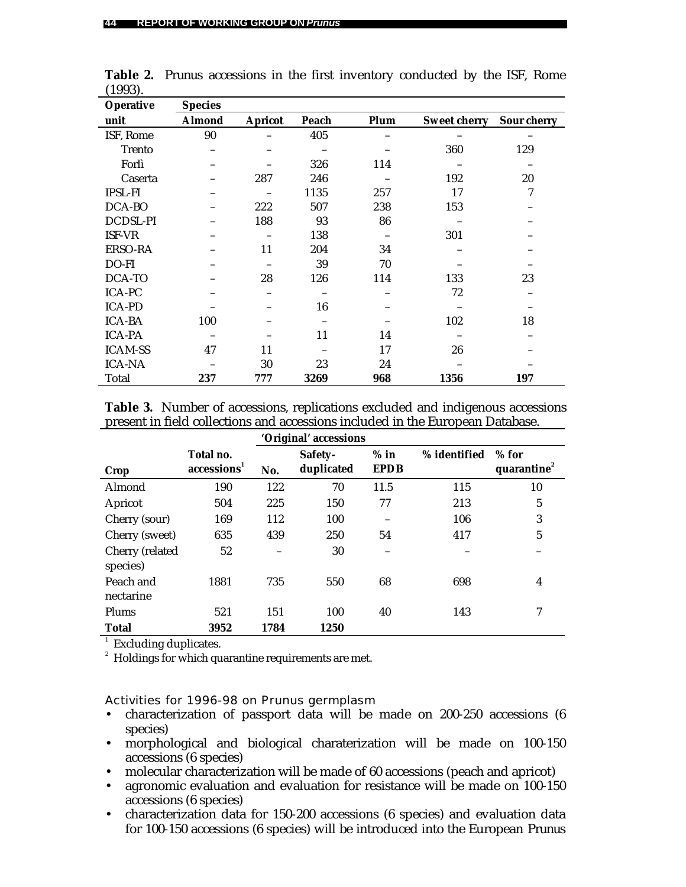| 1000J<br><b>Operative</b> | <b>Species</b> |                |       |      |                     |             |
|---------------------------|----------------|----------------|-------|------|---------------------|-------------|
|                           |                |                |       |      |                     |             |
| unit                      | <b>Almond</b>  | <b>Apricot</b> | Peach | Plum | <b>Sweet cherry</b> | Sour cherry |
| ISF, Rome                 | 90             |                | 405   |      |                     |             |
| <b>Trento</b>             |                |                |       |      | 360                 | 129         |
| Forlì                     |                |                | 326   | 114  |                     |             |
| Caserta                   |                | 287            | 246   |      | 192                 | 20          |
| <b>IPSL-FI</b>            |                |                | 1135  | 257  | 17                  | 7           |
| DCA-BO                    |                | 222            | 507   | 238  | 153                 |             |
| DCDSL-PI                  |                | 188            | 93    | 86   |                     |             |
| ISF-VR                    |                |                | 138   |      | 301                 |             |
| ERSO-RA                   |                | 11             | 204   | 34   |                     |             |
| DO-FI                     |                |                | 39    | 70   |                     |             |
| DCA-TO                    |                | 28             | 126   | 114  | 133                 | 23          |
| <b>ICA-PC</b>             |                |                |       |      | 72                  |             |
| <b>ICA-PD</b>             |                |                | 16    |      |                     |             |
| <b>ICA-BA</b>             | 100            |                |       |      | 102                 | 18          |
| <b>ICA-PA</b>             |                |                | 11    | 14   |                     |             |
| <b>ICAM-SS</b>            | 47             | 11             |       | 17   | 26                  |             |
| <b>ICA-NA</b>             |                | 30             | 23    | 24   |                     |             |
| Total                     | 237            | 777            | 3269  | 968  | 1356                | 197         |

**Table 2.** *Prunus* accessions in the first inventory conducted by the ISF, Rome (1993).

**Table 3.** Number of accessions, replications excluded and indigenous accessions present in field collections and accessions included in the European Database.

|                             |                                      | 'Original' accessions |                       |                       |              |                                    |
|-----------------------------|--------------------------------------|-----------------------|-----------------------|-----------------------|--------------|------------------------------------|
| Crop                        | Total no.<br>accessions <sup>1</sup> | No.                   | Safety-<br>duplicated | $%$ in<br><b>EPDB</b> | % identified | $%$ for<br>quarantine <sup>2</sup> |
| Almond                      | 190                                  | 122                   | 70                    | 11.5                  | 115          | 10                                 |
| Apricot                     | 504                                  | 225                   | 150                   | 77                    | 213          | 5                                  |
| Cherry (sour)               | 169                                  | 112                   | 100                   |                       | 106          | 3                                  |
| Cherry (sweet)              | 635                                  | 439                   | 250                   | 54                    | 417          | 5                                  |
| Cherry (related<br>species) | 52                                   |                       | 30                    |                       |              |                                    |
| Peach and<br>nectarine      | 1881                                 | 735                   | 550                   | 68                    | 698          | 4                                  |
| Plums                       | 521                                  | 151                   | 100                   | 40                    | 143          | 7                                  |
| <b>Total</b>                | 3952                                 | 1784                  | 1250                  |                       |              |                                    |

<sup>1</sup> Excluding duplicates.

 $^{\text{2}}\,$  Holdings for which quarantine requirements are met.

Activities for 1996-98 on *Prunus* germplasm

- characterization of passport data will be made on 200-250 accessions (6 species)
- morphological and biological charaterization will be made on 100-150 accessions (6 species)
- molecular characterization will be made of 60 accessions (peach and apricot)
- agronomic evaluation and evaluation for resistance will be made on 100-150 accessions (6 species)
- characterization data for 150-200 accessions (6 species) and evaluation data for 100-150 accessions (6 species) will be introduced into the European *Prunus*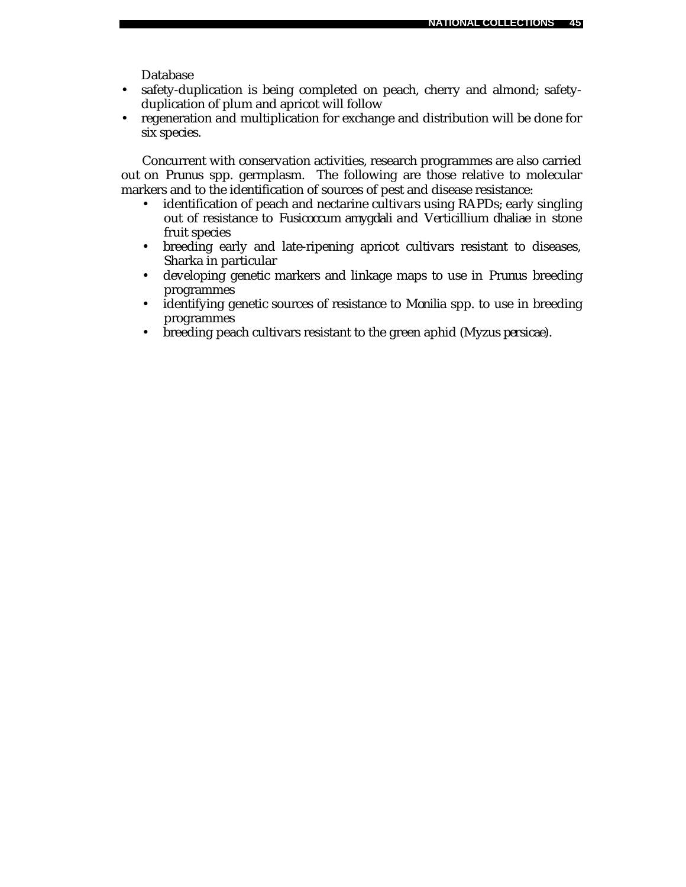Database

- safety-duplication is being completed on peach, cherry and almond; safetyduplication of plum and apricot will follow
- regeneration and multiplication for exchange and distribution will be done for six species.

Concurrent with conservation activities, research programmes are also carried out on *Prunus* spp. germplasm. The following are those relative to molecular markers and to the identification of sources of pest and disease resistance:

- identification of peach and nectarine cultivars using RAPDs; early singling out of resistance to *Fusicoccum amygdali* and *Verticillium dhaliae* in stone fruit species
- breeding early and late-ripening apricot cultivars resistant to diseases, Sharka in particular
- developing genetic markers and linkage maps to use in *Prunus* breeding programmes
- identifying genetic sources of resistance to *Monilia* spp. to use in breeding programmes
- breeding peach cultivars resistant to the green aphid (*Myzus persicae*).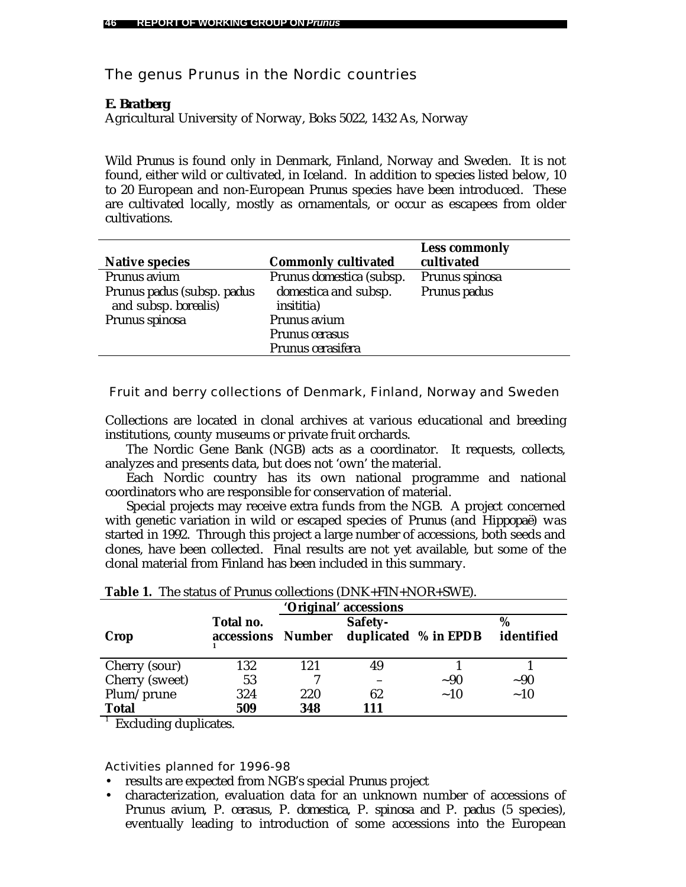# The genus *Prunus* in the Nordic countries

# *E. Bratberg*

Agricultural University of Norway, Boks 5022, 1432 As, Norway

Wild *Prunus* is found only in Denmark, Finland, Norway and Sweden. It is not found, either wild or cultivated, in Iceland. In addition to species listed below, 10 to 20 European and non-European *Prunus* species have been introduced. These are cultivated locally, mostly as ornamentals, or occur as escapees from older cultivations.

| <b>Native species</b>                              | <b>Commonly cultivated</b>                 | <b>Less commonly</b><br>cultivated |
|----------------------------------------------------|--------------------------------------------|------------------------------------|
| Prunus avium                                       | Prunus domestica (subsp.                   | Prunus spinosa                     |
| Prunus padus (subsp. padus<br>and subsp. borealis) | domestica and subsp.<br><i>insititia</i> ) | Prunus padus                       |
| Prunus spinosa                                     | Prunus avium                               |                                    |
|                                                    | Prunus cerasus                             |                                    |
|                                                    | Prunus cerasifera                          |                                    |

Fruit and berry collections of Denmark, Finland, Norway and Sweden

Collections are located in clonal archives at various educational and breeding institutions, county museums or private fruit orchards.

The Nordic Gene Bank (NGB) acts as a coordinator. It requests, collects, analyzes and presents data, but does not 'own' the material.

Each Nordic country has its own national programme and national coordinators who are responsible for conservation of material.

Special projects may receive extra funds from the NGB. A project concerned with genetic variation in wild or escaped species of *Prunus* (and *Hippopaë*) was started in 1992. Through this project a large number of accessions, both seeds and clones, have been collected. Final results are not yet available, but some of the clonal material from Finland has been included in this summary.

| 'Original' accessions |                         |               |         |                      |                 |  |  |
|-----------------------|-------------------------|---------------|---------|----------------------|-----------------|--|--|
| Crop                  | Total no.<br>accessions | <b>Number</b> | Safety- | duplicated % in EPDB | %<br>identified |  |  |
| Cherry (sour)         | 132                     | 121           | 49      |                      |                 |  |  |
| Cherry (sweet)        | 53                      |               |         | ~1                   | ~1              |  |  |
| Plum/prune            | 324                     | 220           | 62      | $\sim$ 10            | ~10             |  |  |
| <b>Total</b>          | 509                     | 348           | 111     |                      |                 |  |  |

|  |  |  | <b>Table 1.</b> The status of <i>Prunus</i> collections (DNK+FIN+NOR+SWE). |
|--|--|--|----------------------------------------------------------------------------|
|--|--|--|----------------------------------------------------------------------------|

<sup>1</sup> Excluding duplicates.

- results are expected from NGB's special *Prunus* project
- characterization, evaluation data for an unknown number of accessions of *Prunus avium, P. cerasus, P. domestica, P. spinosa and P. padus* (5 species), eventually leading to introduction of some accessions into the European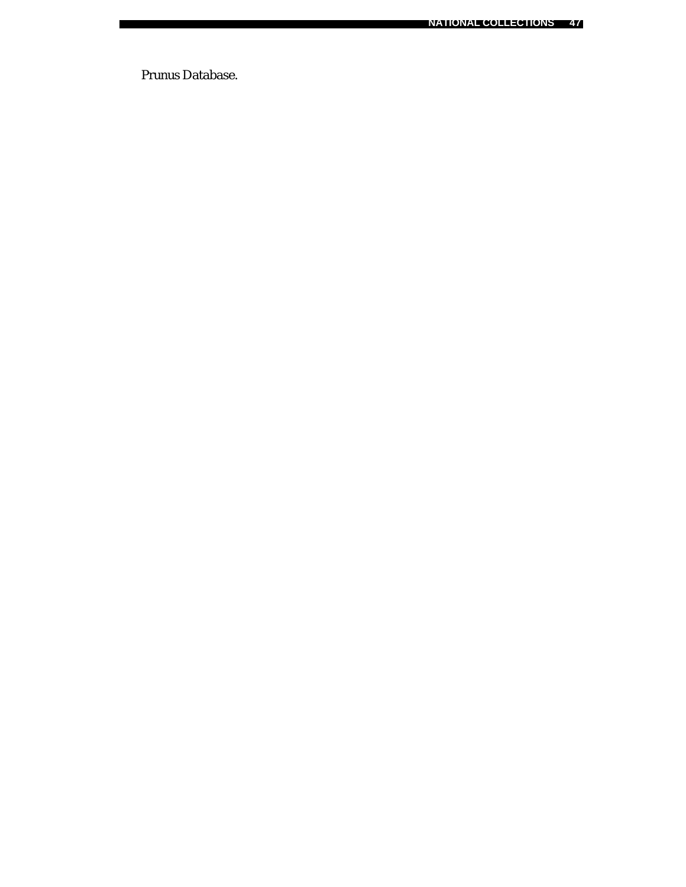*Prunus* Database.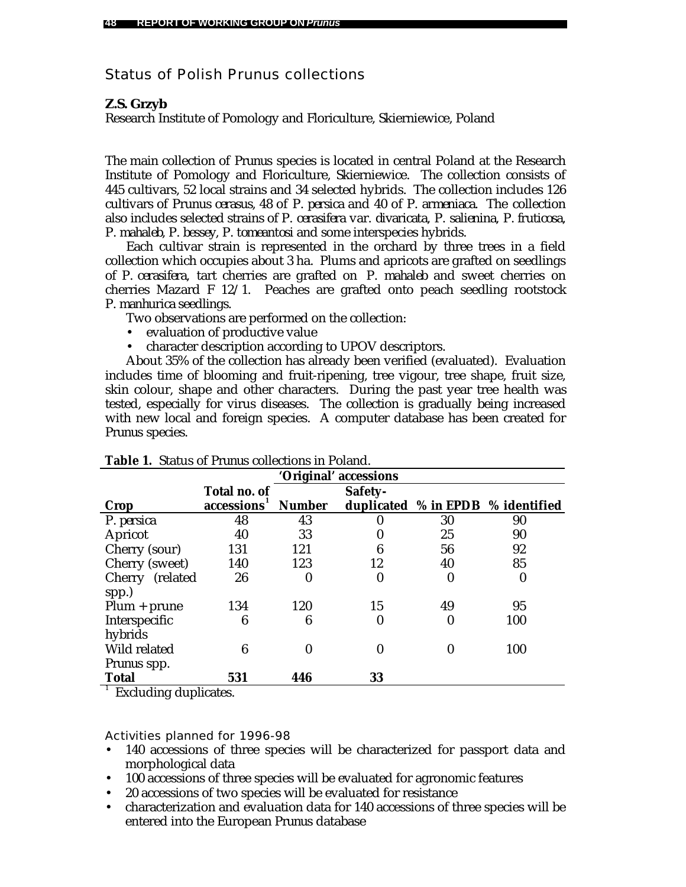# Status of Polish *Prunus* collections

# *Z.S. Grzyb*

Research Institute of Pomology and Floriculture, Skierniewice, Poland

The main collection of *Prunus* species is located in central Poland at the Research Institute of Pomology and Floriculture, Skierniewice. The collection consists of 445 cultivars, 52 local strains and 34 selected hybrids. The collection includes 126 cultivars of *Prunus cerasus,* 48 of *P. persica* and 40 of *P. armeniaca.* The collection also includes selected strains of *P. cerasifera* var. *divaricata, P. salienina, P. fruticosa, P. mahaleb, P. bessey, P. tomeantosi* and some interspecies hybrids.

Each cultivar strain is represented in the orchard by three trees in a field collection which occupies about 3 ha. Plums and apricots are grafted on seedlings of *P. cerasifera,* tart cherries are grafted on *P. mahaleb* and sweet cherries on cherries Mazard F 12/1. Peaches are grafted onto peach seedling rootstock *P. manhurica* seedlings.

Two observations are performed on the collection:

- evaluation of productive value
- character description according to UPOV descriptors.

About 35% of the collection has already been verified (evaluated). Evaluation includes time of blooming and fruit-ripening, tree vigour, tree shape, fruit size, skin colour, shape and other characters. During the past year tree health was tested, especially for virus diseases. The collection is gradually being increased with new local and foreign species. A computer database has been created for *Prunus* species.

| 'Original' accessions   |                         |               |    |          |                                   |  |  |  |
|-------------------------|-------------------------|---------------|----|----------|-----------------------------------|--|--|--|
| Total no. of<br>Safety- |                         |               |    |          |                                   |  |  |  |
| Crop                    | accessions <sup>1</sup> | <b>Number</b> |    |          | duplicated % in EPDB % identified |  |  |  |
| P. persica              | 48                      | 43            |    | 30       | 90                                |  |  |  |
| Apricot                 | 40                      | 33            |    | 25       | 90                                |  |  |  |
| Cherry (sour)           | 131                     | 121           | 6  | 56       | 92                                |  |  |  |
| Cherry (sweet)          | 140                     | 123           | 12 | 40       | 85                                |  |  |  |
| Cherry (related         | 26                      | $\bf{0}$      | 0  | 0        | 0                                 |  |  |  |
| spp.)                   |                         |               |    |          |                                   |  |  |  |
| $Plum + prune$          | 134                     | 120           | 15 | 49       | 95                                |  |  |  |
| Interspecific           | 6                       | 6             | 0  | $\bf{0}$ | 100                               |  |  |  |
| hybrids                 |                         |               |    |          |                                   |  |  |  |
| Wild related            | 6                       | 0             | 0  | 0        | 100                               |  |  |  |
| <i>Prunus</i> spp.      |                         |               |    |          |                                   |  |  |  |
| <b>Total</b>            | 531                     | 446           | 33 |          |                                   |  |  |  |

|  |  |  | Table 1. Status of Prunus collections in Poland. |  |  |
|--|--|--|--------------------------------------------------|--|--|
|--|--|--|--------------------------------------------------|--|--|

<sup>1</sup> Excluding duplicates.

- 140 accessions of three species will be characterized for passport data and morphological data
- 100 accessions of three species will be evaluated for agronomic features
- 20 accessions of two species will be evaluated for resistance
- characterization and evaluation data for 140 accessions of three species will be entered into the European *Prunus* database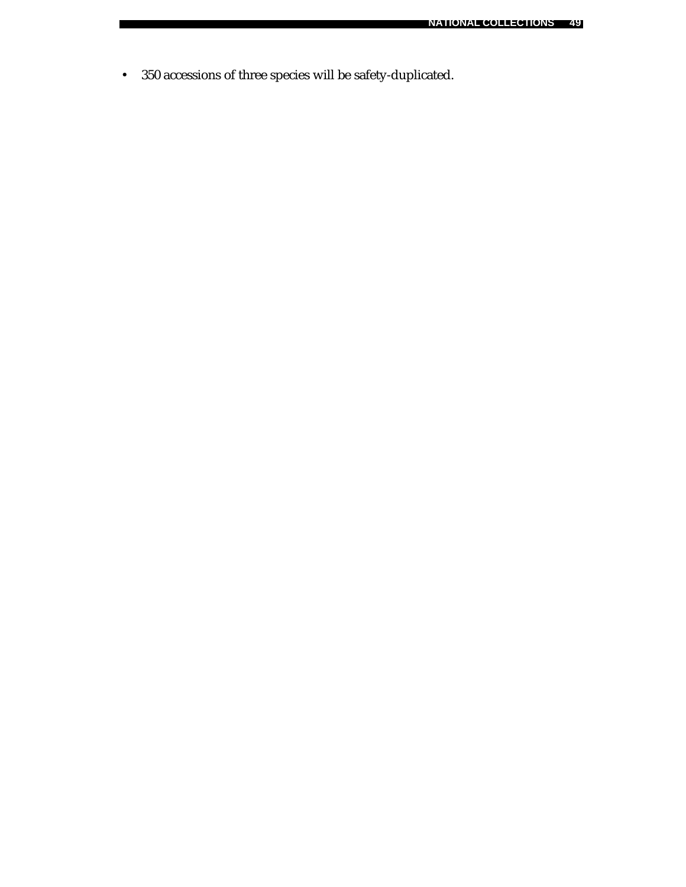• 350 accessions of three species will be safety-duplicated.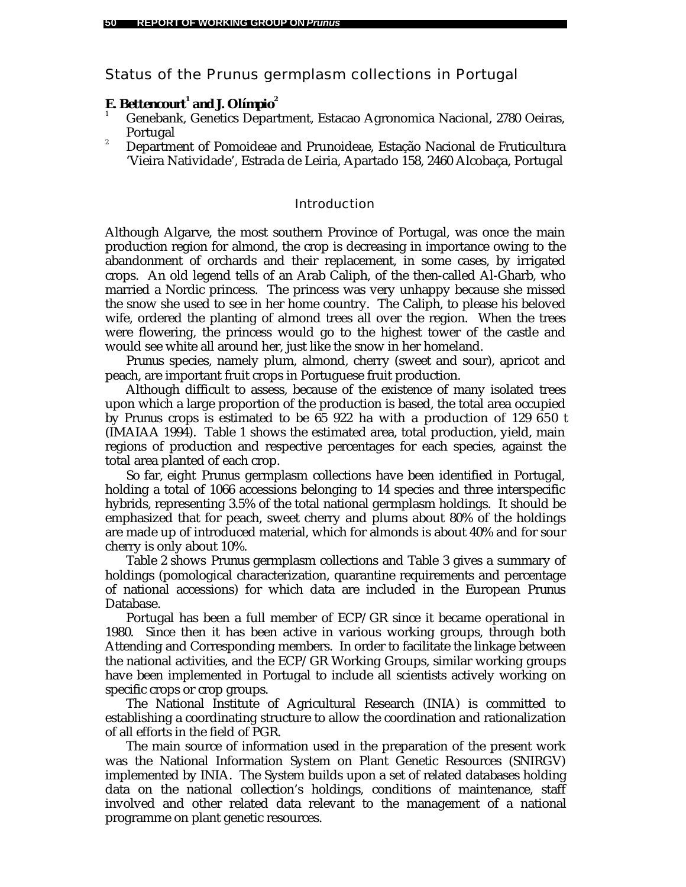# Status of the *Prunus* germplasm collections in Portugal

# *E. Bettencourt<sup>1</sup> and J. Olímpio<sup>2</sup>*

- <sup>1</sup> Genebank, Genetics Department, Estacao Agronomica Nacional, 2780 Oeiras, Portugal
- <sup>2</sup> Department of Pomoideae and Prunoideae, Estação Nacional de Fruticultura 'Vieira Natividade', Estrada de Leiria, Apartado 158, 2460 Alcobaça, Portugal

#### Introduction

Although Algarve, the most southern Province of Portugal, was once the main production region for almond, the crop is decreasing in importance owing to the abandonment of orchards and their replacement, in some cases, by irrigated crops. An old legend tells of an Arab Caliph, of the then-called Al-Gharb, who married a Nordic princess. The princess was very unhappy because she missed the snow she used to see in her home country. The Caliph, to please his beloved wife, ordered the planting of almond trees all over the region. When the trees were flowering, the princess would go to the highest tower of the castle and would see white all around her, just like the snow in her homeland.

*Prunus* species, namely plum, almond, cherry (sweet and sour), apricot and peach, are important fruit crops in Portuguese fruit production.

Although difficult to assess, because of the existence of many isolated trees upon which a large proportion of the production is based, the total area occupied by *Prunus* crops is estimated to be 65 922 ha with a production of 129 650 t (IMAIAA 1994). Table 1 shows the estimated area, total production, yield, main regions of production and respective percentages for each species, against the total area planted of each crop.

So far, eight *Prunus* germplasm collections have been identified in Portugal, holding a total of 1066 accessions belonging to 14 species and three interspecific hybrids, representing 3.5% of the total national germplasm holdings. It should be emphasized that for peach, sweet cherry and plums about 80% of the holdings are made up of introduced material, which for almonds is about 40% and for sour cherry is only about 10%.

Table 2 shows *Prunus* germplasm collections and Table 3 gives a summary of holdings (pomological characterization, quarantine requirements and percentage of national accessions) for which data are included in the European *Prunus* Database.

Portugal has been a full member of ECP/GR since it became operational in 1980. Since then it has been active in various working groups, through both Attending and Corresponding members. In order to facilitate the linkage between the national activities, and the ECP/GR Working Groups, similar working groups have been implemented in Portugal to include all scientists actively working on specific crops or crop groups.

The National Institute of Agricultural Research (INIA) is committed to establishing a coordinating structure to allow the coordination and rationalization of all efforts in the field of PGR.

The main source of information used in the preparation of the present work was the National Information System on Plant Genetic Resources (SNIRGV) implemented by INIA. The System builds upon a set of related databases holding data on the national collection's holdings, conditions of maintenance, staff involved and other related data relevant to the management of a national programme on plant genetic resources.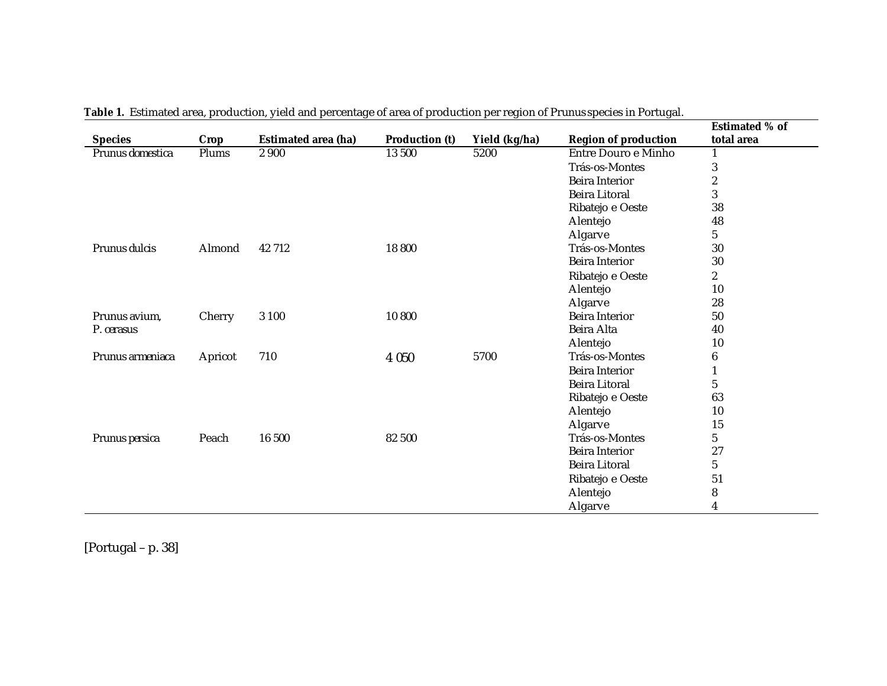|                  |         |                            |                       |               |                             | <b>Estimated % of</b> |
|------------------|---------|----------------------------|-----------------------|---------------|-----------------------------|-----------------------|
| <b>Species</b>   | Crop    | <b>Estimated area (ha)</b> | <b>Production (t)</b> | Yield (kg/ha) | <b>Region of production</b> | total area            |
| Prunus domestica | Plums   | 2 9 0 0                    | 13 500                | 5200          | Entre Douro e Minho         |                       |
|                  |         |                            |                       |               | Trás-os-Montes              | 3                     |
|                  |         |                            |                       |               | <b>Beira Interior</b>       | $\boldsymbol{2}$      |
|                  |         |                            |                       |               | <b>Beira Litoral</b>        | 3                     |
|                  |         |                            |                       |               | Ribatejo e Oeste            | 38                    |
|                  |         |                            |                       |               | Alentejo                    | 48                    |
|                  |         |                            |                       |               | Algarve                     | $5\phantom{.0}$       |
| Prunus dulcis    | Almond  | 42 712                     | 18 800                |               | Trás-os-Montes              | 30                    |
|                  |         |                            |                       |               | <b>Beira Interior</b>       | 30                    |
|                  |         |                            |                       |               | Ribatejo e Oeste            | $\boldsymbol{2}$      |
|                  |         |                            |                       |               | Alentejo                    | 10                    |
|                  |         |                            |                       |               | Algarve                     | 28                    |
| Prunus avium.    | Cherry  | 3 1 0 0                    | 10 800                |               | <b>Beira Interior</b>       | 50                    |
| P. cerasus       |         |                            |                       |               | Beira Alta                  | 40                    |
|                  |         |                            |                       |               | Alentejo                    | 10                    |
| Prunus armeniaca | Apricot | 710                        | 4 0 5 0               | 5700          | Trás-os-Montes              | $\boldsymbol{6}$      |
|                  |         |                            |                       |               | <b>Beira Interior</b>       | $\mathbf{1}$          |
|                  |         |                            |                       |               | <b>Beira Litoral</b>        | $\mathbf{5}$          |
|                  |         |                            |                       |               | Ribatejo e Oeste            | 63                    |
|                  |         |                            |                       |               | Alentejo                    | 10                    |
|                  |         |                            |                       |               | Algarve                     | 15                    |
| Prunus persica   | Peach   | 16 500                     | 82 500                |               | Trás-os-Montes              | $5\phantom{.0}$       |
|                  |         |                            |                       |               | <b>Beira Interior</b>       | 27                    |
|                  |         |                            |                       |               | <b>Beira Litoral</b>        | $\mathbf{5}$          |
|                  |         |                            |                       |               | Ribatejo e Oeste            | 51                    |
|                  |         |                            |                       |               | Alentejo                    | $\bf 8$               |
|                  |         |                            |                       |               | Algarve                     | 4                     |

**Table 1.** Estimated area, production, yield and percentage of area of production per region of *Prunus* species in Portugal.

[Portugal – p. 38]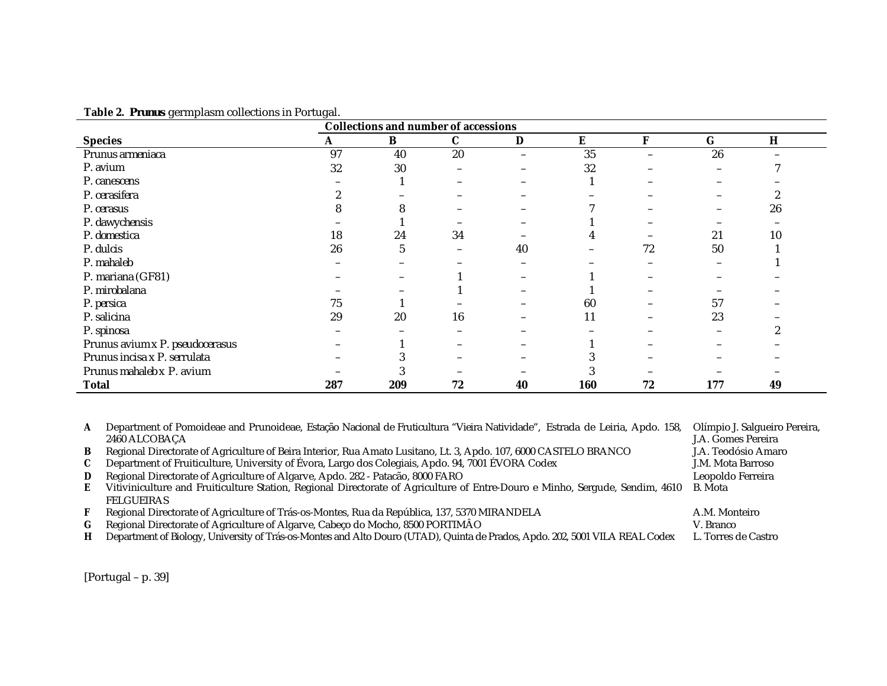| $\circ$                         | $\circ$<br><b>Collections and number of accessions</b> |              |             |                          |     |                          |         |    |  |
|---------------------------------|--------------------------------------------------------|--------------|-------------|--------------------------|-----|--------------------------|---------|----|--|
| <b>Species</b>                  | A                                                      | B            | $\mathbf C$ | $\mathbf D$              | E   | F                        | $\bf G$ | H  |  |
| Prunus armeniaca                | 97                                                     | 40           | 20          | $\overline{\phantom{m}}$ | 35  | $\overline{\phantom{0}}$ | 26      |    |  |
| P. avium                        | 32                                                     | 30           |             |                          | 32  |                          |         |    |  |
| P. canescens                    |                                                        |              |             |                          |     |                          |         |    |  |
| P. cerasifera                   |                                                        |              |             |                          |     |                          |         |    |  |
| P. cerasus                      |                                                        |              |             |                          |     |                          |         | 26 |  |
| P. dawychensis                  |                                                        |              |             |                          |     |                          |         |    |  |
| P. domestica                    | 18                                                     | 24           | 34          |                          |     |                          | 21      | 10 |  |
| P. dulcis                       | 26                                                     | <sup>"</sup> |             | 40                       |     | 72                       | 50      |    |  |
| P. mahaleb                      |                                                        |              |             |                          |     |                          |         |    |  |
| P. mariana (GF81)               |                                                        |              |             |                          |     |                          |         |    |  |
| P. mirobalana                   |                                                        |              |             |                          |     |                          |         |    |  |
| P. persica                      | 75                                                     |              |             |                          | 60  |                          | 57      |    |  |
| P. salicina                     | 29                                                     | 20           | 16          |                          | 11  |                          | 23      |    |  |
| P. spinosa                      |                                                        |              |             |                          |     |                          |         |    |  |
| Prunus avium x P. pseudocerasus |                                                        |              |             |                          |     |                          |         |    |  |
| Prunus incisa x P. serrulata    |                                                        |              |             |                          |     |                          |         |    |  |
| Prunus mahaleb x P. avium       |                                                        |              |             |                          |     |                          |         |    |  |
| <b>Total</b>                    | 287                                                    | 209          | 72          | 40                       | 160 | 72                       | 177     | 49 |  |

**Table 2.** *Prunus* germplasm collections in Portugal.

**A** Department of Pomoideae and Prunoideae, Estação Nacional de Fruticultura "Vieira Natividade", Estrada de Leiria, Apdo. 158, 2460 ALCOBAÇA Olímpio J. Salgueiro Pereira, J.A. Gomes Pereira **B** Regional Directorate of Agriculture of Beira Interior, Rua Amato Lusitano, Lt. 3, Apdo. 107, 6000 CASTELO BRANCO J.A. Teodósio Amaro **C** Department of Fruiticulture, University of Évora, Largo dos Colegiais, Apdo. 94, 7001 ÉVORA Codex J.M. Mota Barroso **D** Regional Directorate of Agriculture of Algarve, Apdo. 282 - Patacão, 8000 FARO Leopoldo Ferreira **E** Vitiviniculture and Fruiticulture Station, Regional Directorate of Agriculture of Entre-Douro e Minho, Sergude, Sendim, 4610 FELGUEIRAS B. Mota **F** Regional Directorate of Agriculture of Trás-os-Montes, Rua da República, 137, 5370 MIRANDELA A.M. Monteiro **G** Regional Directorate of Agriculture of Algarve, Cabeço do Mocho, 8500 PORTIMÂO V. Branco **H** Department of Biology, University of Trás-os-Montes and Alto Douro (UTAD), Quinta de Prados, Apdo. 202, 5001 VILA REAL Codex L. Torres de Castro

[Portugal – p. 39]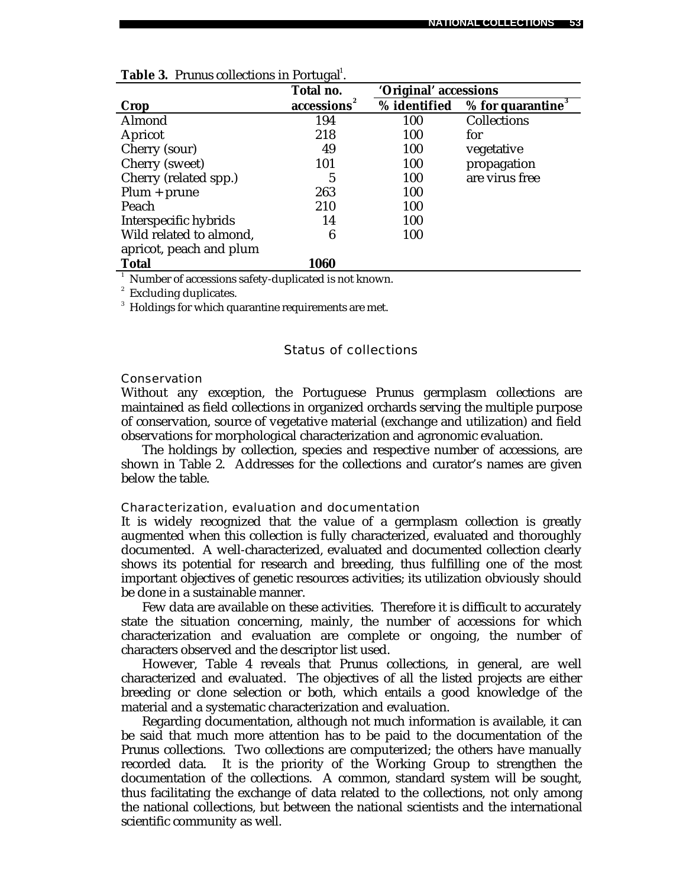|                         | Total no.  | 'Original' accessions |                                 |
|-------------------------|------------|-----------------------|---------------------------------|
| Crop                    | accessions | % identified          | $%$ for quarantine <sup>3</sup> |
| Almond                  | 194        | 100                   | Collections                     |
| Apricot                 | 218        | 100                   | for                             |
| Cherry (sour)           | 49         | 100                   | vegetative                      |
| Cherry (sweet)          | 101        | 100                   | propagation                     |
| Cherry (related spp.)   | 5          | 100                   | are virus free                  |
| $Plum + prune$          | 263        | 100                   |                                 |
| Peach                   | 210        | 100                   |                                 |
| Interspecific hybrids   | 14         | 100                   |                                 |
| Wild related to almond, | 6          | 100                   |                                 |
| apricot, peach and plum |            |                       |                                 |
| <b>Total</b>            | 1060       |                       |                                 |

<sup>1</sup> Number of accessions safety-duplicated is not known.

<sup>2</sup> Excluding duplicates.

 $^3$  Holdings for which quarantine requirements are met.

# Status of collections

#### Conservation

Without any exception, the Portuguese *Prunus* germplasm collections are maintained as field collections in organized orchards serving the multiple purpose of conservation, source of vegetative material (exchange and utilization) and field observations for morphological characterization and agronomic evaluation.

The holdings by collection, species and respective number of accessions, are shown in Table 2. Addresses for the collections and curator's names are given below the table.

### Characterization, evaluation and documentation

It is widely recognized that the value of a germplasm collection is greatly augmented when this collection is fully characterized, evaluated and thoroughly documented. A well-characterized, evaluated and documented collection clearly shows its potential for research and breeding, thus fulfilling one of the most important objectives of genetic resources activities; its utilization obviously should be done in a sustainable manner.

Few data are available on these activities. Therefore it is difficult to accurately state the situation concerning, mainly, the number of accessions for which characterization and evaluation are complete or ongoing, the number of characters observed and the descriptor list used.

However, Table 4 reveals that *Prunus* collections, in general, are well characterized and evaluated. The objectives of all the listed projects are either breeding or clone selection or both, which entails a good knowledge of the material and a systematic characterization and evaluation.

Regarding documentation, although not much information is available, it can be said that much more attention has to be paid to the documentation of the *Prunus* collections. Two collections are computerized; the others have manually recorded data. It is the priority of the Working Group to strengthen the documentation of the collections. A common, standard system will be sought, thus facilitating the exchange of data related to the collections, not only among the national collections, but between the national scientists and the international scientific community as well.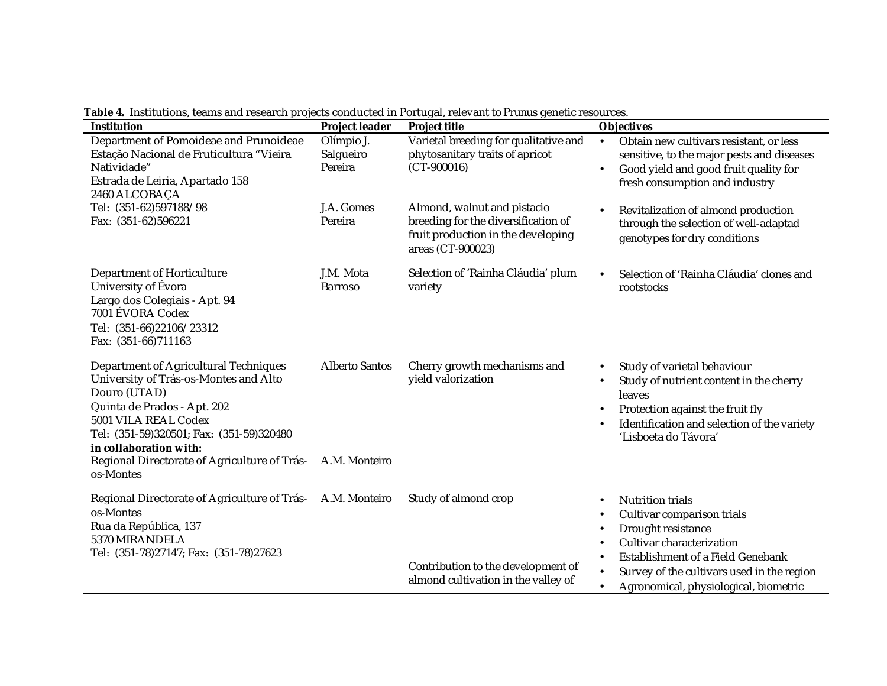| <b>Institution</b>                                                                                                                                                                                                                                                                       | <b>Project leader</b>                  | <b>Project title</b>                                                                                                          | <b>Objectives</b>                                                                                                                                                                                                                    |
|------------------------------------------------------------------------------------------------------------------------------------------------------------------------------------------------------------------------------------------------------------------------------------------|----------------------------------------|-------------------------------------------------------------------------------------------------------------------------------|--------------------------------------------------------------------------------------------------------------------------------------------------------------------------------------------------------------------------------------|
| Department of Pomoideae and Prunoideae<br>Estação Nacional de Fruticultura "Vieira<br>Natividade"<br>Estrada de Leiria, Apartado 158<br>2460 ALCOBAÇA                                                                                                                                    | Olímpio J.<br>Salgueiro<br>Pereira     | Varietal breeding for qualitative and<br>phytosanitary traits of apricot<br>$(CT-900016)$                                     | Obtain new cultivars resistant, or less<br>$\bullet$<br>sensitive, to the major pests and diseases<br>Good yield and good fruit quality for<br>$\bullet$<br>fresh consumption and industry                                           |
| Tel: (351-62)597188/98<br>Fax: (351-62)596221                                                                                                                                                                                                                                            | J.A. Gomes<br>Pereira                  | Almond, walnut and pistacio<br>breeding for the diversification of<br>fruit production in the developing<br>areas (CT-900023) | Revitalization of almond production<br>through the selection of well-adaptad<br>genotypes for dry conditions                                                                                                                         |
| Department of Horticulture<br>University of Évora<br>Largo dos Colegiais - Apt. 94<br>7001 ÉVORA Codex<br>Tel: (351-66)22106/23312<br>Fax: (351-66)711163                                                                                                                                | J.M. Mota<br><b>Barroso</b>            | Selection of 'Rainha Cláudia' plum<br>variety                                                                                 | Selection of 'Rainha Cláudia' clones and<br>rootstocks                                                                                                                                                                               |
| Department of Agricultural Techniques<br>University of Trás-os-Montes and Alto<br>Douro (UTAD)<br>Quinta de Prados - Apt. 202<br>5001 VILA REAL Codex<br>Tel: (351-59)320501; Fax: (351-59)320480<br>in collaboration with:<br>Regional Directorate of Agriculture of Trás-<br>os-Montes | <b>Alberto Santos</b><br>A.M. Monteiro | Cherry growth mechanisms and<br>yield valorization                                                                            | Study of varietal behaviour<br>Study of nutrient content in the cherry<br>$\bullet$<br>leaves<br>Protection against the fruit fly<br>$\bullet$<br>Identification and selection of the variety<br>'Lisboeta do Távora'                |
| Regional Directorate of Agriculture of Trás-<br>os-Montes<br>Rua da República, 137<br>5370 MIRANDELA<br>Tel: (351-78)27147; Fax: (351-78)27623                                                                                                                                           | A.M. Monteiro                          | Study of almond crop<br>Contribution to the development of<br>almond cultivation in the valley of                             | <b>Nutrition trials</b><br>Cultivar comparison trials<br>Drought resistance<br>Cultivar characterization<br>Establishment of a Field Genebank<br>Survey of the cultivars used in the region<br>Agronomical, physiological, biometric |

**Table 4.** Institutions, teams and research projects conducted in Portugal, relevant to *Prunus* genetic resources.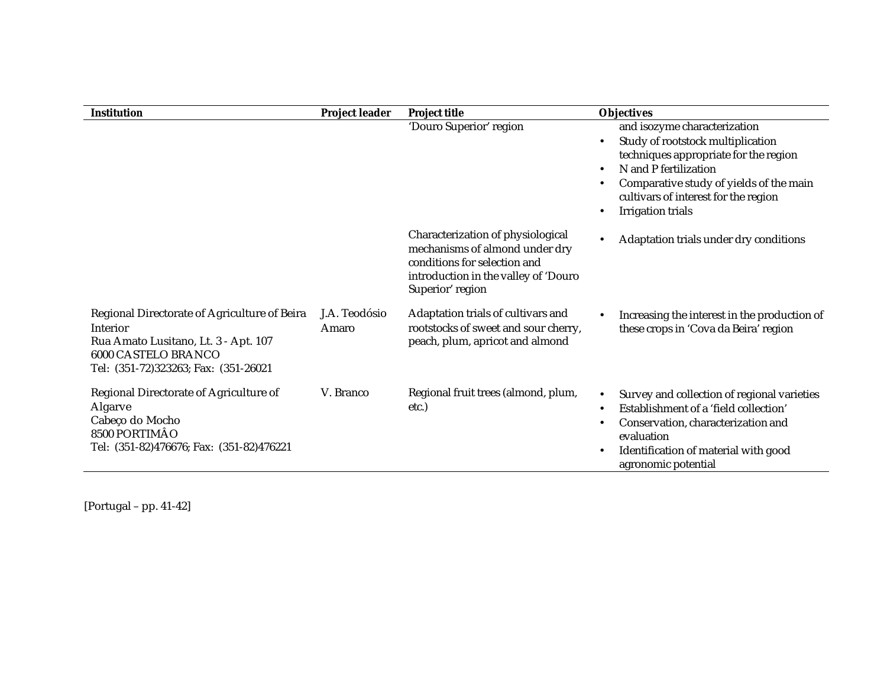| <b>Institution</b>                                                                                                                                              | <b>Project leader</b>  | <b>Project title</b>                                                                                                                                            | <b>Objectives</b>                                                                                                                                                                                                                                               |
|-----------------------------------------------------------------------------------------------------------------------------------------------------------------|------------------------|-----------------------------------------------------------------------------------------------------------------------------------------------------------------|-----------------------------------------------------------------------------------------------------------------------------------------------------------------------------------------------------------------------------------------------------------------|
|                                                                                                                                                                 |                        | 'Douro Superior' region                                                                                                                                         | and isozyme characterization<br>Study of rootstock multiplication<br>techniques appropriate for the region<br>N and P fertilization<br>$\bullet$<br>Comparative study of yields of the main<br>cultivars of interest for the region<br><b>Irrigation trials</b> |
|                                                                                                                                                                 |                        | Characterization of physiological<br>mechanisms of almond under dry<br>conditions for selection and<br>introduction in the valley of 'Douro<br>Superior' region | Adaptation trials under dry conditions                                                                                                                                                                                                                          |
| Regional Directorate of Agriculture of Beira<br>Interior<br>Rua Amato Lusitano, Lt. 3 - Apt. 107<br>6000 CASTELO BRANCO<br>Tel: (351-72)323263; Fax: (351-26021 | J.A. Teodósio<br>Amaro | Adaptation trials of cultivars and<br>rootstocks of sweet and sour cherry,<br>peach, plum, apricot and almond                                                   | Increasing the interest in the production of<br>these crops in 'Cova da Beira' region                                                                                                                                                                           |
| Regional Directorate of Agriculture of<br>Algarve<br>Cabeço do Mocho<br>8500 PORTIMÃO<br>Tel: (351-82)476676; Fax: (351-82)476221                               | V. Branco              | Regional fruit trees (almond, plum,<br>etc.)                                                                                                                    | Survey and collection of regional varieties<br>Establishment of a 'field collection'<br>Conservation, characterization and<br>evaluation<br>Identification of material with good<br>agronomic potential                                                         |

[Portugal – pp. 41-42]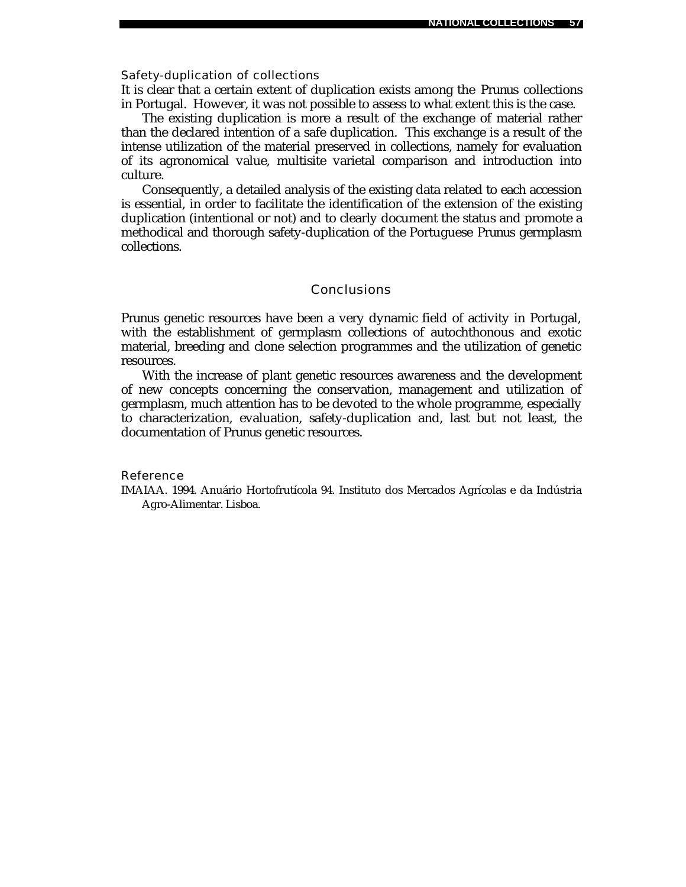#### Safety-duplication of collections

It is clear that a certain extent of duplication exists among the *Prunus* collections in Portugal. However, it was not possible to assess to what extent this is the case.

The existing duplication is more a result of the exchange of material rather than the declared intention of a safe duplication. This exchange is a result of the intense utilization of the material preserved in collections, namely for evaluation of its agronomical value, multisite varietal comparison and introduction into culture.

Consequently, a detailed analysis of the existing data related to each accession is essential, in order to facilitate the identification of the extension of the existing duplication (intentional or not) and to clearly document the status and promote a methodical and thorough safety-duplication of the Portuguese *Prunus* germplasm collections.

### **Conclusions**

*Prunus* genetic resources have been a very dynamic field of activity in Portugal, with the establishment of germplasm collections of autochthonous and exotic material, breeding and clone selection programmes and the utilization of genetic resources.

With the increase of plant genetic resources awareness and the development of new concepts concerning the conservation, management and utilization of germplasm, much attention has to be devoted to the whole programme, especially to characterization, evaluation, safety-duplication and, last but not least, the documentation of *Prunus* genetic resources.

#### Reference

IMAIAA. 1994. Anuário Hortofrutícola 94. Instituto dos Mercados Agrícolas e da Indústria Agro-Alimentar. Lisboa.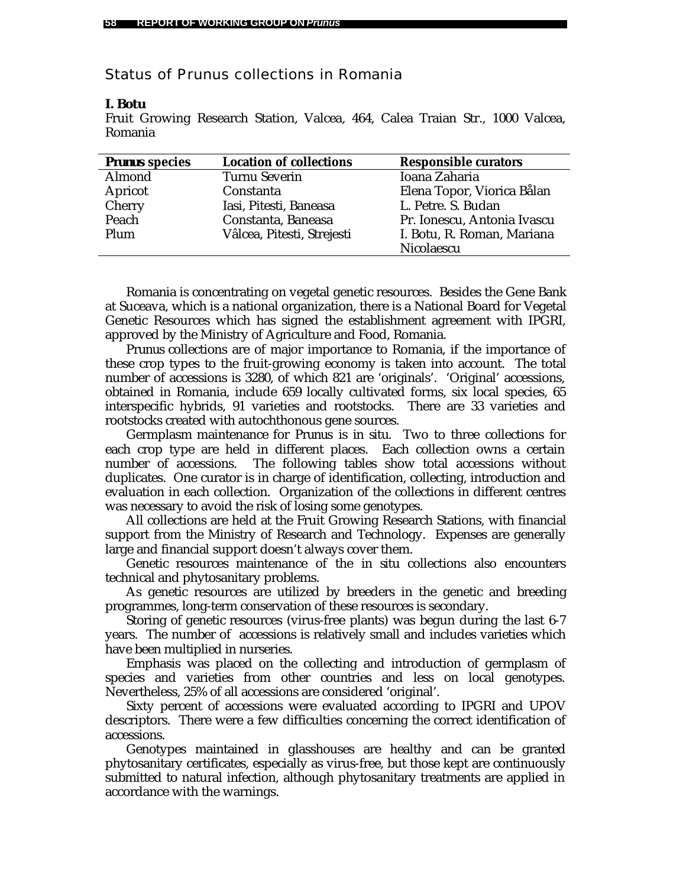# Status of *Prunus* collections in Romania

### *I. Botu*

Fruit Growing Research Station, Valcea, 464, Calea Traian Str., 1000 Valcea, Romania

| <b>Prunus species</b> | <b>Location of collections</b> | <b>Responsible curators</b> |
|-----------------------|--------------------------------|-----------------------------|
| Almond                | <b>Turnu Severin</b>           | Ioana Zaharia               |
| Apricot               | Constanta                      | Elena Topor, Viorica Balan  |
| Cherry                | Iasi, Pitesti, Baneasa         | L. Petre. S. Budan          |
| Peach                 | Constanta, Baneasa             | Pr. Ionescu, Antonia Ivascu |
| Plum                  | Vâlcea, Pitesti, Strejesti     | I. Botu, R. Roman, Mariana  |
|                       |                                | Nicolaescu                  |

Romania is concentrating on vegetal genetic resources. Besides the Gene Bank at Suceava, which is a national organization, there is a National Board for Vegetal Genetic Resources which has signed the establishment agreement with IPGRI, approved by the Ministry of Agriculture and Food, Romania.

*Prunus* collections are of major importance to Romania, if the importance of these crop types to the fruit-growing economy is taken into account. The total number of accessions is 3280, of which 821 are 'originals'. 'Original' accessions, obtained in Romania, include 659 locally cultivated forms, six local species, 65 interspecific hybrids, 91 varieties and rootstocks. There are 33 varieties and rootstocks created with autochthonous gene sources.

Germplasm maintenance for *Prunus* is *in situ*. Two to three collections for each crop type are held in different places. Each collection owns a certain number of accessions. The following tables show total accessions without duplicates. One curator is in charge of identification, collecting, introduction and evaluation in each collection. Organization of the collections in different centres was necessary to avoid the risk of losing some genotypes.

All collections are held at the Fruit Growing Research Stations, with financial support from the Ministry of Research and Technology. Expenses are generally large and financial support doesn't always cover them.

Genetic resources maintenance of the *in situ* collections also encounters technical and phytosanitary problems.

As genetic resources are utilized by breeders in the genetic and breeding programmes, long-term conservation of these resources is secondary.

Storing of genetic resources (virus-free plants) was begun during the last 6-7 years. The number of accessions is relatively small and includes varieties which have been multiplied in nurseries.

Emphasis was placed on the collecting and introduction of germplasm of species and varieties from other countries and less on local genotypes. Nevertheless, 25% of all accessions are considered 'original'.

Sixty percent of accessions were evaluated according to IPGRI and UPOV descriptors. There were a few difficulties concerning the correct identification of accessions.

Genotypes maintained in glasshouses are healthy and can be granted phytosanitary certificates, especially as virus-free, but those kept are continuously submitted to natural infection, although phytosanitary treatments are applied in accordance with the warnings.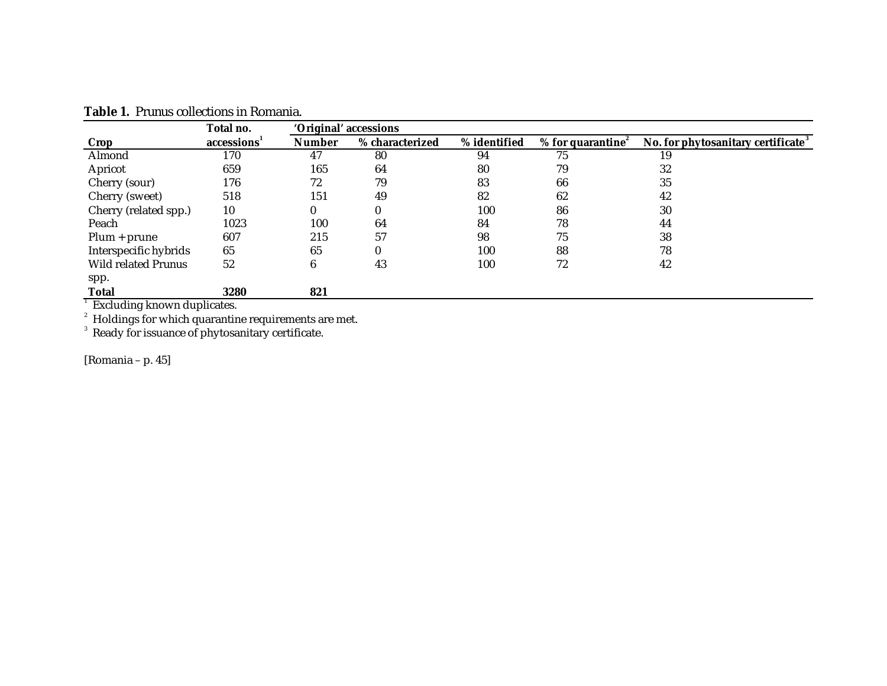|                                                              | Total no.               | 'Original' accessions |                 |              |                               |                                                |  |
|--------------------------------------------------------------|-------------------------|-----------------------|-----------------|--------------|-------------------------------|------------------------------------------------|--|
| Crop                                                         | accessions <sup>1</sup> | <b>Number</b>         | % characterized | % identified | % for quarantine $\epsilon^2$ | No. for phytosanitary certificate <sup>3</sup> |  |
| Almond                                                       | 170                     | 47                    | 80              | 94           | 75                            | 19                                             |  |
| Apricot                                                      | 659                     | 165                   | 64              | 80           | 79                            | 32                                             |  |
| Cherry (sour)                                                | 176                     | 72                    | 79              | 83           | 66                            | 35                                             |  |
| Cherry (sweet)                                               | 518                     | 151                   | 49              | 82           | 62                            | 42                                             |  |
| Cherry (related spp.)                                        | 10                      | 0                     | $\bf{0}$        | 100          | 86                            | 30                                             |  |
| Peach                                                        | 1023                    | 100                   | 64              | 84           | 78                            | 44                                             |  |
| $Plum + prune$                                               | 607                     | 215                   | 57              | 98           | 75                            | 38                                             |  |
| Interspecific hybrids                                        | 65                      | 65                    | $\bf{0}$        | 100          | 88                            | 78                                             |  |
| Wild related Prunus                                          | 52                      | 6                     | 43              | 100          | 72                            | 42                                             |  |
| spp.                                                         |                         |                       |                 |              |                               |                                                |  |
| <b>Total</b>                                                 | 3280                    | 821                   |                 |              |                               |                                                |  |
| Excluding known duplicates.                                  |                         |                       |                 |              |                               |                                                |  |
| $\alpha$ Holdings for which quarantine requirements are met. |                         |                       |                 |              |                               |                                                |  |
| Ready for issuance of phytosanitary certificate.             |                         |                       |                 |              |                               |                                                |  |

**Table 1.** *Prunus* collections in Romania.

[Romania – p. 45]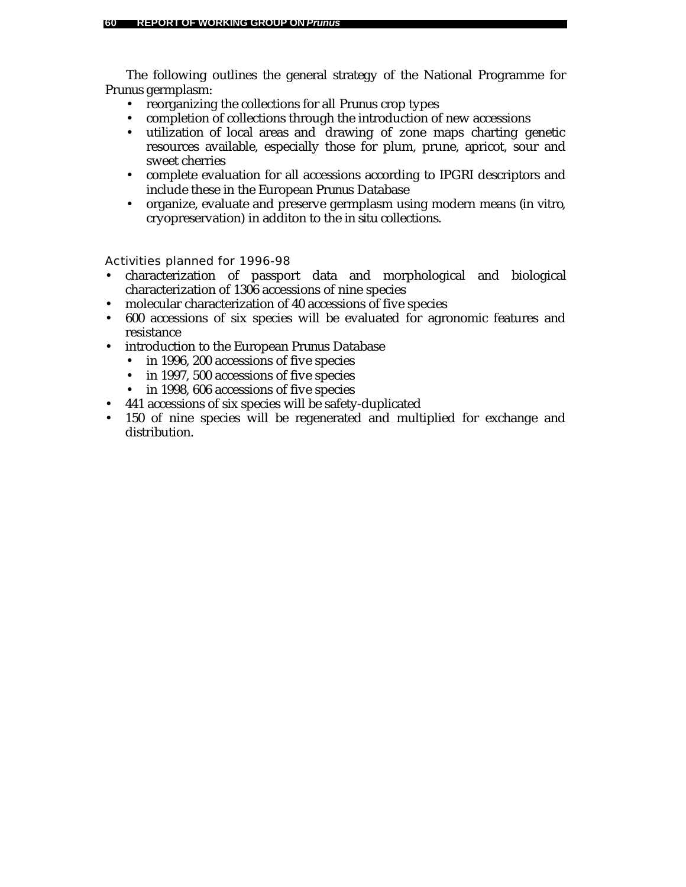The following outlines the general strategy of the National Programme for *Prunus* germplasm:

- reorganizing the collections for all *Prunus* crop types
- completion of collections through the introduction of new accessions
- utilization of local areas and drawing of zone maps charting genetic resources available, especially those for plum, prune, apricot, sour and sweet cherries
- complete evaluation for all accessions according to IPGRI descriptors and include these in the European *Prunus* Database
- organize, evaluate and preserve germplasm using modern means (*in vitro*, cryopreservation) in additon to the *in situ* collections.

- characterization of passport data and morphological and biological characterization of 1306 accessions of nine species
- molecular characterization of 40 accessions of five species
- 600 accessions of six species will be evaluated for agronomic features and resistance
- introduction to the European *Prunus* Database
	- in 1996, 200 accessions of five species
	- in 1997, 500 accessions of five species
	- in 1998, 606 accessions of five species
- 441 accessions of six species will be safety-duplicated
- 150 of nine species will be regenerated and multiplied for exchange and distribution.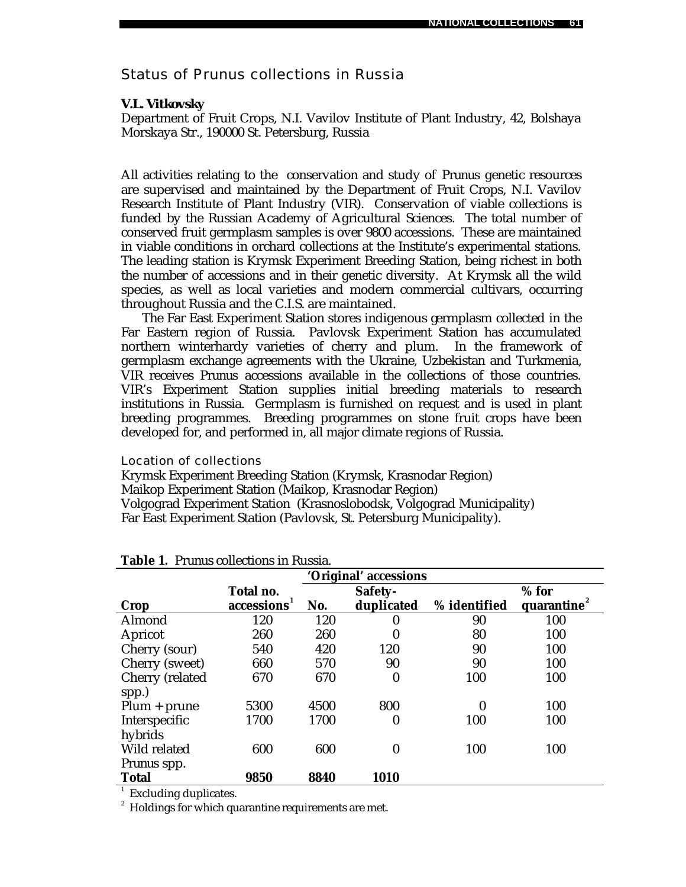# Status of *Prunus* collections in Russia

### *V.L. Vitkovsky*

Department of Fruit Crops, N.I. Vavilov Institute of Plant Industry, 42, Bolshaya Morskaya Str., 190000 St. Petersburg, Russia

All activities relating to the conservation and study of *Prunus* genetic resources are supervised and maintained by the Department of Fruit Crops, N.I. Vavilov Research Institute of Plant Industry (VIR). Conservation of viable collections is funded by the Russian Academy of Agricultural Sciences. The total number of conserved fruit germplasm samples is over 9800 accessions. These are maintained in viable conditions in orchard collections at the Institute's experimental stations. The leading station is Krymsk Experiment Breeding Station, being richest in both the number of accessions and in their genetic diversity. At Krymsk all the wild species, as well as local varieties and modern commercial cultivars, occurring throughout Russia and the C.I.S. are maintained.

The Far East Experiment Station stores indigenous germplasm collected in the Far Eastern region of Russia. Pavlovsk Experiment Station has accumulated northern winterhardy varieties of cherry and plum. In the framework of germplasm exchange agreements with the Ukraine, Uzbekistan and Turkmenia, VIR receives *Prunus* accessions available in the collections of those countries. VIR's Experiment Station supplies initial breeding materials to research institutions in Russia. Germplasm is furnished on request and is used in plant breeding programmes. Breeding programmes on stone fruit crops have been developed for, and performed in, all major climate regions of Russia.

Location of collections

Krymsk Experiment Breeding Station (Krymsk, Krasnodar Region) Maikop Experiment Station (Maikop, Krasnodar Region) Volgograd Experiment Station (Krasnoslobodsk, Volgograd Municipality) Far East Experiment Station (Pavlovsk, St. Petersburg Municipality).

| 'Original' accessions |            |      |            |              |                         |  |
|-----------------------|------------|------|------------|--------------|-------------------------|--|
|                       | Total no.  |      | Safety-    |              | $%$ for                 |  |
| Crop                  | accessions | No.  | duplicated | % identified | quarantine <sup>2</sup> |  |
| Almond                | 120        | 120  | 0          | 90           | 100                     |  |
| Apricot               | 260        | 260  | 0          | 80           | 100                     |  |
| Cherry (sour)         | 540        | 420  | 120        | 90           | 100                     |  |
| Cherry (sweet)        | 660        | 570  | 90         | 90           | 100                     |  |
| Cherry (related       | 670        | 670  | 0          | 100          | 100                     |  |
| spp.)                 |            |      |            |              |                         |  |
| $Plum + prune$        | 5300       | 4500 | 800        | $\bf{0}$     | 100                     |  |
| Interspecific         | 1700       | 1700 | 0          | 100          | 100                     |  |
| hybrids               |            |      |            |              |                         |  |
| Wild related          | 600        | 600  | 0          | 100          | 100                     |  |
| Prunus spp.           |            |      |            |              |                         |  |
| <b>Total</b>          | 9850       | 8840 | 1010       |              |                         |  |

## **Table 1.** *Prunus* collections in Russia.

<sup>1</sup> Excluding duplicates.

 $^{\text{2}}\,$  Holdings for which quarantine requirements are met.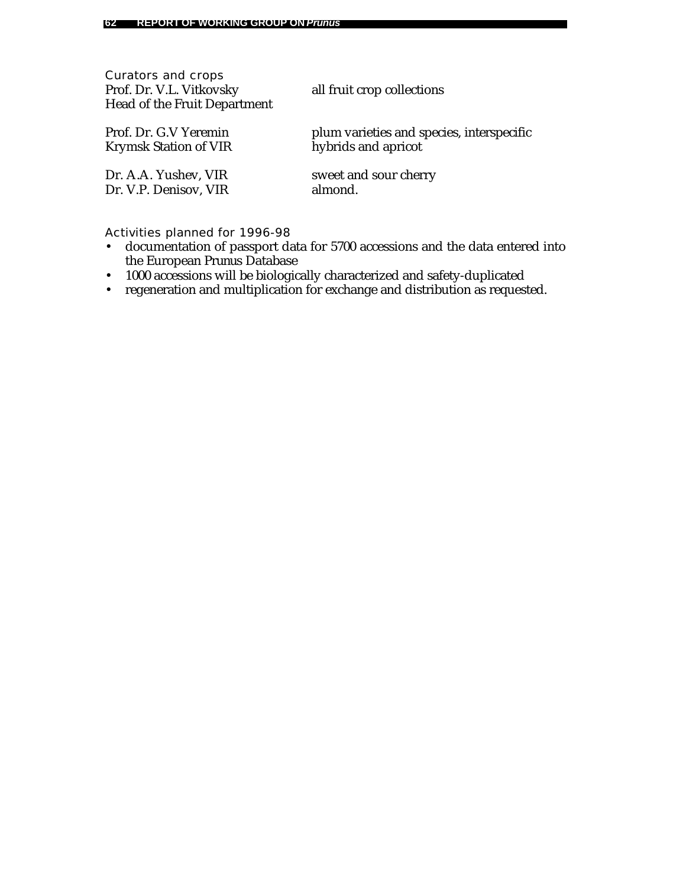| Curators and crops<br>Prof. Dr. V.L. Vitkovsky<br>Head of the Fruit Department | all fruit crop collections                |
|--------------------------------------------------------------------------------|-------------------------------------------|
| Prof. Dr. G.V Yeremin                                                          | plum varieties and species, interspecific |
| Krymsk Station of VIR                                                          | hybrids and apricot                       |
| Dr. A.A. Yushev, VIR                                                           | sweet and sour cherry                     |
| Dr. V.P. Denisov, VIR                                                          | almond.                                   |

- documentation of passport data for 5700 accessions and the data entered into the European *Prunus* Database
- 1000 accessions will be biologically characterized and safety-duplicated
- regeneration and multiplication for exchange and distribution as requested.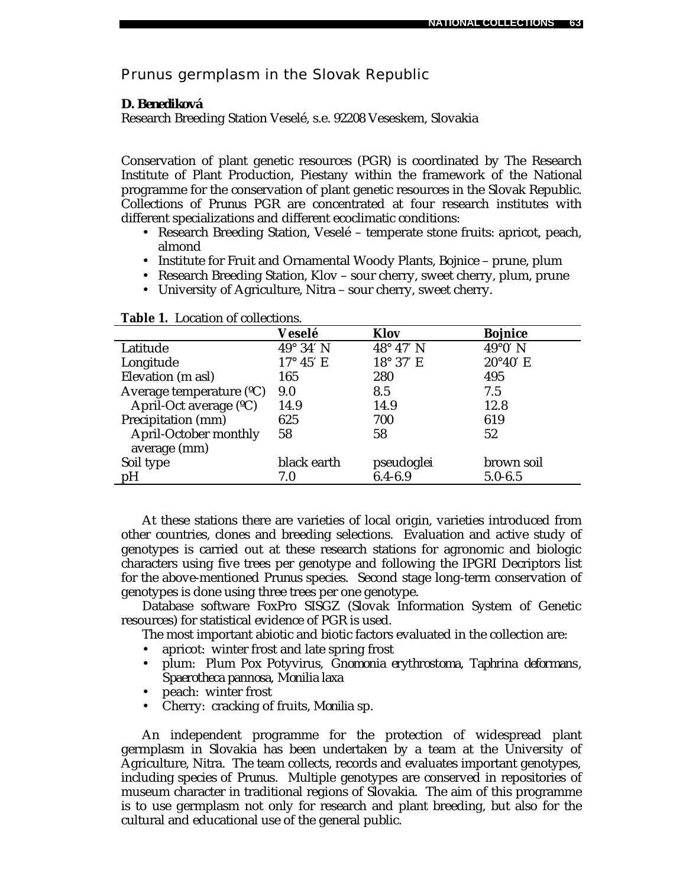*Prunus* germplasm in the Slovak Republic

### *D. Benediková*

Research Breeding Station Veselé, s.e. 92208 Veseskem, Slovakia

Conservation of plant genetic resources (PGR) is coordinated by The Research Institute of Plant Production, Piestany within the framework of the National programme for the conservation of plant genetic resources in the Slovak Republic. Collections of *Prunus* PGR are concentrated at four research institutes with different specializations and different ecoclimatic conditions:

- Research Breeding Station, Veselé temperate stone fruits: apricot, peach, almond
- Institute for Fruit and Ornamental Woody Plants, Bojnice prune, plum
- Research Breeding Station, Klov sour cherry, sweet cherry, plum, prune
- University of Agriculture, Nitra sour cherry, sweet cherry.

|                           | Veselé           | <b>Klov</b>      | <b>Bojnice</b>    |
|---------------------------|------------------|------------------|-------------------|
| Latitude                  | $49^\circ 34' N$ | $48^\circ 47' N$ | $49^{\circ}0'$ N  |
| Longitude                 | $17^\circ 45'$ E | 18° 37' E        | $20^{\circ}40'$ E |
| Elevation (m asl)         | 165              | 280              | 495               |
| Average temperature $(C)$ | 9.0              | 8.5              | 7.5               |
| April-Oct average (°C)    | 14.9             | 14.9             | 12.8              |
| Precipitation (mm)        | 625              | 700              | 619               |
| April-October monthly     | 58               | 58               | 52                |
| average (mm)              |                  |                  |                   |
| Soil type                 | black earth      | pseudoglei       | brown soil        |
| pH                        | 7.0              | $6.4 - 6.9$      | $5.0 - 6.5$       |

**Table 1.** Location of collections.

At these stations there are varieties of local origin, varieties introduced from other countries, clones and breeding selections. Evaluation and active study of genotypes is carried out at these research stations for agronomic and biologic characters using five trees per genotype and following the IPGRI Decriptors list for the above-mentioned *Prunus* species. Second stage long-term conservation of genotypes is done using three trees per one genotype.

Database software FoxPro SISGZ (Slovak Information System of Genetic resources) for statistical evidence of PGR is used.

The most important abiotic and biotic factors evaluated in the collection are:

- apricot: winter frost and late spring frost
- plum: Plum Pox Potyvirus, *Gnomonia erythrostoma*, *Taphrina deformans*, *Spaerotheca pannosa*, *Monilia laxa*
- peach: winter frost
- Cherry: cracking of fruits, *Monilia* sp.

An independent programme for the protection of widespread plant germplasm in Slovakia has been undertaken by a team at the University of Agriculture, Nitra. The team collects, records and evaluates important genotypes, including species of *Prunus*. Multiple genotypes are conserved in repositories of museum character in traditional regions of Slovakia. The aim of this programme is to use germplasm not only for research and plant breeding, but also for the cultural and educational use of the general public.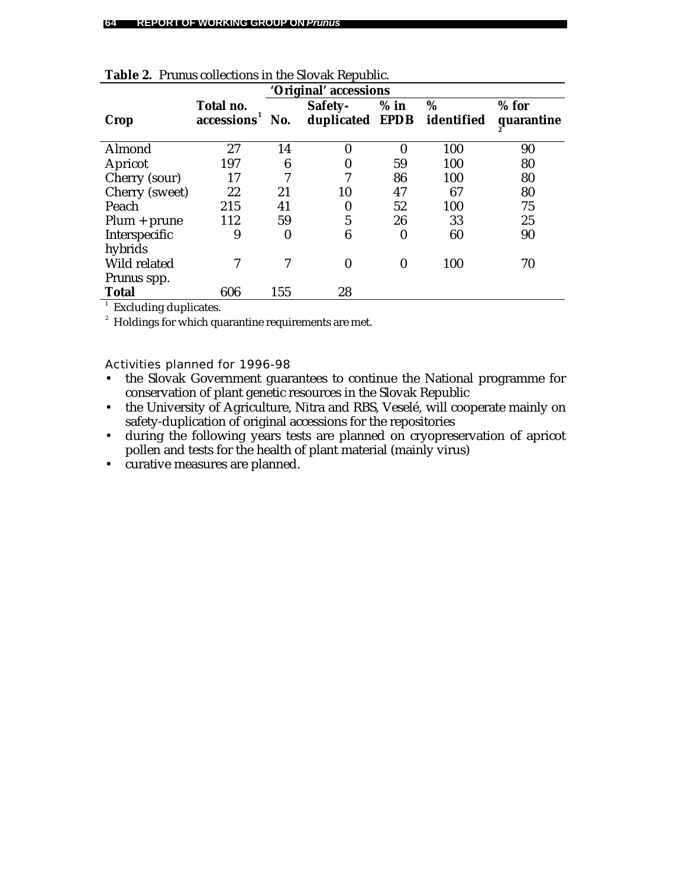| 'Original' accessions |                         |                  |                  |                  |            |            |
|-----------------------|-------------------------|------------------|------------------|------------------|------------|------------|
|                       | Total no.               |                  | Safety-          | $%$ in           | %          | $%$ for    |
| Crop                  | accessions <sup>1</sup> | No.              | duplicated EPDB  |                  | identified | quarantine |
|                       |                         |                  |                  |                  |            |            |
| Almond                | 27                      | 14               | 0                | 0                | 100        | 90         |
| Apricot               | 197                     | 6                | 0                | 59               | 100        | 80         |
| Cherry (sour)         | 17                      | 7                | 7                | 86               | 100        | 80         |
| Cherry (sweet)        | 22                      | 21               | 10               | 47               | 67         | 80         |
| Peach                 | 215                     | 41               | 0                | 52               | 100        | 75         |
| $Plum + prune$        | 112                     | 59               | 5                | 26               | 33         | 25         |
| Interspecific         | 9                       | $\boldsymbol{0}$ | 6                | $\boldsymbol{0}$ | 60         | 90         |
| hybrids               |                         |                  |                  |                  |            |            |
| Wild related          |                         | 7                | $\boldsymbol{0}$ | $\boldsymbol{0}$ | 100        | 70         |
| <i>Prunus</i> spp.    |                         |                  |                  |                  |            |            |
| <b>Total</b>          | 606                     | 155              | 28               |                  |            |            |

|  |  | Table 2. Prunus collections in the Slovak Republic. |  |  |  |
|--|--|-----------------------------------------------------|--|--|--|
|--|--|-----------------------------------------------------|--|--|--|

<sup>1</sup> Excluding duplicates.

 $^{\text{2}}\,$  Holdings for which quarantine requirements are met.

- the Slovak Government guarantees to continue the National programme for conservation of plant genetic resources in the Slovak Republic
- the University of Agriculture, Nitra and RBS, Veselé, will cooperate mainly on safety-duplication of original accessions for the repositories
- during the following years tests are planned on cryopreservation of apricot pollen and tests for the health of plant material (mainly virus)
- curative measures are planned.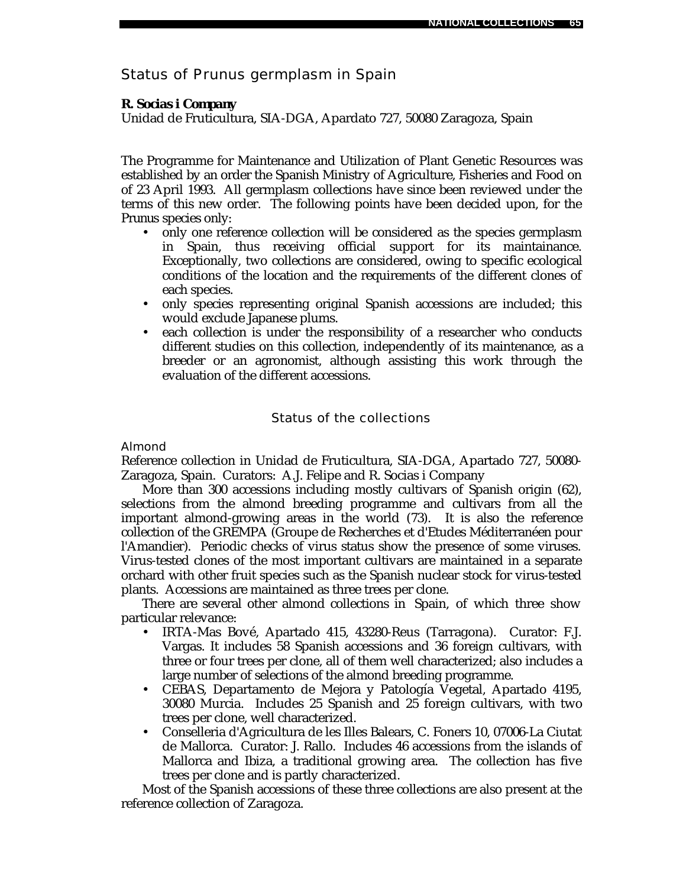# Status of *Prunus* germplasm in Spain

# *R. Socias i Company*

Unidad de Fruticultura, SIA-DGA, Apardato 727, 50080 Zaragoza, Spain

The Programme for Maintenance and Utilization of Plant Genetic Resources was established by an order the Spanish Ministry of Agriculture, Fisheries and Food on of 23 April 1993. All germplasm collections have since been reviewed under the terms of this new order. The following points have been decided upon, for the *Prunus* species only:

- only one reference collection will be considered as the species germplasm in Spain, thus receiving official support for its maintainance. Exceptionally, two collections are considered, owing to specific ecological conditions of the location and the requirements of the different clones of each species.
- only species representing original Spanish accessions are included; this would exclude Japanese plums.
- each collection is under the responsibility of a researcher who conducts different studies on this collection, independently of its maintenance, as a breeder or an agronomist, although assisting this work through the evaluation of the different accessions.

# Status of the collections

### Almond

Reference collection in Unidad de Fruticultura, SIA-DGA, Apartado 727, 50080- Zaragoza, Spain. Curators: A.J. Felipe and R. Socias i Company

More than 300 accessions including mostly cultivars of Spanish origin (62), selections from the almond breeding programme and cultivars from all the important almond-growing areas in the world (73). It is also the reference collection of the GREMPA (Groupe de Recherches et d'Etudes Méditerranéen pour l'Amandier). Periodic checks of virus status show the presence of some viruses. Virus-tested clones of the most important cultivars are maintained in a separate orchard with other fruit species such as the Spanish nuclear stock for virus-tested plants. Accessions are maintained as three trees per clone.

There are several other almond collections in Spain, of which three show particular relevance:

- IRTA-Mas Bové, Apartado 415, 43280-Reus (Tarragona). Curator: F.J. Vargas. It includes 58 Spanish accessions and 36 foreign cultivars, with three or four trees per clone, all of them well characterized; also includes a large number of selections of the almond breeding programme.
- CEBAS, Departamento de Mejora y Patología Vegetal, Apartado 4195, 30080 Murcia. Includes 25 Spanish and 25 foreign cultivars, with two trees per clone, well characterized.
- Conselleria d'Agricultura de les Illes Balears, C. Foners 10, 07006-La Ciutat de Mallorca. Curator: J. Rallo. Includes 46 accessions from the islands of Mallorca and Ibiza, a traditional growing area. The collection has five trees per clone and is partly characterized.

Most of the Spanish accessions of these three collections are also present at the reference collection of Zaragoza.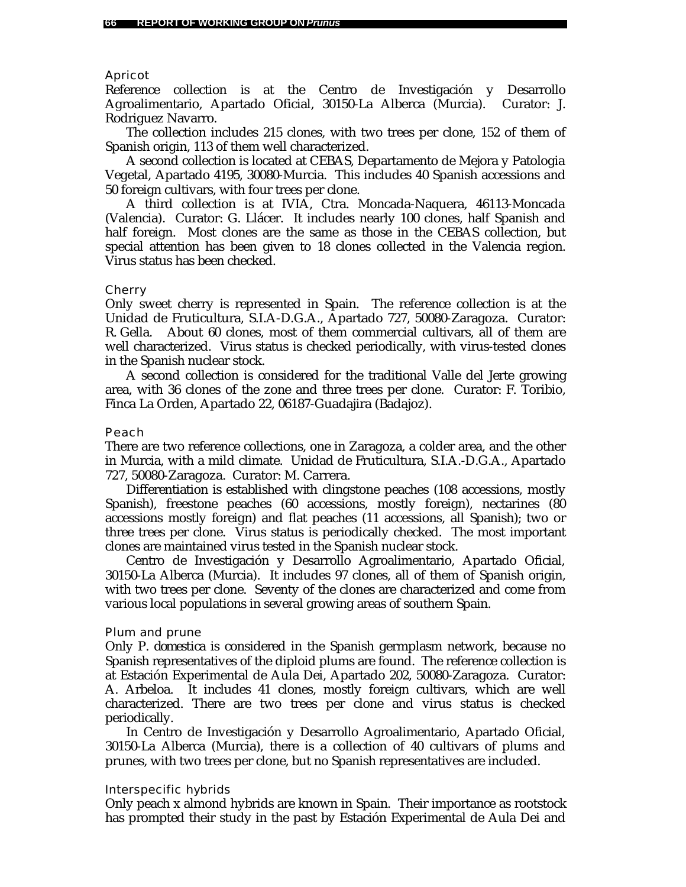#### Apricot

Reference collection is at the Centro de Investigación y Desarrollo Agroalimentario, Apartado Oficial, 30150-La Alberca (Murcia). Curator: J. Rodriguez Navarro.

The collection includes 215 clones, with two trees per clone, 152 of them of Spanish origin, 113 of them well characterized.

A second collection is located at CEBAS, Departamento de Mejora y Patologia Vegetal, Apartado 4195, 30080-Murcia. This includes 40 Spanish accessions and 50 foreign cultivars, with four trees per clone.

A third collection is at IVIA, Ctra. Moncada-Naquera, 46113-Moncada (Valencia). Curator: G. Llácer. It includes nearly 100 clones, half Spanish and half foreign. Most clones are the same as those in the CEBAS collection, but special attention has been given to 18 clones collected in the Valencia region. Virus status has been checked.

#### **Cherry**

Only sweet cherry is represented in Spain. The reference collection is at the Unidad de Fruticultura, S.I.A-D.G.A., Apartado 727, 50080-Zaragoza. Curator: R. Gella. About 60 clones, most of them commercial cultivars, all of them are well characterized. Virus status is checked periodically, with virus-tested clones in the Spanish nuclear stock.

A second collection is considered for the traditional Valle del Jerte growing area, with 36 clones of the zone and three trees per clone. Curator: F. Toribio, Finca La Orden, Apartado 22, 06187-Guadajira (Badajoz).

#### Peach

There are two reference collections, one in Zaragoza, a colder area, and the other in Murcia, with a mild climate. Unidad de Fruticultura, S.I.A.-D.G.A., Apartado 727, 50080-Zaragoza. Curator: M. Carrera.

Differentiation is established with clingstone peaches (108 accessions, mostly Spanish), freestone peaches (60 accessions, mostly foreign), nectarines (80 accessions mostly foreign) and flat peaches (11 accessions, all Spanish); two or three trees per clone. Virus status is periodically checked. The most important clones are maintained virus tested in the Spanish nuclear stock.

Centro de Investigación y Desarrollo Agroalimentario, Apartado Oficial, 30150-La Alberca (Murcia). It includes 97 clones, all of them of Spanish origin, with two trees per clone. Seventy of the clones are characterized and come from various local populations in several growing areas of southern Spain.

#### Plum and prune

Only *P. domestica* is considered in the Spanish germplasm network, because no Spanish representatives of the diploid plums are found. The reference collection is at Estación Experimental de Aula Dei, Apartado 202, 50080-Zaragoza. Curator: A. Arbeloa. It includes 41 clones, mostly foreign cultivars, which are well characterized. There are two trees per clone and virus status is checked periodically.

In Centro de Investigación y Desarrollo Agroalimentario, Apartado Oficial, 30150-La Alberca (Murcia), there is a collection of 40 cultivars of plums and prunes, with two trees per clone, but no Spanish representatives are included.

#### Interspecific hybrids

Only peach x almond hybrids are known in Spain. Their importance as rootstock has prompted their study in the past by Estación Experimental de Aula Dei and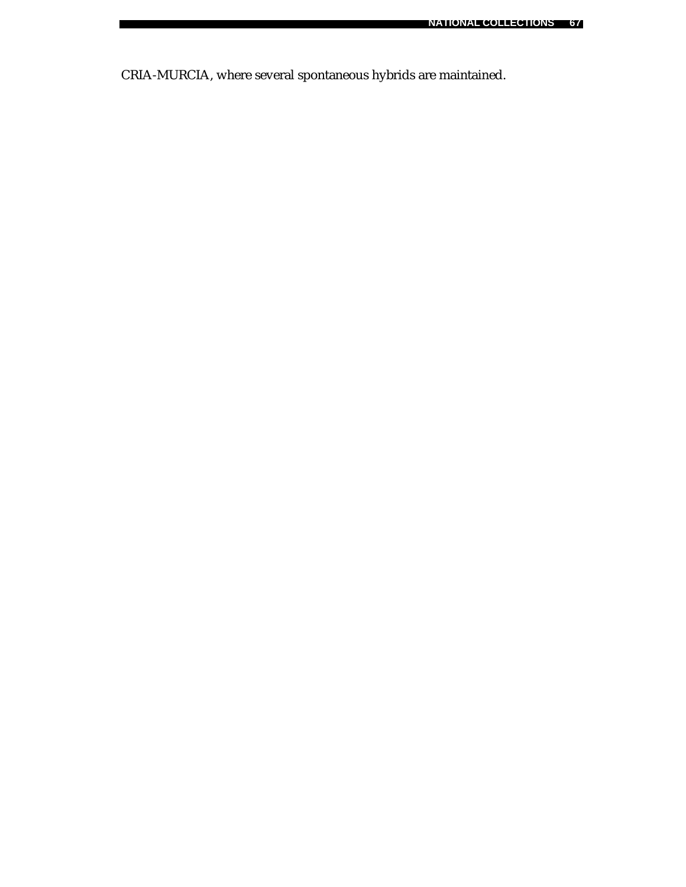CRIA-MURCIA, where several spontaneous hybrids are maintained.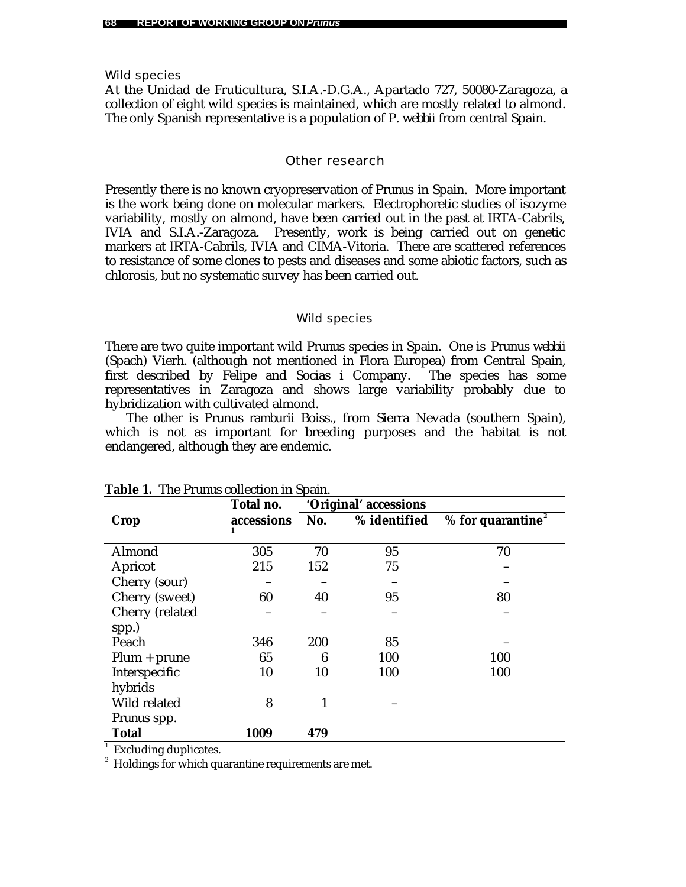Wild species

At the Unidad de Fruticultura, S.I.A.-D.G.A., Apartado 727, 50080-Zaragoza, a collection of eight wild species is maintained, which are mostly related to almond. The only Spanish representative is a population of *P. webbii* from central Spain.

### Other research

Presently there is no known cryopreservation of *Prunus* in Spain. More important is the work being done on molecular markers. Electrophoretic studies of isozyme variability, mostly on almond, have been carried out in the past at IRTA-Cabrils, IVIA and S.I.A.-Zaragoza. Presently, work is being carried out on genetic markers at IRTA-Cabrils, IVIA and CIMA-Vitoria. There are scattered references to resistance of some clones to pests and diseases and some abiotic factors, such as chlorosis, but no systematic survey has been carried out.

#### Wild species

There are two quite important wild *Prunus* species in Spain. One is *Prunus webbii* (Spach) Vierh. (although not mentioned in Flora Europea) from Central Spain, first described by Felipe and Socias i Company. The species has some representatives in Zaragoza and shows large variability probably due to hybridization with cultivated almond.

The other is *Prunus ramburii* Boiss., from Sierra Nevada (southern Spain), which is not as important for breeding purposes and the habitat is not endangered, although they are endemic.

|                                    | Total no.       |     | 'Original' accessions |                                 |
|------------------------------------|-----------------|-----|-----------------------|---------------------------------|
| Crop                               | accessions<br>1 | No. | % identified          | % for quarantine $\overline{e}$ |
| Almond                             | 305             | 70  | 95                    | 70                              |
| Apricot                            | 215             | 152 | 75                    |                                 |
| Cherry (sour)                      |                 |     |                       |                                 |
| Cherry (sweet)                     | 60              | 40  | 95                    | 80                              |
| Cherry (related<br>spp.)           |                 |     |                       |                                 |
| Peach                              | 346             | 200 | 85                    |                                 |
| $Plum + prune$                     | 65              | 6   | 100                   | 100                             |
| Interspecific<br>hybrids           | 10              | 10  | 100                   | 100                             |
| Wild related<br><i>Prunus</i> spp. | 8               | 1   |                       |                                 |
| <b>Total</b>                       | 1009            | 479 |                       |                                 |

**Table 1.**The *Prunus* collection in Spain.

<sup>1</sup> Excluding duplicates.

 $^{\text{2}}\,$  Holdings for which quarantine requirements are met.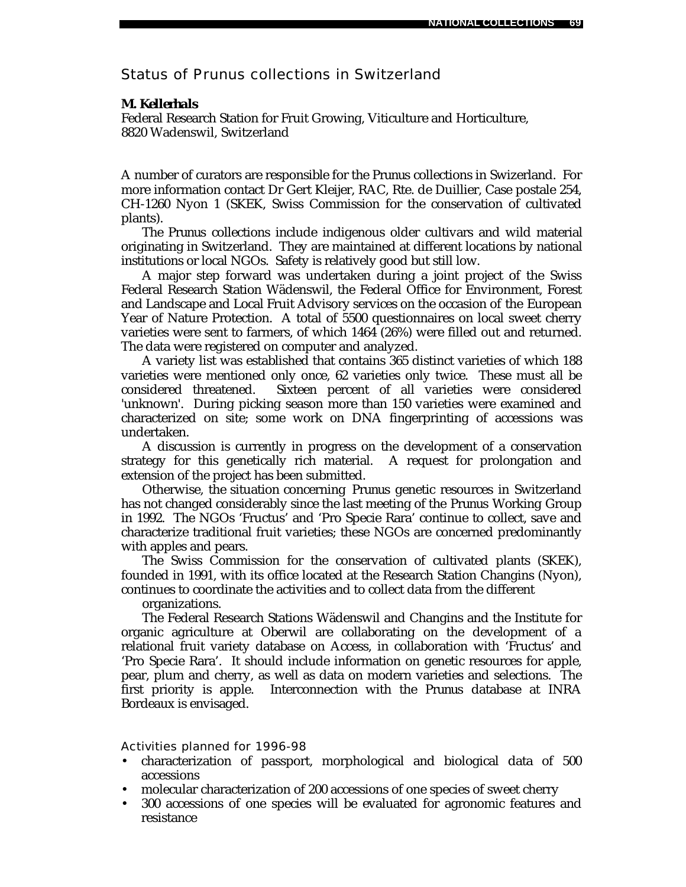# Status of *Prunus* collections in Switzerland

### *M. Kellerhals*

Federal Research Station for Fruit Growing, Viticulture and Horticulture, 8820 Wadenswil, Switzerland

A number of curators are responsible for the *Prunus* collections in Swizerland. For more information contact Dr Gert Kleijer, RAC, Rte. de Duillier, Case postale 254, CH-1260 Nyon 1 (SKEK, Swiss Commission for the conservation of cultivated plants).

The *Prunus* collections include indigenous older cultivars and wild material originating in Switzerland. They are maintained at different locations by national institutions or local NGOs. Safety is relatively good but still low.

A major step forward was undertaken during a joint project of the Swiss Federal Research Station Wädenswil, the Federal Office for Environment, Forest and Landscape and Local Fruit Advisory services on the occasion of the European Year of Nature Protection. A total of 5500 questionnaires on local sweet cherry varieties were sent to farmers, of which 1464 (26%) were filled out and returned. The data were registered on computer and analyzed.

A variety list was established that contains 365 distinct varieties of which 188 varieties were mentioned only once, 62 varieties only twice. These must all be considered threatened. Sixteen percent of all varieties were considered 'unknown'. During picking season more than 150 varieties were examined and characterized on site; some work on DNA fingerprinting of accessions was undertaken.

A discussion is currently in progress on the development of a conservation strategy for this genetically rich material. A request for prolongation and extension of the project has been submitted.

Otherwise, the situation concerning *Prunus* genetic resources in Switzerland has not changed considerably since the last meeting of the *Prunus* Working Group in 1992. The NGOs 'Fructus' and 'Pro Specie Rara' continue to collect, save and characterize traditional fruit varieties; these NGOs are concerned predominantly with apples and pears.

The Swiss Commission for the conservation of cultivated plants (SKEK), founded in 1991, with its office located at the Research Station Changins (Nyon), continues to coordinate the activities and to collect data from the different

organizations.

The Federal Research Stations Wädenswil and Changins and the Institute for organic agriculture at Oberwil are collaborating on the development of a relational fruit variety database on Access, in collaboration with 'Fructus' and 'Pro Specie Rara'. It should include information on genetic resources for apple, pear, plum and cherry, as well as data on modern varieties and selections. The first priority is apple. Interconnection with the *Prunus* database at INRA Bordeaux is envisaged.

- characterization of passport, morphological and biological data of 500 accessions
- molecular characterization of 200 accessions of one species of sweet cherry
- 300 accessions of one species will be evaluated for agronomic features and resistance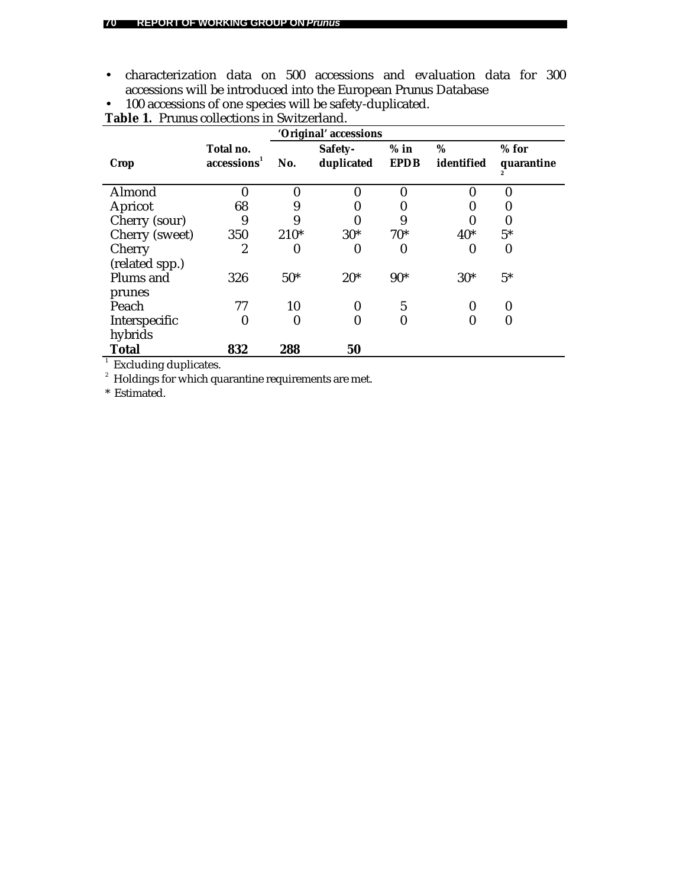• characterization data on 500 accessions and evaluation data for 300 accessions will be introduced into the European *Prunus* Database • 100 accessions of one species will be safety-duplicated.

|                                                     |                                      | 'Original' accessions |                       |                       |                 |                       |  |  |
|-----------------------------------------------------|--------------------------------------|-----------------------|-----------------------|-----------------------|-----------------|-----------------------|--|--|
| <b>Crop</b>                                         | Total no.<br>accessions <sup>1</sup> | No.                   | Safety-<br>duplicated | $%$ in<br><b>EPDB</b> | %<br>identified | $%$ for<br>quarantine |  |  |
| Almond                                              |                                      | 0                     | 0                     |                       |                 | 0                     |  |  |
| Apricot                                             | 68                                   | 9                     | 0                     | 0                     |                 |                       |  |  |
| Cherry (sour)                                       | 9                                    | 9                     |                       | 9                     |                 |                       |  |  |
| Cherry (sweet)                                      | 350                                  | $210*$                | $30*$                 | $70*$                 | $40*$           | $5*$                  |  |  |
| Cherry<br>(related spp.)                            | 2                                    | 0                     | 0                     | 0                     | 0               | 0                     |  |  |
| Plums and<br>prunes                                 | 326                                  | $50*$                 | $20*$                 | $90*$                 | $30*$           | $5*$                  |  |  |
| Peach                                               | 77                                   | 10                    | 0                     | $\mathbf{5}$          |                 | 0                     |  |  |
| Interspecific<br>hybrids                            |                                      | 0                     | 0                     | $\boldsymbol{0}$      | 0               | 0                     |  |  |
| <b>Total</b>                                        | 832                                  | 288                   | 50                    |                       |                 |                       |  |  |
| Excluding duplicates.                               |                                      |                       |                       |                       |                 |                       |  |  |
| Holdings for which quarantine requirements are met. |                                      |                       |                       |                       |                 |                       |  |  |

**Table 1.** *Prunus* collections in Switzerland.

\* Estimated.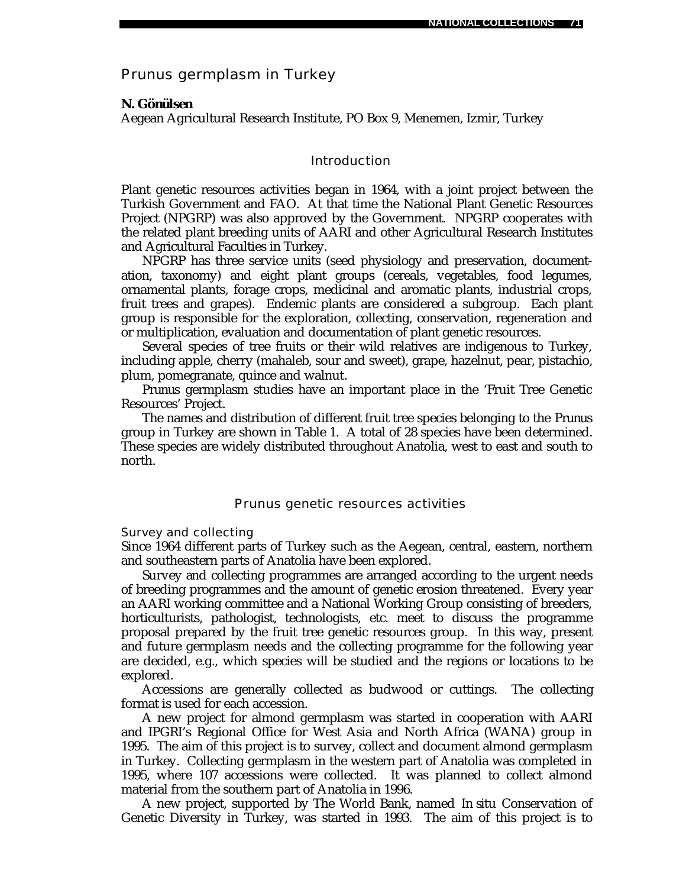## *Prunus* germplasm in Turkey

### *N. Gönülsen*

Aegean Agricultural Research Institute, PO Box 9, Menemen, Izmir, Turkey

### Introduction

Plant genetic resources activities began in 1964, with a joint project between the Turkish Government and FAO. At that time the National Plant Genetic Resources Project (NPGRP) was also approved by the Government. NPGRP cooperates with the related plant breeding units of AARI and other Agricultural Research Institutes and Agricultural Faculties in Turkey.

NPGRP has three service units (seed physiology and preservation, documentation, taxonomy) and eight plant groups (cereals, vegetables, food legumes, ornamental plants, forage crops, medicinal and aromatic plants, industrial crops, fruit trees and grapes). Endemic plants are considered a subgroup. Each plant group is responsible for the exploration, collecting, conservation, regeneration and or multiplication, evaluation and documentation of plant genetic resources.

Several species of tree fruits or their wild relatives are indigenous to Turkey, including apple, cherry (mahaleb, sour and sweet), grape, hazelnut, pear, pistachio, plum, pomegranate, quince and walnut.

*Prunus* germplasm studies have an important place in the 'Fruit Tree Genetic Resources' Project.

The names and distribution of different fruit tree species belonging to the *Prunus* group in Turkey are shown in Table 1. A total of 28 species have been determined. These species are widely distributed throughout Anatolia, west to east and south to north.

#### *Prunus* genetic resources activities

Survey and collecting

Since 1964 different parts of Turkey such as the Aegean, central, eastern, northern and southeastern parts of Anatolia have been explored.

Survey and collecting programmes are arranged according to the urgent needs of breeding programmes and the amount of genetic erosion threatened. Every year an AARI working committee and a National Working Group consisting of breeders, horticulturists, pathologist, technologists, etc. meet to discuss the programme proposal prepared by the fruit tree genetic resources group. In this way, present and future germplasm needs and the collecting programme for the following year are decided, e.g., which species will be studied and the regions or locations to be explored.

Accessions are generally collected as budwood or cuttings. The collecting format is used for each accession.

A new project for almond germplasm was started in cooperation with AARI and IPGRI's Regional Office for West Asia and North Africa (WANA) group in 1995. The aim of this project is to survey, collect and document almond germplasm in Turkey. Collecting germplasm in the western part of Anatolia was completed in 1995, where 107 accessions were collected. It was planned to collect almond material from the southern part of Anatolia in 1996.

A new project, supported by The World Bank, named *In situ* Conservation of Genetic Diversity in Turkey, was started in 1993. The aim of this project is to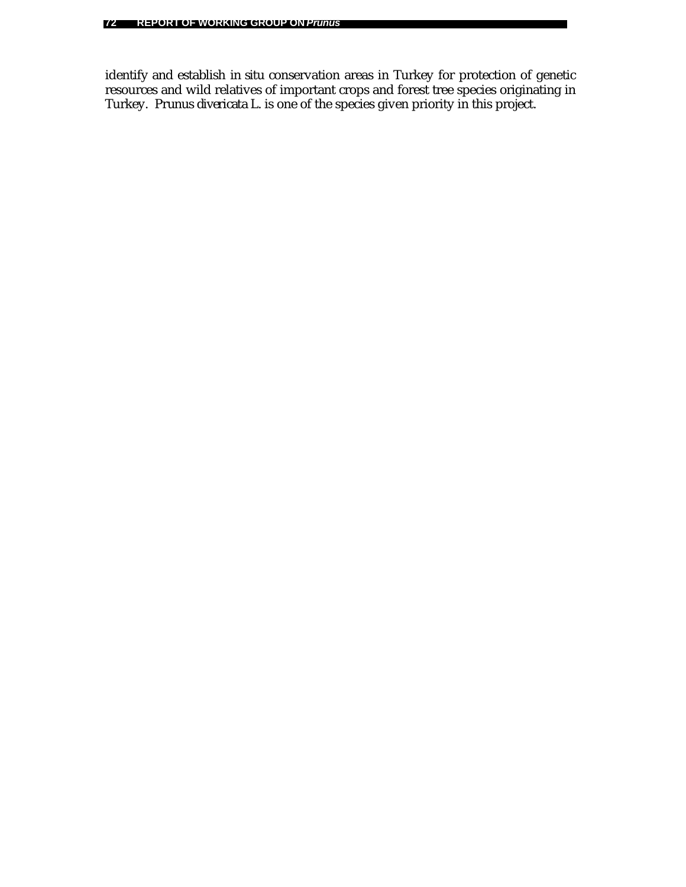identify and establish *in situ* conservation areas in Turkey for protection of genetic resources and wild relatives of important crops and forest tree species originating in Turkey. *Prunus divericata* L. is one of the species given priority in this project.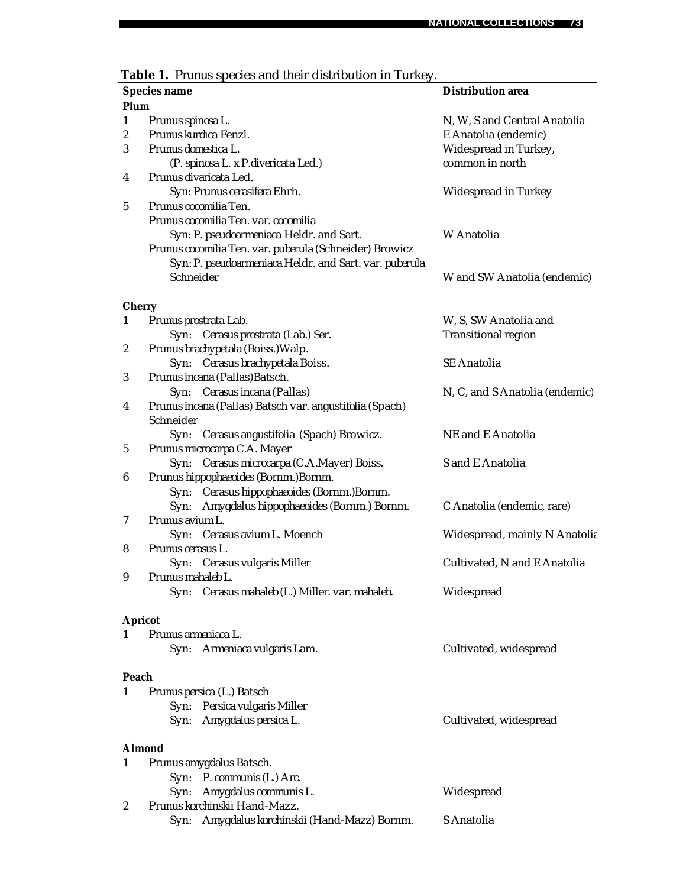|                  | Table 1. Prunus species and their distribution in Turkey.                     |                                |
|------------------|-------------------------------------------------------------------------------|--------------------------------|
|                  | <b>Species name</b>                                                           | <b>Distribution area</b>       |
| Plum             |                                                                               |                                |
| $\mathbf{1}$     | Prunus spinosa L.                                                             | N, W, S and Central Anatolia   |
| $\boldsymbol{2}$ | Prunus kurdica Fenzl.                                                         | E Anatolia (endemic)           |
| 3                | Prunus domestica L.                                                           | Widespread in Turkey,          |
|                  | (P. spinosa L. x P. divericata Led.)                                          | common in north                |
| 4                | Prunus divaricata Led.                                                        |                                |
|                  | Syn: Prunus cerasifera Ehrh.                                                  | Widespread in Turkey           |
| $\mathbf 5$      | Prunus cocomilia Ten.                                                         |                                |
|                  | Prunus cocomilia Ten. var. cocomilia                                          |                                |
|                  | Syn: P. pseudoarmeniaca Heldr. and Sart.                                      | W Anatolia                     |
|                  | Prunus cocomilia Ten. var. puberula (Schneider) Browicz                       |                                |
|                  | Syn: P. pseudoarmeniaca Heldr. and Sart. var. puberula                        |                                |
|                  | Schneider                                                                     | W and SW Anatolia (endemic)    |
|                  |                                                                               |                                |
| <b>Cherry</b>    |                                                                               |                                |
| $\mathbf{1}$     | Prunus prostrata Lab.                                                         | W, S, SW Anatolia and          |
|                  | Syn: Cerasus prostrata (Lab.) Ser.                                            | <b>Transitional region</b>     |
| $\boldsymbol{2}$ | Prunus brachypetala (Boiss.) Walp.                                            |                                |
|                  | Syn: Cerasus brachypetala Boiss.                                              | <b>SE</b> Anatolia             |
| 3                | Prunus incana (Pallas) Batsch.                                                |                                |
|                  | Cerasus incana (Pallas)<br>Syn:                                               | N, C, and S Anatolia (endemic) |
| 4                | Prunus incana (Pallas) Batsch var. angustifolia (Spach)<br>Schneider          |                                |
|                  |                                                                               | NE and E Anatolia              |
| 5                | Cerasus angustifolia (Spach) Browicz.<br>Syn:<br>Prunus microcarpa C.A. Mayer |                                |
|                  | Syn: Cerasus microcarpa (C.A.Mayer) Boiss.                                    | S and E Anatolia               |
| 6                | Prunus hippophaeoides (Bornm.)Bornm.                                          |                                |
|                  | Cerasus hippophaeoides (Bornm.) Bornm.<br>Syn:                                |                                |
|                  | Syn:<br>Amygdalus hippophaeoides (Bornm.) Bornm.                              | C Anatolia (endemic, rare)     |
| 7                | Prunus avium L.                                                               |                                |
|                  | Syn: Cerasus avium L. Moench                                                  | Widespread, mainly N Anatolia  |
| 8                | Prunus cerasus L.                                                             |                                |
|                  | Syn: Cerasus vulgaris Miller                                                  | Cultivated, N and E Anatolia   |
| 9                | Prunus mahaleb L.                                                             |                                |
|                  | Cerasus mahaleb (L.) Miller. var. mahaleb.<br>Syn:                            | Widespread                     |
|                  |                                                                               |                                |
|                  | <b>Apricot</b>                                                                |                                |
| $\mathbf{1}$     | Prunus armeniaca L.                                                           |                                |
|                  | Syn: Armeniaca vulgaris Lam.                                                  | Cultivated, widespread         |
|                  |                                                                               |                                |
| Peach<br>1       | Prunus persica (L.) Batsch                                                    |                                |
|                  | Syn: Persica vulgaris Miller                                                  |                                |
|                  | Syn: Amygdalus persica L.                                                     | Cultivated, widespread         |
|                  |                                                                               |                                |
|                  | <b>Almond</b>                                                                 |                                |
| 1                | Prunus amygdalus Batsch.                                                      |                                |
|                  | Syn: P. communis (L.) Arc.                                                    |                                |
|                  | Amygdalus communis L.<br>Syn:                                                 | Widespread                     |
| $\boldsymbol{2}$ | Prunus korchinskii Hand-Mazz.                                                 |                                |

Syn: *Amygdalus korchinskii* (Hand-Mazz) Bornm. S Anatolia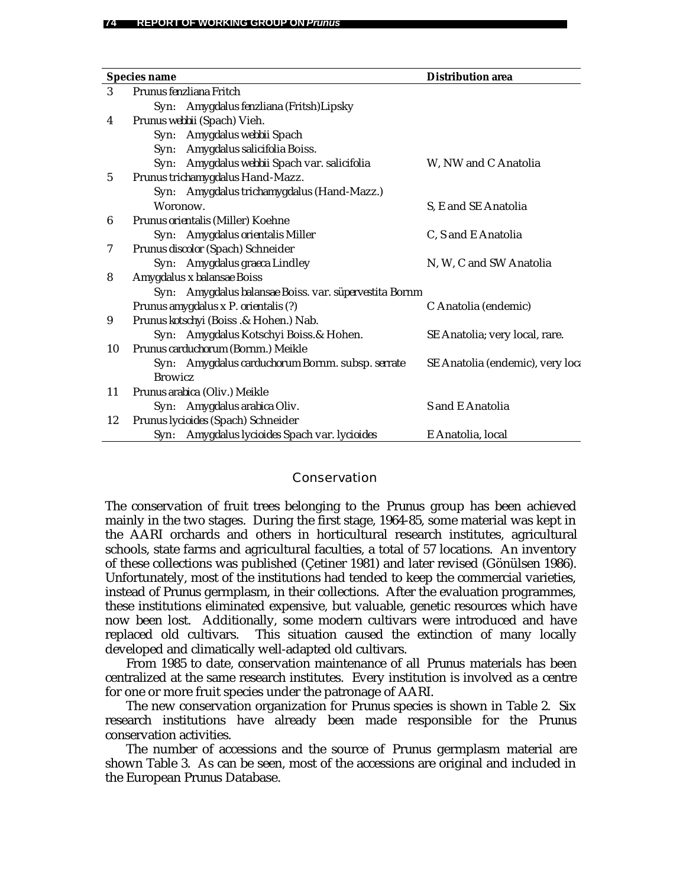|    | <b>Species name</b> |                                                        | <b>Distribution area</b>         |
|----|---------------------|--------------------------------------------------------|----------------------------------|
| 3  |                     | Prunus fenzliana Fritch                                |                                  |
|    |                     | Syn: Amygdalus fenzliana (Fritsh)Lipsky                |                                  |
| 4  |                     | Prunus webbii (Spach) Vieh.                            |                                  |
|    |                     | Syn: Amygdalus webbii Spach                            |                                  |
|    |                     | Syn: Amygdalus salicifolia Boiss.                      |                                  |
|    |                     | Syn: Amygdalus webbii Spach var. salicifolia           | W, NW and C Anatolia             |
| 5  |                     | Prunus trichamygdalus Hand-Mazz.                       |                                  |
|    |                     | Syn: Amygdalus trichamygdalus (Hand-Mazz.)             |                                  |
|    | Woronow.            |                                                        | S, E and SE Anatolia             |
| 6  |                     | Prunus orientalis (Miller) Koehne                      |                                  |
|    |                     | Syn: Amygdalus orientalis Miller                       | C, S and E Anatolia              |
| 7  |                     | Prunus discolor (Spach) Schneider                      |                                  |
|    |                     | Syn: Amygdalus graeca Lindley                          | N, W, C and SW Anatolia          |
| 8  |                     | Amygdalus x balansae Boiss                             |                                  |
|    |                     | Syn: Amygdalus balansae Boiss. var. süpervestita Bornm |                                  |
|    |                     | Prunus amygdalus x P. orientalis (?)                   | C Anatolia (endemic)             |
| 9  |                     | Prunus kotschyi (Boiss .& Hohen.) Nab.                 |                                  |
|    |                     | Syn: Amygdalus Kotschyi Boiss. & Hohen.                | SE Anatolia; very local, rare.   |
| 10 |                     | Prunus carduchorum (Bornm.) Meikle                     |                                  |
|    |                     | Syn: Amygdalus carduchorum Bornm. subsp. serrate       | SE Anatolia (endemic), very loca |
|    | <b>Browicz</b>      |                                                        |                                  |
| 11 |                     | Prunus arabica (Oliv.) Meikle                          |                                  |
|    |                     | Syn: Amygdalus arabica Oliv.                           | S and E Anatolia                 |
| 12 |                     | Prunus lycioides (Spach) Schneider                     |                                  |
|    |                     | Syn: Amygdalus lycioides Spach var. lycioides          | E Anatolia, local                |

### **Conservation**

The conservation of fruit trees belonging to the *Prunus* group has been achieved mainly in the two stages. During the first stage, 1964-85, some material was kept in the AARI orchards and others in horticultural research institutes, agricultural schools, state farms and agricultural faculties, a total of 57 locations. An inventory of these collections was published (Çetiner 1981) and later revised (Gönülsen 1986). Unfortunately, most of the institutions had tended to keep the commercial varieties, instead of *Prunus* germplasm, in their collections. After the evaluation programmes, these institutions eliminated expensive, but valuable, genetic resources which have now been lost. Additionally, some modern cultivars were introduced and have replaced old cultivars. This situation caused the extinction of many locally developed and climatically well-adapted old cultivars.

From 1985 to date, conservation maintenance of all *Prunus* materials has been centralized at the same research institutes. Every institution is involved as a centre for one or more fruit species under the patronage of AARI.

The new conservation organization for *Prunus* species is shown in Table 2. Six research institutions have already been made responsible for the *Prunus* conservation activities.

The number of accessions and the source of *Prunus* germplasm material are shown Table 3. As can be seen, most of the accessions are original and included in the European *Prunus* Database.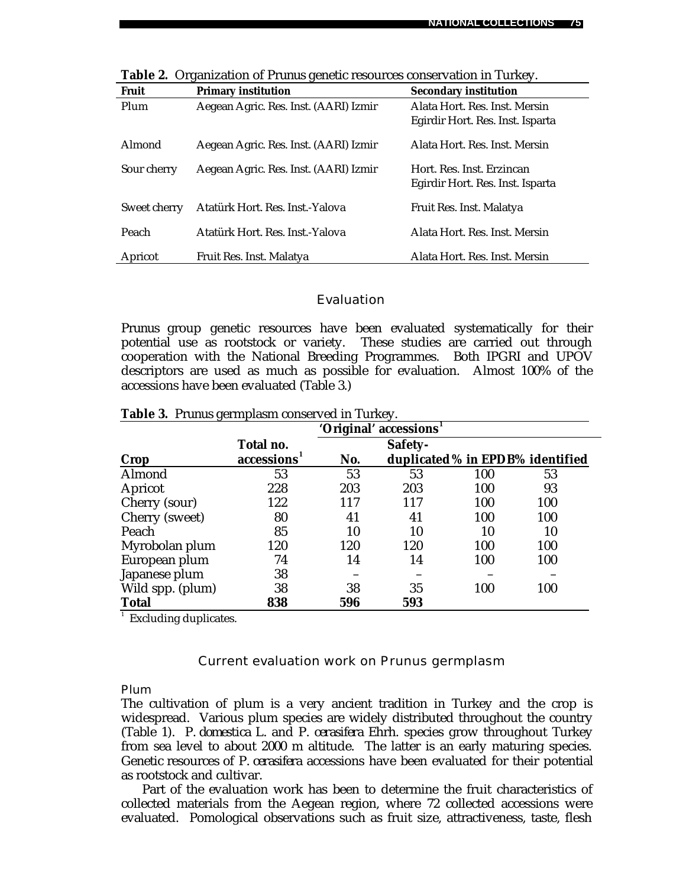| <b>Fruit</b> | $\Gamma$<br><b>Primary institution</b> | <b>Secondary institution</b>     |
|--------------|----------------------------------------|----------------------------------|
| Plum         | Aegean Agric. Res. Inst. (AARI) Izmir  | Alata Hort. Res. Inst. Mersin    |
|              |                                        | Egirdir Hort. Res. Inst. Isparta |
| Almond       | Aegean Agric. Res. Inst. (AARI) Izmir  | Alata Hort. Res. Inst. Mersin    |
| Sour cherry  | Aegean Agric. Res. Inst. (AARI) Izmir  | Hort. Res. Inst. Erzincan        |
|              |                                        | Egirdir Hort. Res. Inst. Isparta |
| Sweet cherry | Atatürk Hort. Res. Inst.-Yalova        | Fruit Res. Inst. Malatya         |
| Peach        | Atatürk Hort, Res. Inst.-Yalova        | Alata Hort. Res. Inst. Mersin    |
| Apricot      | Fruit Res. Inst. Malatya               | Alata Hort. Res. Inst. Mersin    |

**Table 2.** Organization of *Prunus* genetic resources conservation in Turkey.

### Evaluation

*Prunus* group genetic resources have been evaluated systematically for their potential use as rootstock or variety. These studies are carried out through cooperation with the National Breeding Programmes. Both IPGRI and UPOV descriptors are used as much as possible for evaluation. Almost 100% of the accessions have been evaluated (Table 3.)

|                  | 'Original' accessions <sup>1</sup> |     |         |     |                                  |
|------------------|------------------------------------|-----|---------|-----|----------------------------------|
|                  | Total no.                          |     | Safety- |     |                                  |
| Crop             | accessions                         | No. |         |     | duplicated % in EPDB% identified |
| Almond           | 53                                 | 53  | 53      | 100 | 53                               |
| Apricot          | 228                                | 203 | 203     | 100 | 93                               |
| Cherry (sour)    | 122                                | 117 | 117     | 100 | 100                              |
| Cherry (sweet)   | 80                                 | 41  | 41      | 100 | 100                              |
| Peach            | 85                                 | 10  | 10      | 10  | 10                               |
| Myrobolan plum   | 120                                | 120 | 120     | 100 | 100                              |
| European plum    | 74                                 | 14  | 14      | 100 | 100                              |
| Japanese plum    | 38                                 |     |         |     |                                  |
| Wild spp. (plum) | 38                                 | 38  | 35      | 100 | 100                              |
| <b>Total</b>     | 838                                | 596 | 593     |     |                                  |

**Table 3.** *Prunus* germplasm conserved in Turkey.

<sup>1</sup> Excluding duplicates.

### Current evaluation work on *Prunus* germplasm

### Plum

The cultivation of plum is a very ancient tradition in Turkey and the crop is widespread. Various plum species are widely distributed throughout the country (Table 1). *P. domestica* L. and *P. cerasifera* Ehrh. species grow throughout Turkey from sea level to about 2000 m altitude. The latter is an early maturing species. Genetic resources of *P. cerasifera* accessions have been evaluated for their potential as rootstock and cultivar.

Part of the evaluation work has been to determine the fruit characteristics of collected materials from the Aegean region, where 72 collected accessions were evaluated. Pomological observations such as fruit size, attractiveness, taste, flesh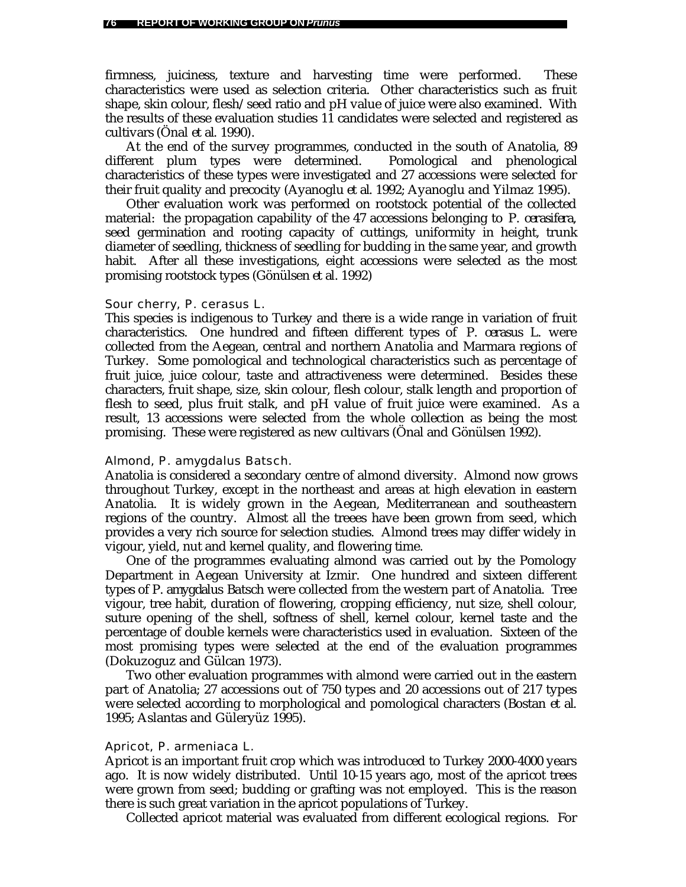firmness, juiciness, texture and harvesting time were performed. These characteristics were used as selection criteria. Other characteristics such as fruit shape, skin colour, flesh/seed ratio and pH value of juice were also examined. With the results of these evaluation studies 11 candidates were selected and registered as cultivars (Önal *et al*. 1990).

At the end of the survey programmes, conducted in the south of Anatolia, 89 different plum types were determined. Pomological and phenological characteristics of these types were investigated and 27 accessions were selected for their fruit quality and precocity (Ayanoglu *et al*. 1992; Ayanoglu and Yilmaz 1995).

Other evaluation work was performed on rootstock potential of the collected material: the propagation capability of the 47 accessions belonging to *P. cerasifera*, seed germination and rooting capacity of cuttings, uniformity in height, trunk diameter of seedling, thickness of seedling for budding in the same year, and growth habit. After all these investigations, eight accessions were selected as the most promising rootstock types (Gönülsen *et al.* 1992)

#### Sour cherry, *P. cerasus* L.

This species is indigenous to Turkey and there is a wide range in variation of fruit characteristics. One hundred and fifteen different types of *P. cerasus* L*.* were collected from the Aegean, central and northern Anatolia and Marmara regions of Turkey. Some pomological and technological characteristics such as percentage of fruit juice, juice colour, taste and attractiveness were determined. Besides these characters, fruit shape, size, skin colour, flesh colour, stalk length and proportion of flesh to seed, plus fruit stalk, and pH value of fruit juice were examined. As a result, 13 accessions were selected from the whole collection as being the most promising. These were registered as new cultivars (Önal and Gönülsen 1992).

### Almond, *P. amygdalus* Batsch.

Anatolia is considered a secondary centre of almond diversity. Almond now grows throughout Turkey, except in the northeast and areas at high elevation in eastern Anatolia. It is widely grown in the Aegean, Mediterranean and southeastern regions of the country. Almost all the treees have been grown from seed, which provides a very rich source for selection studies. Almond trees may differ widely in vigour, yield, nut and kernel quality, and flowering time.

One of the programmes evaluating almond was carried out by the Pomology Department in Aegean University at Izmir. One hundred and sixteen different types of *P. amygdalus* Batsch were collected from the western part of Anatolia. Tree vigour, tree habit, duration of flowering, cropping efficiency, nut size, shell colour, suture opening of the shell, softness of shell, kernel colour, kernel taste and the percentage of double kernels were characteristics used in evaluation. Sixteen of the most promising types were selected at the end of the evaluation programmes (Dokuzoguz and Gülcan 1973).

Two other evaluation programmes with almond were carried out in the eastern part of Anatolia; 27 accessions out of 750 types and 20 accessions out of 217 types were selected according to morphological and pomological characters (Bostan *et al*. 1995; Aslantas and Güleryüz 1995).

#### Apricot, *P. armeniaca* L.

Apricot is an important fruit crop which was introduced to Turkey 2000-4000 years ago. It is now widely distributed. Until 10-15 years ago, most of the apricot trees were grown from seed; budding or grafting was not employed. This is the reason there is such great variation in the apricot populations of Turkey.

Collected apricot material was evaluated from different ecological regions. For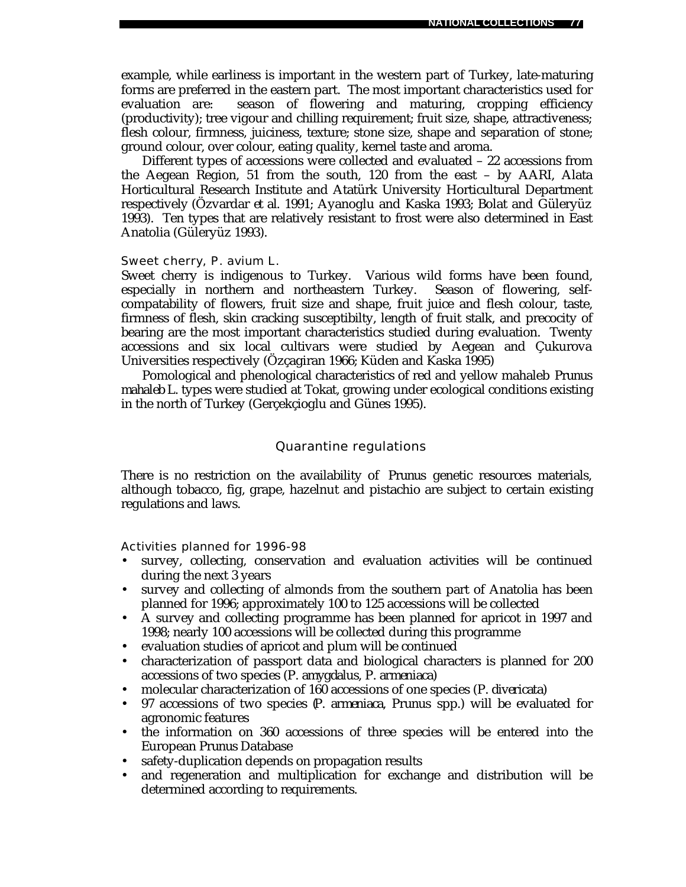example, while earliness is important in the western part of Turkey, late-maturing forms are preferred in the eastern part. The most important characteristics used for evaluation are: season of flowering and maturing, cropping efficiency (productivity); tree vigour and chilling requirement; fruit size, shape, attractiveness; flesh colour, firmness, juiciness, texture; stone size, shape and separation of stone; ground colour, over colour, eating quality, kernel taste and aroma.

Different types of accessions were collected and evaluated – 22 accessions from the Aegean Region, 51 from the south, 120 from the east – by AARI, Alata Horticultural Research Institute and Atatürk University Horticultural Department respectively (Özvardar *et al*. 1991; Ayanoglu and Kaska 1993; Bolat and Güleryüz 1993). Ten types that are relatively resistant to frost were also determined in East Anatolia (Güleryüz 1993).

### Sweet cherry, *P. avium* L.

Sweet cherry is indigenous to Turkey. Various wild forms have been found, especially in northern and northeastern Turkey. Season of flowering, selfcompatability of flowers, fruit size and shape, fruit juice and flesh colour, taste, firmness of flesh, skin cracking susceptibilty, length of fruit stalk, and precocity of bearing are the most important characteristics studied during evaluation. Twenty accessions and six local cultivars were studied by Aegean and Çukurova Universities respectively (Özçagiran 1966; Küden and Kaska 1995)

Pomological and phenological characteristics of red and yellow mahaleb *Prunus mahaleb* L. types were studied at Tokat, growing under ecological conditions existing in the north of Turkey (Gerçekçioglu and Günes 1995).

### Quarantine regulations

There is no restriction on the availability of *Prunus* genetic resources materials, although tobacco, fig, grape, hazelnut and pistachio are subject to certain existing regulations and laws.

Activities planned for 1996-98

- survey, collecting, conservation and evaluation activities will be continued during the next 3 years
- survey and collecting of almonds from the southern part of Anatolia has been planned for 1996; approximately 100 to 125 accessions will be collected
- A survey and collecting programme has been planned for apricot in 1997 and 1998; nearly 100 accessions will be collected during this programme
- evaluation studies of apricot and plum will be continued
- characterization of passport data and biological characters is planned for 200 accessions of two species (*P. amygdalus, P. armeniaca*)
- molecular characterization of 160 accessions of one species (*P. divericata*)
- 97 accessions of two species (*P. armeniaca, Prunus* spp.) will be evaluated for agronomic features
- the information on 360 accessions of three species will be entered into the European *Prunus* Database
- safety-duplication depends on propagation results
- and regeneration and multiplication for exchange and distribution will be determined according to requirements.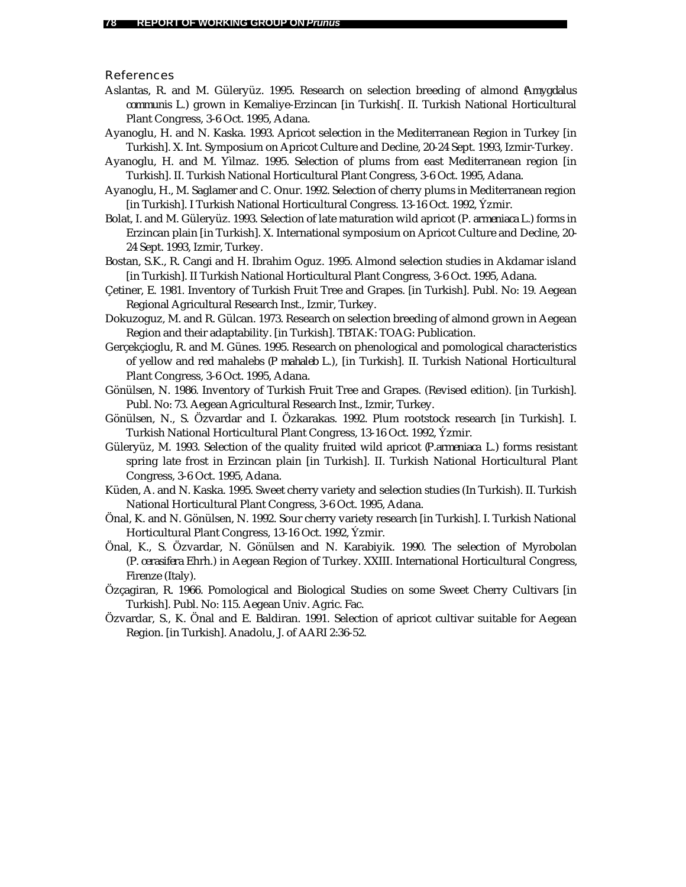References

- Aslantas, R. and M. Güleryüz. 1995. Research on selection breeding of almond (*Amygdalus communis* L.) grown in Kemaliye-Erzincan [in Turkish[. II. Turkish National Horticultural Plant Congress, 3-6 Oct. 1995, Adana.
- Ayanoglu, H. and N. Kaska. 1993. Apricot selection in the Mediterranean Region in Turkey [in Turkish]. X. Int. Symposium on Apricot Culture and Decline, 20-24 Sept. 1993, Izmir-Turkey.
- Ayanoglu, H. and M. Yìlmaz. 1995. Selection of plums from east Mediterranean region [in Turkish]. II. Turkish National Horticultural Plant Congress, 3-6 Oct. 1995, Adana.
- Ayanoglu, H., M. Saglamer and C. Onur. 1992. Selection of cherry plums in Mediterranean region [in Turkish]. I Turkish National Horticultural Congress. 13-16 Oct. 1992, Ýzmir.
- Bolat, I. and M. Güleryüz. 1993. Selection of late maturation wild apricot (*P. armeniaca* L.) forms in Erzincan plain [in Turkish]. X. International symposium on Apricot Culture and Decline, 20- 24 Sept. 1993, Izmir, Turkey.
- Bostan, S.K., R. Cangi and H. Ibrahim Oguz. 1995. Almond selection studies in Akdamar island [in Turkish]. II Turkish National Horticultural Plant Congress, 3-6 Oct. 1995, Adana.
- Çetiner, E. 1981. Inventory of Turkish Fruit Tree and Grapes. [in Turkish]. Publ. No: 19. Aegean Regional Agricultural Research Inst., Izmir, Turkey.
- Dokuzoguz, M. and R. Gülcan. 1973. Research on selection breeding of almond grown in Aegean Region and their adaptability. [in Turkish]. TBTAK: TOAG: Publication.
- Gerçekçioglu, R. and M. Günes. 1995. Research on phenological and pomological characteristics of yellow and red mahalebs (*P mahaleb* L.), [in Turkish]. II. Turkish National Horticultural Plant Congress, 3-6 Oct. 1995, Adana.
- Gönülsen, N. 1986. Inventory of Turkish Fruit Tree and Grapes. (Revised edition). [in Turkish]. Publ. No: 73. Aegean Agricultural Research Inst., Izmir, Turkey.
- Gönülsen, N., S. Özvardar and I. Özkarakas. 1992. Plum rootstock research [in Turkish]. I. Turkish National Horticultural Plant Congress, 13-16 Oct. 1992, Ýzmir.
- Güleryüz, M. 1993. Selection of the quality fruited wild apricot (*P.armeniaca* L.) forms resistant spring late frost in Erzincan plain [in Turkish]. II. Turkish National Horticultural Plant Congress, 3-6 Oct. 1995, Adana.
- Küden, A. and N. Kaska. 1995. Sweet cherry variety and selection studies (In Turkish). II. Turkish National Horticultural Plant Congress, 3-6 Oct. 1995, Adana.
- Önal, K. and N. Gönülsen, N. 1992. Sour cherry variety research [in Turkish]. I. Turkish National Horticultural Plant Congress, 13-16 Oct. 1992, Ýzmir.
- Önal, K., S. Özvardar, N. Gönülsen and N. Karabiyik. 1990. The selection of Myrobolan (*P. cerasifera* Ehrh.) in Aegean Region of Turkey. XXIII. International Horticultural Congress, Firenze (Italy).
- Özçagiran, R. 1966. Pomological and Biological Studies on some Sweet Cherry Cultivars [in Turkish]. Publ. No: 115. Aegean Univ. Agric. Fac.
- Özvardar, S., K. Önal and E. Baldiran. 1991. Selection of apricot cultivar suitable for Aegean Region. [in Turkish]. Anadolu, J. of AARI 2:36-52.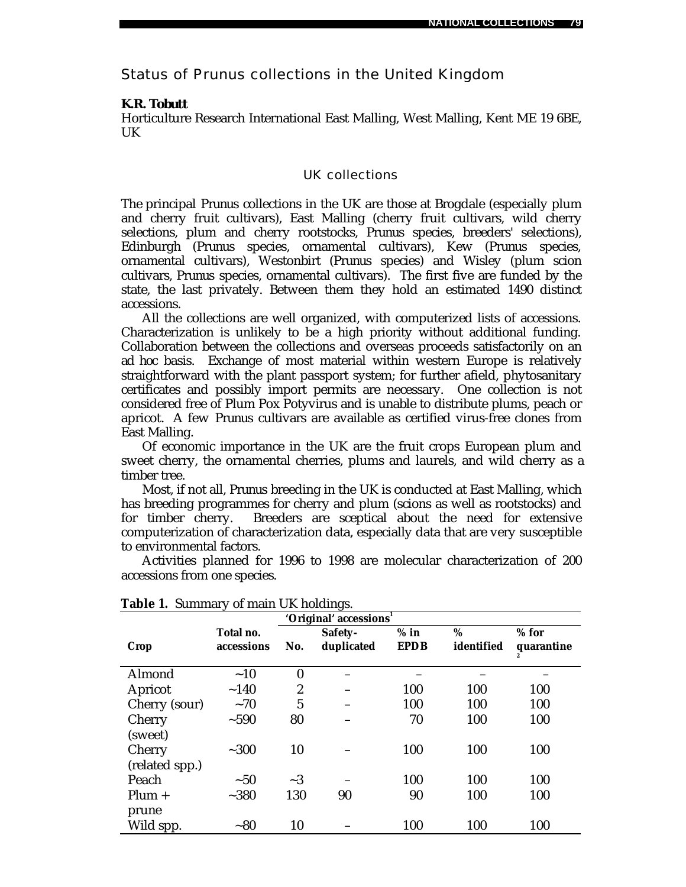Status of *Prunus* collections in the United Kingdom

### *K.R. Tobutt*

Horticulture Research International East Malling, West Malling, Kent ME 19 6BE, UK

### UK collections

The principal *Prunus* collections in the UK are those at Brogdale (especially plum and cherry fruit cultivars), East Malling (cherry fruit cultivars, wild cherry selections, plum and cherry rootstocks, *Prunus* species, breeders' selections), Edinburgh (*Prunus* species, ornamental cultivars), Kew (*Prunus* species, ornamental cultivars), Westonbirt (*Prunus* species) and Wisley (plum scion cultivars, *Prunus* species, ornamental cultivars). The first five are funded by the state, the last privately. Between them they hold an estimated 1490 distinct accessions.

All the collections are well organized, with computerized lists of accessions. Characterization is unlikely to be a high priority without additional funding. Collaboration between the collections and overseas proceeds satisfactorily on an *ad hoc* basis. Exchange of most material within western Europe is relatively straightforward with the plant passport system; for further afield, phytosanitary certificates and possibly import permits are necessary. One collection is not considered free of Plum Pox Potyvirus and is unable to distribute plums, peach or apricot. A few *Prunus* cultivars are available as certified virus-free clones from East Malling.

Of economic importance in the UK are the fruit crops European plum and sweet cherry, the ornamental cherries, plums and laurels, and wild cherry as a timber tree.

Most, if not all, *Prunus* breeding in the UK is conducted at East Malling, which has breeding programmes for cherry and plum (scions as well as rootstocks) and for timber cherry. Breeders are sceptical about the need for extensive computerization of characterization data, especially data that are very susceptible to environmental factors.

Activities planned for 1996 to 1998 are molecular characterization of 200 accessions from one species.

| 'Original' accessions <sup>1</sup> |                         |                |                       |                       |                 |                       |  |
|------------------------------------|-------------------------|----------------|-----------------------|-----------------------|-----------------|-----------------------|--|
| Crop                               | Total no.<br>accessions | No.            | Safety-<br>duplicated | $%$ in<br><b>EPDB</b> | %<br>identified | $%$ for<br>quarantine |  |
| Almond                             | ~10                     | $\bf{0}$       |                       |                       |                 |                       |  |
| Apricot                            | ~140                    | $\overline{c}$ |                       | 100                   | 100             | 100                   |  |
| Cherry (sour)                      | ~1                      | 5              |                       | 100                   | 100             | 100                   |  |
| Cherry                             | $~1 - 590$              | 80             |                       | 70                    | 100             | 100                   |  |
| (sweet)                            |                         |                |                       |                       |                 |                       |  |
| Cherry                             | $~1 - 300$              | 10             |                       | 100                   | 100             | 100                   |  |
| (related spp.)                     |                         |                |                       |                       |                 |                       |  |
| Peach                              | $~1$ - 50               | $\sim$ 3       |                       | 100                   | 100             | 100                   |  |
| $Plum +$                           | $-380$                  | 130            | 90                    | 90                    | 100             | 100                   |  |
| prune                              |                         |                |                       |                       |                 |                       |  |
| Wild spp.                          | $-80$                   | 10             |                       | 100                   | 100             | 100                   |  |

### **Table 1.** Summary of main UK holdings.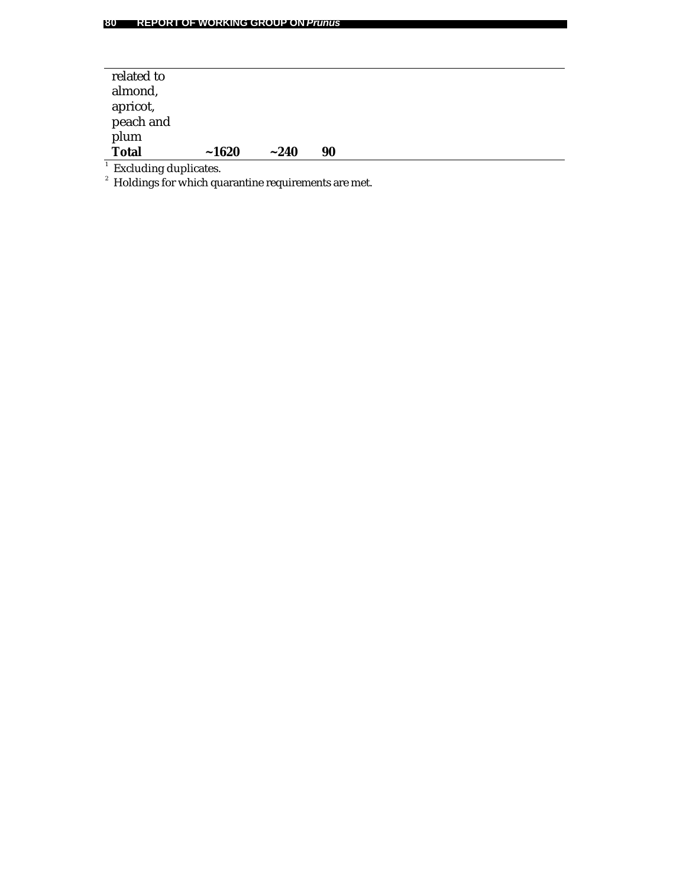# **80 REPORT OF WORKING GROUP ON** *Prunus*

| related to                                                       |       |            |    |  |  |  |
|------------------------------------------------------------------|-------|------------|----|--|--|--|
| almond,                                                          |       |            |    |  |  |  |
| apricot,                                                         |       |            |    |  |  |  |
| peach and                                                        |       |            |    |  |  |  |
| plum                                                             |       |            |    |  |  |  |
| <b>Total</b>                                                     | ~1620 | $~1 - 240$ | 90 |  |  |  |
|                                                                  |       |            |    |  |  |  |
| <sup>1</sup> Excluding duplicates.                               |       |            |    |  |  |  |
| <sup>2</sup> Holdings for which quarantine requirements are met. |       |            |    |  |  |  |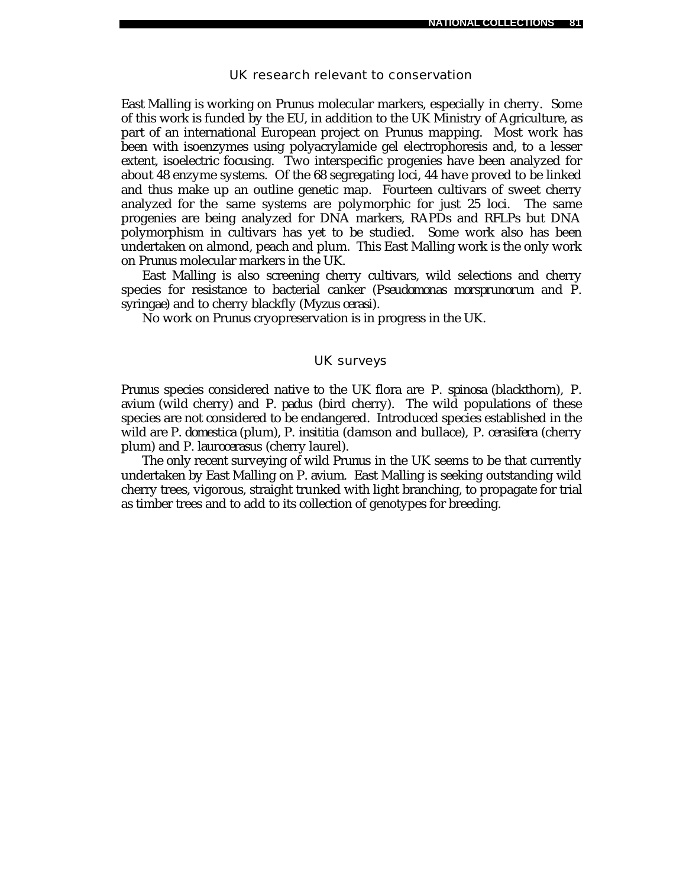### UK research relevant to conservation

East Malling is working on *Prunus* molecular markers, especially in cherry. Some of this work is funded by the EU, in addition to the UK Ministry of Agriculture, as part of an international European project on *Prunus* mapping. Most work has been with isoenzymes using polyacrylamide gel electrophoresis and, to a lesser extent, isoelectric focusing. Two interspecific progenies have been analyzed for about 48 enzyme systems. Of the 68 segregating loci, 44 have proved to be linked and thus make up an outline genetic map. Fourteen cultivars of sweet cherry analyzed for the same systems are polymorphic for just 25 loci. The same progenies are being analyzed for DNA markers, RAPDs and RFLPs but DNA polymorphism in cultivars has yet to be studied. Some work also has been undertaken on almond, peach and plum. This East Malling work is the only work on *Prunus* molecular markers in the UK.

East Malling is also screening cherry cultivars, wild selections and cherry species for resistance to bacterial canker (*Pseudomonas morsprunorum* and *P. syringae*) and to cherry blackfly (*Myzus cerasi*).

No work on *Prunus* cryopreservation is in progress in the UK.

# UK surveys

*Prunus* species considered native to the UK flora are *P. spinosa* (blackthorn), *P. avium* (wild cherry) and *P. padus* (bird cherry). The wild populations of these species are not considered to be endangered. Introduced species established in the wild are *P. domestica* (plum), *P. insititia* (damson and bullace), *P. cerasifera* (cherry plum) and *P. laurocerasus* (cherry laurel).

The only recent surveying of wild *Prunus* in the UK seems to be that currently undertaken by East Malling on *P. avium*. East Malling is seeking outstanding wild cherry trees, vigorous, straight trunked with light branching, to propagate for trial as timber trees and to add to its collection of genotypes for breeding.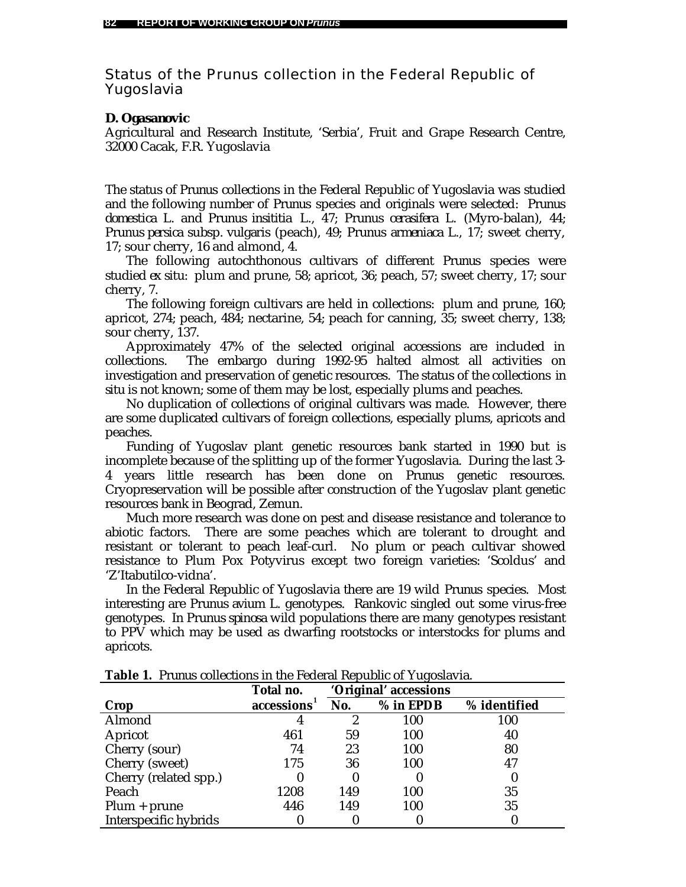Status of the *Prunus* collection in the Federal Republic of Yugoslavia

### *D. Ogasanovic*

Agricultural and Research Institute, 'Serbia', Fruit and Grape Research Centre, 32000 Cacak, F.R. Yugoslavia

The status of *Prunus* collections in the Federal Republic of Yugoslavia was studied and the following number of *Prunus* species and originals were selected: *Prunus domestica* L. and *Prunus insititia* L., 47; *Prunus cerasifera* L. (Myro-balan), 44; *Prunus persica* subsp. *vulgaris* (peach), 49; *Prunus armeniaca* L., 17; sweet cherry, 17; sour cherry, 16 and almond, 4.

The following autochthonous cultivars of different *Prunus* species were studied *ex situ:* plum and prune, 58; apricot, 36; peach, 57; sweet cherry, 17; sour cherry, 7.

The following foreign cultivars are held in collections: plum and prune, 160; apricot, 274; peach, 484; nectarine, 54; peach for canning, 35; sweet cherry, 138; sour cherry, 137.

Approximately 47% of the selected original accessions are included in collections. The embargo during 1992-95 halted almost all activities on investigation and preservation of genetic resources. The status of the collections *in situ* is not known; some of them may be lost, especially plums and peaches.

No duplication of collections of original cultivars was made. However, there are some duplicated cultivars of foreign collections, especially plums, apricots and peaches.

Funding of Yugoslav plant genetic resources bank started in 1990 but is incomplete because of the splitting up of the former Yugoslavia. During the last 3- 4 years little research has been done on *Prunus* genetic resources. Cryopreservation will be possible after construction of the Yugoslav plant genetic resources bank in Beograd, Zemun.

Much more research was done on pest and disease resistance and tolerance to abiotic factors. There are some peaches which are tolerant to drought and resistant or tolerant to peach leaf-curl. No plum or peach cultivar showed resistance to Plum Pox Potyvirus except two foreign varieties: 'Scoldus' and 'Z'Itabutilco-vidna'.

In the Federal Republic of Yugoslavia there are 19 wild *Prunus* species. Most interesting are *Prunus avium* L. genotypes. Rankovic singled out some virus-free genotypes. In *Prunus spinosa* wild populations there are many genotypes resistant to PPV which may be used as dwarfing rootstocks or interstocks for plums and apricots.

|                       | Total no.               |     | 'Original' accessions |              |
|-----------------------|-------------------------|-----|-----------------------|--------------|
| Crop                  | accessions <sup>1</sup> | No. | % in EPDB             | % identified |
| Almond                |                         |     | 100                   | 100          |
| Apricot               | 461                     | 59  | 100                   | 40           |
| Cherry (sour)         | 74                      | 23  | 100                   | 80           |
| Cherry (sweet)        | 175                     | 36  | 100                   | 47           |
| Cherry (related spp.) |                         | 0   |                       | O            |
| Peach                 | 1208                    | 149 | 100                   | 35           |
| $Plum + prune$        | 446                     | 149 | 100                   | 35           |
| Interspecific hybrids |                         |     |                       |              |

**Table 1.** *Prunus* collections in the Federal Republic of Yugoslavia.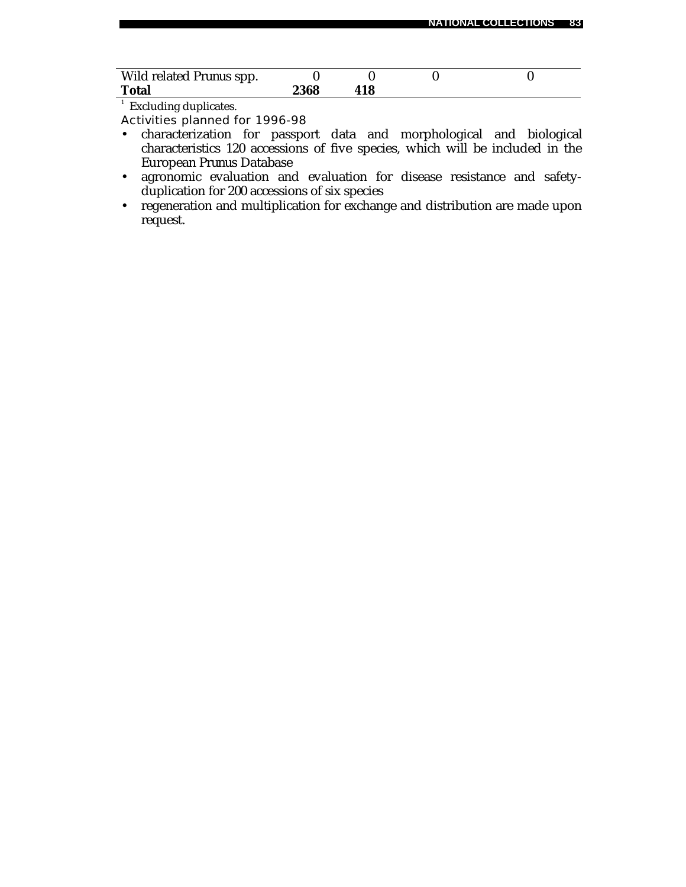| Wild related <i>Prunus</i> spp. |      |     |  |  |
|---------------------------------|------|-----|--|--|
| <b>Total</b>                    | 2368 | 418 |  |  |

<sup>1</sup> Excluding duplicates.

Activities planned for 1996-98

- characterization for passport data and morphological and biological characteristics 120 accessions of five species, which will be included in the European *Prunus* Database
- agronomic evaluation and evaluation for disease resistance and safetyduplication for 200 accessions of six species
- regeneration and multiplication for exchange and distribution are made upon request.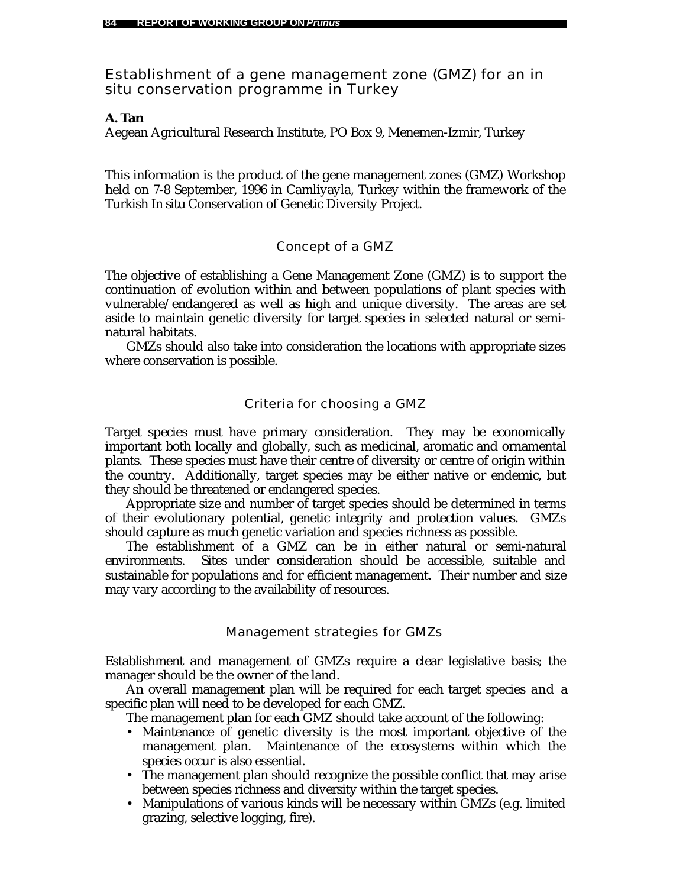Establishment of a gene management zone (GMZ) for an *in situ* conservation programme in Turkey

### *A. Tan*

Aegean Agricultural Research Institute, PO Box 9, Menemen-Izmir, Turkey

This information is the product of the gene management zones (GMZ) Workshop held on 7-8 September, 1996 in Camliyayla, Turkey within the framework of the Turkish *In situ* Conservation of Genetic Diversity Project.

# Concept of a GMZ

The objective of establishing a Gene Management Zone (GMZ) is to support the continuation of evolution within and between populations of plant species with vulnerable/endangered as well as high and unique diversity. The areas are set aside to maintain genetic diversity for target species in selected natural or seminatural habitats.

GMZs should also take into consideration the locations with appropriate sizes where conservation is possible.

# Criteria for choosing a GMZ

Target species must have primary consideration. They may be economically important both locally and globally, such as medicinal, aromatic and ornamental plants. These species must have their centre of diversity or centre of origin within the country. Additionally, target species may be either native or endemic, but they should be threatened or endangered species.

Appropriate size and number of target species should be determined in terms of their evolutionary potential, genetic integrity and protection values. GMZs should capture as much genetic variation and species richness as possible.

The establishment of a GMZ can be in either natural or semi-natural environments. Sites under consideration should be accessible, suitable and sustainable for populations and for efficient management. Their number and size may vary according to the availability of resources.

### Management strategies for GMZs

Establishment and management of GMZs require a clear legislative basis; the manager should be the owner of the land.

An overall management plan will be required for each target species and a specific plan will need to be developed for each GMZ.

The management plan for each GMZ should take account of the following:

- Maintenance of genetic diversity is the most important objective of the management plan. Maintenance of the ecosystems within which the species occur is also essential.
- The management plan should recognize the possible conflict that may arise between species richness and diversity within the target species.
- Manipulations of various kinds will be necessary within GMZs (e.g. limited grazing, selective logging, fire).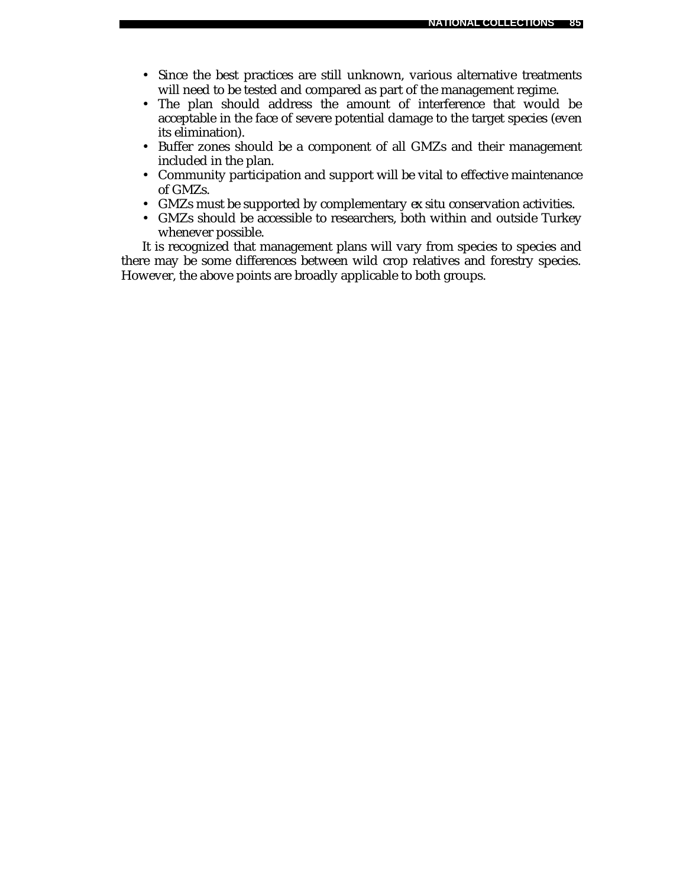- Since the best practices are still unknown, various alternative treatments will need to be tested and compared as part of the management regime.
- The plan should address the amount of interference that would be acceptable in the face of severe potential damage to the target species (even its elimination).
- Buffer zones should be a component of all GMZs and their management included in the plan.
- Community participation and support will be vital to effective maintenance of GMZs.
- GMZs must be supported by complementary *ex situ* conservation activities.
- GMZs should be accessible to researchers, both within and outside Turkey whenever possible.

It is recognized that management plans will vary from species to species and there may be some differences between wild crop relatives and forestry species. However, the above points are broadly applicable to both groups.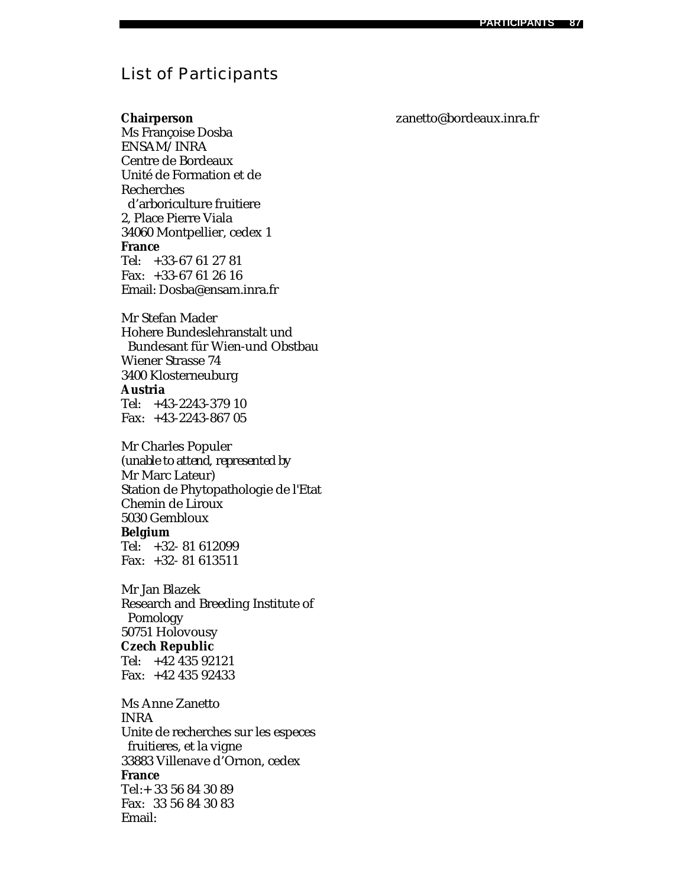# List of Participants

# **Chairperson**

Ms Françoise Dosba ENSAM/INRA Centre de Bordeaux Unité de Formation et de Recherches d'arboriculture fruitiere 2, Place Pierre Viala 34060 Montpellier, cedex 1 **France** Tel: +33-67 61 27 81 Fax: +33-67 61 26 16 Email: Dosba@ensam.inra.fr

Mr Stefan Mader Hohere Bundeslehranstalt und Bundesant für Wien-und Obstbau Wiener Strasse 74 3400 Klosterneuburg **Austria** Tel: +43-2243-379 10 Fax: +43-2243-867 05

Mr Charles Populer (*unable to attend, represented by* Mr Marc Lateur) Station de Phytopathologie de l'Etat Chemin de Liroux 5030 Gembloux **Belgium** Tel: +32- 81 612099 Fax: +32- 81 613511

Mr Jan Blazek Research and Breeding Institute of Pomology 50751 Holovousy **Czech Republic** Tel: +42 435 92121 Fax: +42 435 92433

Ms Anne Zanetto INRA Unite de recherches sur les especes fruitieres, et la vigne 33883 Villenave d'Ornon, cedex **France** Tel:+ 33 56 84 30 89 Fax: 33 56 84 30 83 Email:

# zanetto@bordeaux.inra.fr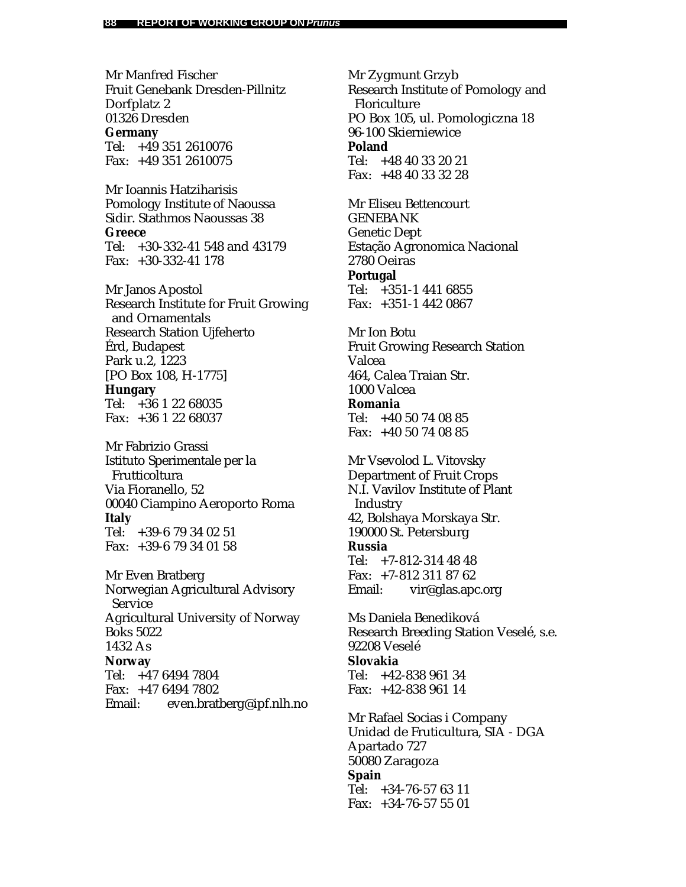Mr Manfred Fischer Fruit Genebank Dresden-Pillnitz Dorfplatz 2 01326 Dresden **Germany** Tel: +49 351 2610076 Fax: +49 351 2610075

Mr Ioannis Hatziharisis Pomology Institute of Naoussa Sidir. Stathmos Naoussas 38 **Greece** Tel: +30-332-41 548 and 43179 Fax: +30-332-41 178

Mr Janos Apostol Research Institute for Fruit Growing and Ornamentals Research Station Ujfeherto Érd, Budapest Park u.2, 1223 [PO Box 108, H-1775] **Hungary** Tel: +36 1 22 68035 Fax: +36 1 22 68037

Mr Fabrizio Grassi Istituto Sperimentale per la Frutticoltura Via Fioranello, 52 00040 Ciampino Aeroporto Roma **Italy** Tel: +39-6 79 34 02 51 Fax: +39-6 79 34 01 58

Mr Even Bratberg Norwegian Agricultural Advisory Service Agricultural University of Norway Boks 5022 1432 As **Norway** Tel: +47 6494 7804 Fax: +47 6494 7802 Email: even.bratberg@ipf.nlh.no Mr Zygmunt Grzyb Research Institute of Pomology and Floriculture PO Box 105, ul. Pomologiczna 18 96-100 Skierniewice **Poland** Tel: +48 40 33 20 21 Fax: +48 40 33 32 28

Mr Eliseu Bettencourt GENEBANK Genetic Dept Estação Agronomica Nacional 2780 Oeiras **Portugal** Tel: +351-1 441 6855 Fax: +351-1 442 0867

Mr Ion Botu Fruit Growing Research Station Valcea 464, Calea Traian Str. 1000 Valcea **Romania** Tel: +40 50 74 08 85 Fax: +40 50 74 08 85

Mr Vsevolod L. Vitovsky Department of Fruit Crops N.I. Vavilov Institute of Plant **Industry** 42, Bolshaya Morskaya Str. 190000 St. Petersburg **Russia** Tel: +7-812-314 48 48

Fax: +7-812 311 87 62 Email: vir@glas.apc.org

Ms Daniela Benediková Research Breeding Station Veselé, s.e. 92208 Veselé **Slovakia** Tel: +42-838 961 34 Fax: +42-838 961 14

Mr Rafael Socias i Company Unidad de Fruticultura, SIA - DGA Apartado 727 50080 Zaragoza **Spain** Tel: +34-76-57 63 11 Fax: +34-76-57 55 01